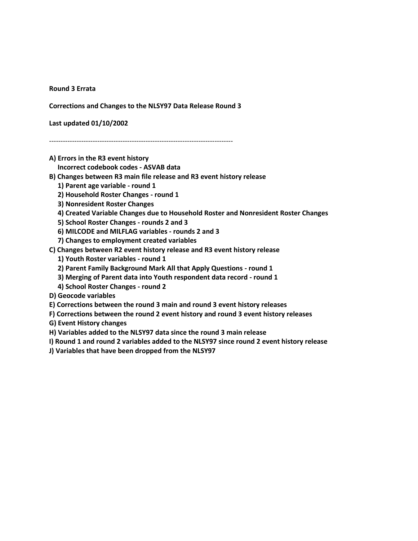**Round 3 Errata**

**Corrections and Changes to the NLSY97 Data Release Round 3**

**Last updated 01/10/2002**

--------------------------------------------------------------------------------

**A) Errors in the R3 event history**

 **Incorrect codebook codes - ASVAB data**

**B) Changes between R3 main file release and R3 event history release**

- **1) Parent age variable - round 1**
- **2) Household Roster Changes - round 1**

 **3) Nonresident Roster Changes**

- **4) Created Variable Changes due to Household Roster and Nonresident Roster Changes**
- **5) School Roster Changes - rounds 2 and 3**
- **6) MILCODE and MILFLAG variables - rounds 2 and 3**
- **7) Changes to employment created variables**
- **C) Changes between R2 event history release and R3 event history release**
	- **1) Youth Roster variables - round 1**
	- **2) Parent Family Background Mark All that Apply Questions - round 1**
	- **3) Merging of Parent data into Youth respondent data record - round 1**
	- **4) School Roster Changes - round 2**
- **D) Geocode variables**
- **E) Corrections between the round 3 main and round 3 event history releases**
- **F) Corrections between the round 2 event history and round 3 event history releases**

**G) Event History changes**

**H) Variables added to the NLSY97 data since the round 3 main release**

**I) Round 1 and round 2 variables added to the NLSY97 since round 2 event history release**

**J) Variables that have been dropped from the NLSY97**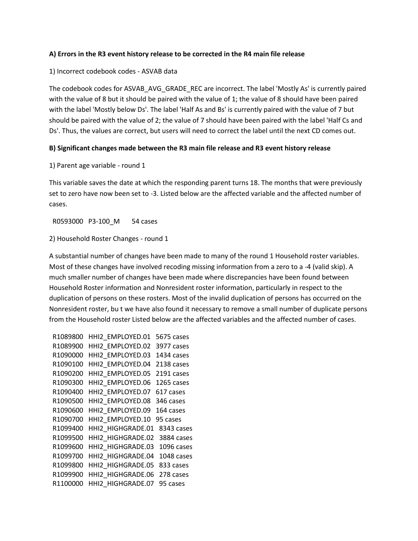## **A) Errors in the R3 event history release to be corrected in the R4 main file release**

# 1) Incorrect codebook codes - ASVAB data

The codebook codes for ASVAB\_AVG\_GRADE\_REC are incorrect. The label 'Mostly As' is currently paired with the value of 8 but it should be paired with the value of 1; the value of 8 should have been paired with the label 'Mostly below Ds'. The label 'Half As and Bs' is currently paired with the value of 7 but should be paired with the value of 2; the value of 7 should have been paired with the label 'Half Cs and Ds'. Thus, the values are correct, but users will need to correct the label until the next CD comes out.

# **B) Significant changes made between the R3 main file release and R3 event history release**

1) Parent age variable - round 1

This variable saves the date at which the responding parent turns 18. The months that were previously set to zero have now been set to -3. Listed below are the affected variable and the affected number of cases.

R0593000 P3-100\_M 54 cases

2) Household Roster Changes - round 1

A substantial number of changes have been made to many of the round 1 Household roster variables. Most of these changes have involved recoding missing information from a zero to a -4 (valid skip). A much smaller number of changes have been made where discrepancies have been found between Household Roster information and Nonresident roster information, particularly in respect to the duplication of persons on these rosters. Most of the invalid duplication of persons has occurred on the Nonresident roster, bu t we have also found it necessary to remove a small number of duplicate persons from the Household roster Listed below are the affected variables and the affected number of cases.

```
 R1089800 HHI2_EMPLOYED.01 5675 cases 
 R1089900 HHI2_EMPLOYED.02 3977 cases 
R1090000 HHI2 EMPLOYED.03 1434 cases
 R1090100 HHI2_EMPLOYED.04 2138 cases 
 R1090200 HHI2_EMPLOYED.05 2191 cases 
 R1090300 HHI2_EMPLOYED.06 1265 cases 
R1090400 HHI2 EMPLOYED.07 617 cases
 R1090500 HHI2_EMPLOYED.08 346 cases 
R1090600 HHI2 EMPLOYED.09 164 cases
R1090700 HHI2 EMPLOYED.10 95 cases
R1099400 HHI2 HIGHGRADE.01 8343 cases
 R1099500 HHI2_HIGHGRADE.02 3884 cases 
 R1099600 HHI2_HIGHGRADE.03 1096 cases 
R1099700 HHI2 HIGHGRADE.04 1048 cases
 R1099800 HHI2_HIGHGRADE.05 833 cases 
R1099900 HHI2 HIGHGRADE.06 278 cases
 R1100000 HHI2_HIGHGRADE.07 95 cases
```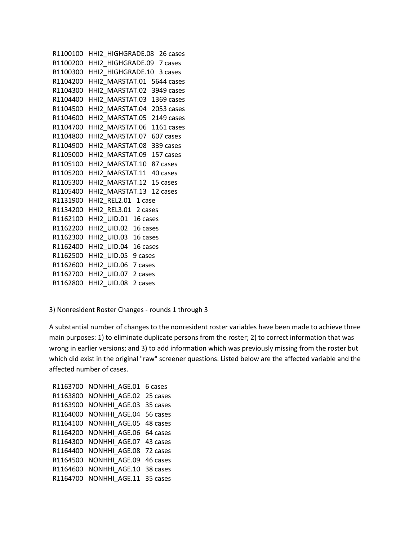```
R1100100 HHI2 HIGHGRADE.08 26 cases
 R1100200 HHI2_HIGHGRADE.09 7 cases 
R1100300 HHI2 HIGHGRADE.10 3 cases
 R1104200 HHI2_MARSTAT.01 5644 cases 
 R1104300 HHI2_MARSTAT.02 3949 cases 
 R1104400 HHI2_MARSTAT.03 1369 cases 
 R1104500 HHI2_MARSTAT.04 2053 cases 
 R1104600 HHI2_MARSTAT.05 2149 cases 
 R1104700 HHI2_MARSTAT.06 1161 cases 
 R1104800 HHI2_MARSTAT.07 607 cases 
 R1104900 HHI2_MARSTAT.08 339 cases 
 R1105000 HHI2_MARSTAT.09 157 cases 
R1105100 HHI2_MARSTAT.10 87 cases 
R1105200 HHI2 MARSTAT.11 40 cases
 R1105300 HHI2_MARSTAT.12 15 cases 
R1105400 HHI2 MARSTAT.13 12 cases
 R1131900 HHI2_REL2.01 1 case 
 R1134200 HHI2_REL3.01 2 cases 
 R1162100 HHI2_UID.01 16 cases 
 R1162200 HHI2_UID.02 16 cases 
 R1162300 HHI2_UID.03 16 cases 
 R1162400 HHI2_UID.04 16 cases 
 R1162500 HHI2_UID.05 9 cases 
 R1162600 HHI2_UID.06 7 cases 
 R1162700 HHI2_UID.07 2 cases 
 R1162800 HHI2_UID.08 2 cases
```
3) Nonresident Roster Changes - rounds 1 through 3

A substantial number of changes to the nonresident roster variables have been made to achieve three main purposes: 1) to eliminate duplicate persons from the roster; 2) to correct information that was wrong in earlier versions; and 3) to add information which was previously missing from the roster but which did exist in the original "raw" screener questions. Listed below are the affected variable and the affected number of cases.

```
R1163700 NONHHI AGE.01 6 cases
 R1163800 NONHHI_AGE.02 25 cases 
R1163900 NONHHI AGE.03 35 cases
R1164000 NONHHI AGE.04 56 cases
R1164100 NONHHI AGE.05 48 cases
R1164200 NONHHI AGE.06 64 cases
 R1164300 NONHHI_AGE.07 43 cases 
 R1164400 NONHHI_AGE.08 72 cases 
 R1164500 NONHHI_AGE.09 46 cases 
 R1164600 NONHHI_AGE.10 38 cases 
 R1164700 NONHHI_AGE.11 35 cases
```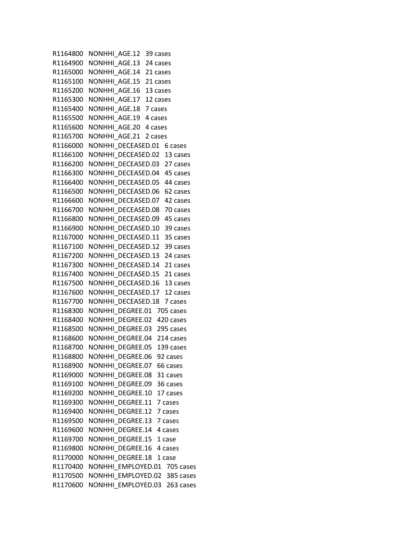R1164800 NONHHI\_AGE.12 39 cases R1164900 NONHHI\_AGE.13 24 cases R1165000 NONHHI AGE.14 21 cases R1165100 NONHHI AGE.15 21 cases R1165200 NONHHI AGE.16 13 cases R1165300 NONHHI\_AGE.17 12 cases R1165400 NONHHI\_AGE.18 7 cases R1165500 NONHHI AGE.19 4 cases R1165600 NONHHI AGE.20 4 cases R1165700 NONHHI AGE.21 2 cases R1166000 NONHHI DECEASED.01 6 cases R1166100 NONHHI DECEASED.02 13 cases R1166200 NONHHI DECEASED.03 27 cases R1166300 NONHHI DECEASED.04 45 cases R1166400 NONHHI DECEASED.05 44 cases R1166500 NONHHI DECEASED.06 62 cases R1166600 NONHHI\_DECEASED.07 42 cases R1166700 NONHHI\_DECEASED.08 70 cases R1166800 NONHHI DECEASED.09 45 cases R1166900 NONHHI DECEASED.10 39 cases R1167000 NONHHI\_DECEASED.11 35 cases R1167100 NONHHI DECEASED.12 39 cases R1167200 NONHHI DECEASED.13 24 cases R1167300 NONHHI DECEASED.14 21 cases R1167400 NONHHI DECEASED.15 21 cases R1167500 NONHHI DECEASED.16 13 cases R1167600 NONHHI DECEASED.17 12 cases R1167700 NONHHI DECEASED.18 7 cases R1168300 NONHHI DEGREE.01 705 cases R1168400 NONHHI DEGREE.02 420 cases R1168500 NONHHI DEGREE.03 295 cases R1168600 NONHHI DEGREE.04 214 cases R1168700 NONHHI DEGREE.05 139 cases R1168800 NONHHI DEGREE.06 92 cases R1168900 NONHHI DEGREE.07 66 cases R1169000 NONHHI DEGREE.08 31 cases R1169100 NONHHI DEGREE.09 36 cases R1169200 NONHHI DEGREE.10 17 cases R1169300 NONHHI\_DEGREE.11 7 cases R1169400 NONHHI DEGREE.12 7 cases R1169500 NONHHI\_DEGREE.13 7 cases R1169600 NONHHI DEGREE.14 4 cases R1169700 NONHHI DEGREE.15 1 case R1169800 NONHHI DEGREE.16 4 cases R1170000 NONHHI DEGREE.18 1 case R1170400 NONHHI EMPLOYED.01 705 cases R1170500 NONHHI EMPLOYED.02 385 cases R1170600 NONHHI EMPLOYED.03 263 cases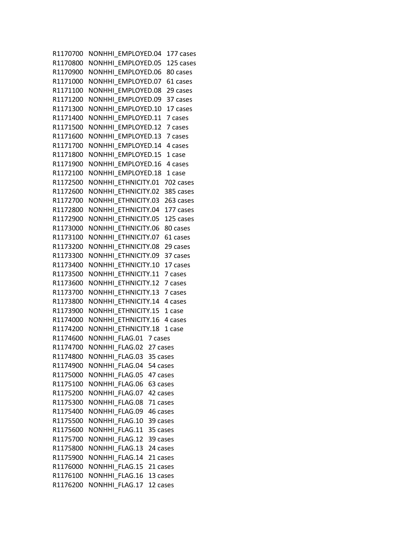R1170700 NONHHI EMPLOYED.04 177 cases R1170800 NONHHI EMPLOYED.05 125 cases R1170900 NONHHI EMPLOYED.06 80 cases R1171000 NONHHI\_EMPLOYED.07 61 cases R1171100 NONHHI EMPLOYED.08 29 cases R1171200 NONHHI\_EMPLOYED.09 37 cases R1171300 NONHHI\_EMPLOYED.10 17 cases R1171400 NONHHI EMPLOYED.11 7 cases R1171500 NONHHI EMPLOYED.12 7 cases R1171600 NONHHI EMPLOYED.13 7 cases R1171700 NONHHI EMPLOYED.14 4 cases R1171800 NONHHI EMPLOYED.15 1 case R1171900 NONHHI EMPLOYED.16 4 cases R1172100 NONHHI EMPLOYED.18 1 case R1172500 NONHHI\_ETHNICITY.01 702 cases R1172600 NONHHI ETHNICITY.02 385 cases R1172700 NONHHI\_ETHNICITY.03 263 cases R1172800 NONHHI\_ETHNICITY.04 177 cases R1172900 NONHHI ETHNICITY.05 125 cases R1173000 NONHHI ETHNICITY.06 80 cases R1173100 NONHHI ETHNICITY.07 61 cases R1173200 NONHHI ETHNICITY.08 29 cases R1173300 NONHHI ETHNICITY.09 37 cases R1173400 NONHHI ETHNICITY.10 17 cases R1173500 NONHHI ETHNICITY.11 7 cases R1173600 NONHHI ETHNICITY.12 7 cases R1173700 NONHHI ETHNICITY.13 7 cases R1173800 NONHHI ETHNICITY.14 4 cases R1173900 NONHHI\_ETHNICITY.15 1 case R1174000 NONHHI ETHNICITY.16 4 cases R1174200 NONHHI ETHNICITY.18 1 case R1174600 NONHHI FLAG.01 7 cases R1174700 NONHHI FLAG.02 27 cases R1174800 NONHHI FLAG.03 35 cases R1174900 NONHHI FLAG.04 54 cases R1175000 NONHHI FLAG.05 47 cases R1175100 NONHHI FLAG.06 63 cases R1175200 NONHHI FLAG.07 42 cases R1175300 NONHHI\_FLAG.08 71 cases R1175400 NONHHI\_FLAG.09 46 cases R1175500 NONHHI\_FLAG.10 39 cases R1175600 NONHHI FLAG.11 35 cases R1175700 NONHHI FLAG.12 39 cases R1175800 NONHHI FLAG.13 24 cases R1175900 NONHHI FLAG.14 21 cases R1176000 NONHHI FLAG.15 21 cases R1176100 NONHHI FLAG.16 13 cases R1176200 NONHHI FLAG.17 12 cases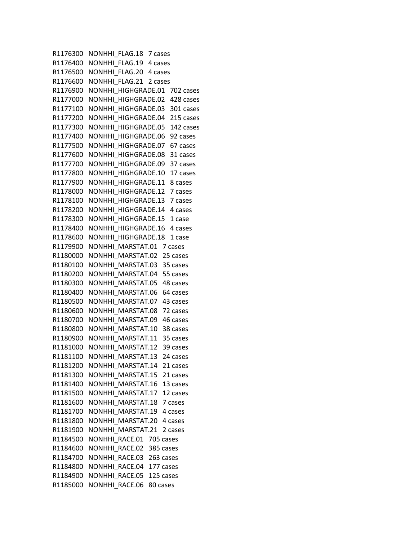R1176300 NONHHI FLAG.18 7 cases R1176400 NONHHI FLAG.19 4 cases R1176500 NONHHI FLAG.20 4 cases R1176600 NONHHI\_FLAG.21 2 cases R1176900 NONHHI HIGHGRADE.01 702 cases R1177000 NONHHI\_HIGHGRADE.02 428 cases R1177100 NONHHI\_HIGHGRADE.03 301 cases R1177200 NONHHI HIGHGRADE.04 215 cases R1177300 NONHHI HIGHGRADE.05 142 cases R1177400 NONHHI\_HIGHGRADE.06 92 cases R1177500 NONHHI HIGHGRADE.07 67 cases R1177600 NONHHI HIGHGRADE.08 31 cases R1177700 NONHHI\_HIGHGRADE.09 37 cases R1177800 NONHHI HIGHGRADE.10 17 cases R1177900 NONHHI HIGHGRADE.11 8 cases R1178000 NONHHI\_HIGHGRADE.12 7 cases R1178100 NONHHI\_HIGHGRADE.13 7 cases R1178200 NONHHI\_HIGHGRADE.14 4 cases R1178300 NONHHI\_HIGHGRADE.15 1 case R1178400 NONHHI\_HIGHGRADE.16 4 cases R1178600 NONHHI\_HIGHGRADE.18 1 case R1179900 NONHHI MARSTAT.01 7 cases R1180000 NONHHI MARSTAT.02 25 cases R1180100 NONHHI MARSTAT.03 35 cases R1180200 NONHHI MARSTAT.04 55 cases R1180300 NONHHI MARSTAT.05 48 cases R1180400 NONHHI MARSTAT.06 64 cases R1180500 NONHHI MARSTAT.07 43 cases R1180600 NONHHI MARSTAT.08 72 cases R1180700 NONHHI MARSTAT.09 46 cases R1180800 NONHHI\_MARSTAT.10 38 cases R1180900 NONHHI MARSTAT.11 35 cases R1181000 NONHHI MARSTAT.12 39 cases R1181100 NONHHI MARSTAT.13 24 cases R1181200 NONHHI MARSTAT.14 21 cases R1181300 NONHHI\_MARSTAT.15 21 cases R1181400 NONHHI MARSTAT.16 13 cases R1181500 NONHHI MARSTAT.17 12 cases R1181600 NONHHI\_MARSTAT.18 7 cases R1181700 NONHHI MARSTAT.19 4 cases R1181800 NONHHI\_MARSTAT.20 4 cases R1181900 NONHHI MARSTAT.21 2 cases R1184500 NONHHI RACE.01 705 cases R1184600 NONHHI RACE.02 385 cases R1184700 NONHHI RACE.03 263 cases R1184800 NONHHI RACE.04 177 cases R1184900 NONHHI RACE.05 125 cases R1185000 NONHHI RACE.06 80 cases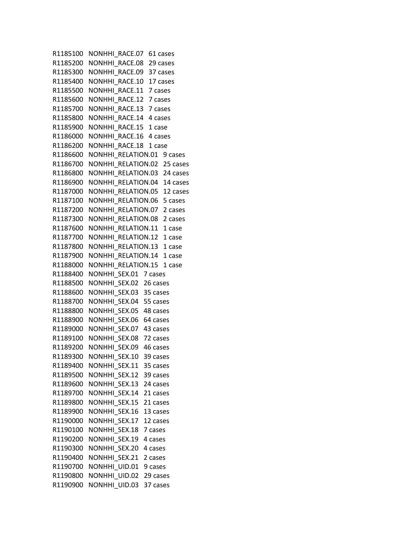R1185100 NONHHI RACE.07 61 cases R1185200 NONHHI\_RACE.08 29 cases R1185300 NONHHI RACE.09 37 cases R1185400 NONHHI RACE.10 17 cases R1185500 NONHHI RACE.11 7 cases R1185600 NONHHI\_RACE.12 7 cases R1185700 NONHHI\_RACE.13 7 cases R1185800 NONHHI RACE.14 4 cases R1185900 NONHHI RACE.15 1 case R1186000 NONHHI RACE.16 4 cases R1186200 NONHHI RACE.18 1 case R1186600 NONHHI RELATION.01 9 cases R1186700 NONHHI\_RELATION.02 25 cases R1186800 NONHHI RELATION.03 24 cases R1186900 NONHHI RELATION.04 14 cases R1187000 NONHHI RELATION.05 12 cases R1187100 NONHHI\_RELATION.06 5 cases R1187200 NONHHI\_RELATION.07 2 cases R1187300 NONHHI RELATION.08 2 cases R1187600 NONHHI RELATION.11 1 case R1187700 NONHHI\_RELATION.12 1 case R1187800 NONHHI RELATION.13 1 case R1187900 NONHHI RELATION.14 1 case R1188000 NONHHI RELATION.15 1 case R1188400 NONHHI\_SEX.01 7 cases R1188500 NONHHI\_SEX.02 26 cases R1188600 NONHHI SEX.03 35 cases R1188700 NONHHI\_SEX.04 55 cases R1188800 NONHHI\_SEX.05 48 cases R1188900 NONHHI SEX.06 64 cases R1189000 NONHHI SEX.07 43 cases R1189100 NONHHI\_SEX.08 72 cases R1189200 NONHHI\_SEX.09 46 cases R1189300 NONHHI SEX.10 39 cases R1189400 NONHHI SEX.11 35 cases R1189500 NONHHI SEX.12 39 cases R1189600 NONHHI SEX.13 24 cases R1189700 NONHHI SEX.14 21 cases R1189800 NONHHI\_SEX.15 21 cases R1189900 NONHHI\_SEX.16 13 cases R1190000 NONHHI\_SEX.17 12 cases R1190100 NONHHI SEX.18 7 cases R1190200 NONHHI\_SEX.19 4 cases R1190300 NONHHI SEX.20 4 cases R1190400 NONHHI SEX.21 2 cases R1190700 NONHHI UID.01 9 cases R1190800 NONHHI\_UID.02 29 cases R1190900 NONHHI UID.03 37 cases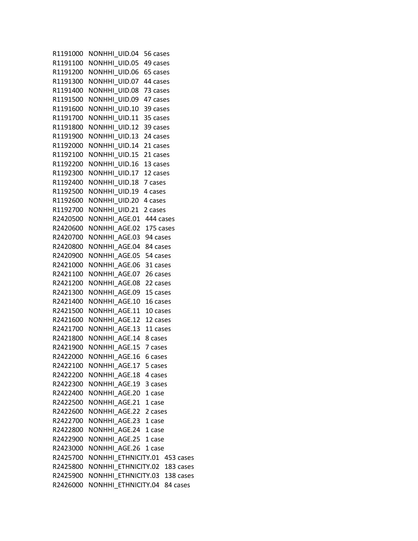R1191000 NONHHI\_UID.04 56 cases R1191100 NONHHI\_UID.05 49 cases R1191200 NONHHI UID.06 65 cases R1191300 NONHHI UID.07 44 cases R1191400 NONHHI UID.08 73 cases R1191500 NONHHI\_UID.09 47 cases R1191600 NONHHI\_UID.10 39 cases R1191700 NONHHI UID.11 35 cases R1191800 NONHHI UID.12 39 cases R1191900 NONHHI UID.13 24 cases R1192000 NONHHI UID.14 21 cases R1192100 NONHHI UID.15 21 cases R1192200 NONHHI\_UID.16 13 cases R1192300 NONHHI UID.17 12 cases R1192400 NONHHI UID.18 7 cases R1192500 NONHHI\_UID.19 4 cases R1192600 NONHHI\_UID.20 4 cases R1192700 NONHHI\_UID.21 2 cases R2420500 NONHHI\_AGE.01 444 cases R2420600 NONHHI\_AGE.02 175 cases R2420700 NONHHI AGE.03 94 cases R2420800 NONHHI\_AGE.04 84 cases R2420900 NONHHI AGE.05 54 cases R2421000 NONHHI\_AGE.06 31 cases R2421100 NONHHI AGE.07 26 cases R2421200 NONHHI\_AGE.08 22 cases R2421300 NONHHI AGE.09 15 cases R2421400 NONHHI AGE.10 16 cases R2421500 NONHHI\_AGE.11 10 cases R2421600 NONHHI AGE.12 12 cases R2421700 NONHHI\_AGE.13 11 cases R2421800 NONHHI\_AGE.14 8 cases R2421900 NONHHI AGE.15 7 cases R2422000 NONHHI AGE.16 6 cases R2422100 NONHHI AGE.17 5 cases R2422200 NONHHI AGE.18 4 cases R2422300 NONHHI AGE.19 3 cases R2422400 NONHHI\_AGE.20 1 case R2422500 NONHHI\_AGE.21 1 case R2422600 NONHHI\_AGE.22 2 cases R2422700 NONHHI\_AGE.23 1 case R2422800 NONHHI\_AGE.24 1 case R2422900 NONHHI\_AGE.25 1 case R2423000 NONHHI\_AGE.26 1 case R2425700 NONHHI ETHNICITY.01 453 cases R2425800 NONHHI ETHNICITY.02 183 cases R2425900 NONHHI ETHNICITY.03 138 cases R2426000 NONHHI ETHNICITY.04 84 cases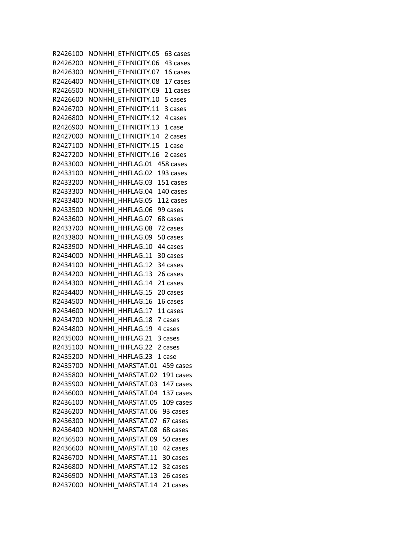R2426100 NONHHI ETHNICITY.05 63 cases R2426200 NONHHI ETHNICITY.06 43 cases R2426300 NONHHI ETHNICITY.07 16 cases R2426400 NONHHI\_ETHNICITY.08 17 cases R2426500 NONHHI ETHNICITY.09 11 cases R2426600 NONHHI ETHNICITY.10 5 cases R2426700 NONHHI\_ETHNICITY.11 3 cases R2426800 NONHHI\_ETHNICITY.12 4 cases R2426900 NONHHI ETHNICITY.13 1 case R2427000 NONHHI\_ETHNICITY.14 2 cases R2427100 NONHHI ETHNICITY.15 1 case R2427200 NONHHI ETHNICITY.16 2 cases R2433000 NONHHI\_HHFLAG.01 458 cases R2433100 NONHHI\_HHFLAG.02 193 cases R2433200 NONHHI\_HHFLAG.03 151 cases R2433300 NONHHI\_HHFLAG.04 140 cases R2433400 NONHHI\_HHFLAG.05 112 cases R2433500 NONHHI\_HHFLAG.06 99 cases R2433600 NONHHI\_HHFLAG.07 68 cases R2433700 NONHHI\_HHFLAG.08 72 cases R2433800 NONHHI\_HHFLAG.09 50 cases R2433900 NONHHI\_HHFLAG.10 44 cases R2434000 NONHHI HHFLAG.11 30 cases R2434100 NONHHI\_HHFLAG.12 34 cases R2434200 NONHHI\_HHFLAG.13 26 cases R2434300 NONHHI\_HHFLAG.14 21 cases R2434400 NONHHI\_HHFLAG.15 20 cases R2434500 NONHHI\_HHFLAG.16 16 cases R2434600 NONHHI\_HHFLAG.17 11 cases R2434700 NONHHI HHFLAG.18 7 cases R2434800 NONHHI\_HHFLAG.19 4 cases R2435000 NONHHI HHFLAG.21 3 cases R2435100 NONHHI HHFLAG.22 2 cases R2435200 NONHHI HHFLAG.23 1 case R2435700 NONHHI MARSTAT.01 459 cases R2435800 NONHHI\_MARSTAT.02 191 cases R2435900 NONHHI\_MARSTAT.03 147 cases R2436000 NONHHI\_MARSTAT.04 137 cases R2436100 NONHHI\_MARSTAT.05 109 cases R2436200 NONHHI\_MARSTAT.06 93 cases R2436300 NONHHI\_MARSTAT.07 67 cases R2436400 NONHHI\_MARSTAT.08 68 cases R2436500 NONHHI\_MARSTAT.09 50 cases R2436600 NONHHI MARSTAT.10 42 cases R2436700 NONHHI MARSTAT.11 30 cases R2436800 NONHHI MARSTAT.12 32 cases R2436900 NONHHI MARSTAT.13 26 cases R2437000 NONHHI MARSTAT.14 21 cases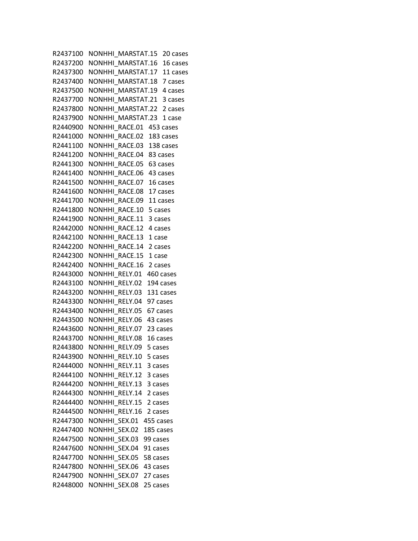R2437100 NONHHI MARSTAT.15 20 cases R2437200 NONHHI MARSTAT.16 16 cases R2437300 NONHHI MARSTAT.17 11 cases R2437400 NONHHI MARSTAT.18 7 cases R2437500 NONHHI MARSTAT.19 4 cases R2437700 NONHHI\_MARSTAT.21 3 cases R2437800 NONHHI\_MARSTAT.22 2 cases R2437900 NONHHI MARSTAT.23 1 case R2440900 NONHHI RACE.01 453 cases R2441000 NONHHI\_RACE.02 183 cases R2441100 NONHHI RACE.03 138 cases R2441200 NONHHI RACE.04 83 cases R2441300 NONHHI RACE.05 63 cases R2441400 NONHHI RACE.06 43 cases R2441500 NONHHI RACE.07 16 cases R2441600 NONHHI RACE.08 17 cases R2441700 NONHHI\_RACE.09 11 cases R2441800 NONHHI\_RACE.10 5 cases R2441900 NONHHI RACE.11 3 cases R2442000 NONHHI RACE.12 4 cases R2442100 NONHHI RACE.13 1 case R2442200 NONHHI RACE.14 2 cases R2442300 NONHHI RACE.15 1 case R2442400 NONHHI RACE.16 2 cases R2443000 NONHHI RELY.01 460 cases R2443100 NONHHI RELY.02 194 cases R2443200 NONHHI RELY.03 131 cases R2443300 NONHHI\_RELY.04 97 cases R2443400 NONHHI\_RELY.05 67 cases R2443500 NONHHI RELY.06 43 cases R2443600 NONHHI\_RELY.07 23 cases R2443700 NONHHI\_RELY.08 16 cases R2443800 NONHHI RELY.09 5 cases R2443900 NONHHI RELY.10 5 cases R2444000 NONHHI RELY.11 3 cases R2444100 NONHHI RELY.12 3 cases R2444200 NONHHI RELY.13 3 cases R2444300 NONHHI RELY.14 2 cases R2444400 NONHHI\_RELY.15 2 cases R2444500 NONHHI RELY.16 2 cases R2447300 NONHHI\_SEX.01 455 cases R2447400 NONHHI SEX.02 185 cases R2447500 NONHHI\_SEX.03 99 cases R2447600 NONHHI\_SEX.04 91 cases R2447700 NONHHI\_SEX.05 58 cases R2447800 NONHHI\_SEX.06 43 cases R2447900 NONHHI\_SEX.07 27 cases R2448000 NONHHI\_SEX.08 25 cases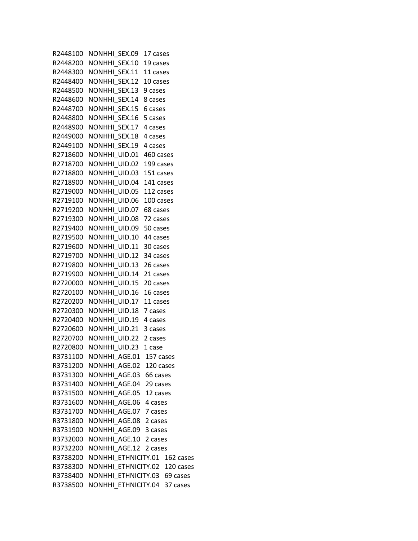R2448100 NONHHI\_SEX.09 17 cases R2448200 NONHHI\_SEX.10 19 cases R2448300 NONHHI SEX.11 11 cases R2448400 NONHHI SEX.12 10 cases R2448500 NONHHI SEX.13 9 cases R2448600 NONHHI\_SEX.14 8 cases R2448700 NONHHI\_SEX.15 6 cases R2448800 NONHHI SEX.16 5 cases R2448900 NONHHI SEX.17 4 cases R2449000 NONHHI SEX.18 4 cases R2449100 NONHHI SEX.19 4 cases R2718600 NONHHI UID.01 460 cases R2718700 NONHHI\_UID.02 199 cases R2718800 NONHHI UID.03 151 cases R2718900 NONHHI UID.04 141 cases R2719000 NONHHI\_UID.05 112 cases R2719100 NONHHI\_UID.06 100 cases R2719200 NONHHI\_UID.07 68 cases R2719300 NONHHI UID.08 72 cases R2719400 NONHHI UID.09 50 cases R2719500 NONHHI UID.10 44 cases R2719600 NONHHI UID.11 30 cases R2719700 NONHHI UID.12 34 cases R2719800 NONHHI UID.13 26 cases R2719900 NONHHI\_UID.14 21 cases R2720000 NONHHI UID.15 20 cases R2720100 NONHHI\_UID.16 16 cases R2720200 NONHHI\_UID.17 11 cases R2720300 NONHHI\_UID.18 7 cases R2720400 NONHHI UID.19 4 cases R2720600 NONHHI UID.21 3 cases R2720700 NONHHI\_UID.22 2 cases R2720800 NONHHI UID.23 1 case R3731100 NONHHI AGE.01 157 cases R3731200 NONHHI\_AGE.02 120 cases R3731300 NONHHI AGE.03 66 cases R3731400 NONHHI AGE.04 29 cases R3731500 NONHHI AGE.05 12 cases R3731600 NONHHI\_AGE.06 4 cases R3731700 NONHHI\_AGE.07 7 cases R3731800 NONHHI\_AGE.08 2 cases R3731900 NONHHI AGE.09 3 cases R3732000 NONHHI\_AGE.10 2 cases R3732200 NONHHI AGE.12 2 cases R3738200 NONHHI ETHNICITY.01 162 cases R3738300 NONHHI ETHNICITY.02 120 cases R3738400 NONHHI ETHNICITY.03 69 cases R3738500 NONHHI ETHNICITY.04 37 cases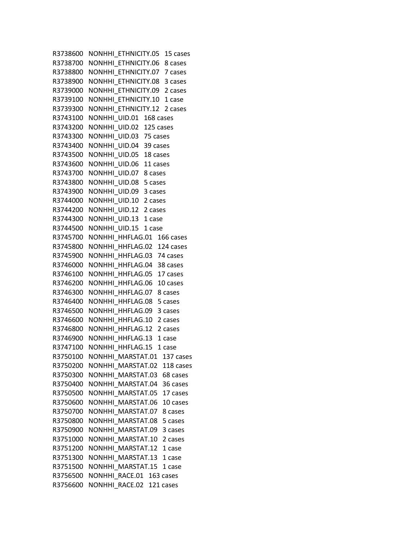R3738600 NONHHI ETHNICITY.05 15 cases R3738700 NONHHI ETHNICITY.06 8 cases R3738800 NONHHI ETHNICITY.07 7 cases R3738900 NONHHI\_ETHNICITY.08 3 cases R3739000 NONHHI ETHNICITY.09 2 cases R3739100 NONHHI ETHNICITY.10 1 case R3739300 NONHHI\_ETHNICITY.12 2 cases R3743100 NONHHI UID.01 168 cases R3743200 NONHHI\_UID.02 125 cases R3743300 NONHHI\_UID.03 75 cases R3743400 NONHHI UID.04 39 cases R3743500 NONHHI UID.05 18 cases R3743600 NONHHI\_UID.06 11 cases R3743700 NONHHI UID.07 8 cases R3743800 NONHHI UID.08 5 cases R3743900 NONHHI\_UID.09 3 cases R3744000 NONHHI\_UID.10 2 cases R3744200 NONHHI\_UID.12 2 cases R3744300 NONHHI UID.13 1 case R3744500 NONHHI UID.15 1 case R3745700 NONHHI HHFLAG.01 166 cases R3745800 NONHHI\_HHFLAG.02 124 cases R3745900 NONHHI HHFLAG.03 74 cases R3746000 NONHHI\_HHFLAG.04 38 cases R3746100 NONHHI HHFLAG.05 17 cases R3746200 NONHHI\_HHFLAG.06 10 cases R3746300 NONHHI\_HHFLAG.07 8 cases R3746400 NONHHI HHFLAG.08 5 cases R3746500 NONHHI\_HHFLAG.09 3 cases R3746600 NONHHI HHFLAG.10 2 cases R3746800 NONHHI HHFLAG.12 2 cases R3746900 NONHHI HHFLAG.13 1 case R3747100 NONHHI HHFLAG.15 1 case R3750100 NONHHI MARSTAT.01 137 cases R3750200 NONHHI MARSTAT.02 118 cases R3750300 NONHHI\_MARSTAT.03 68 cases R3750400 NONHHI MARSTAT.04 36 cases R3750500 NONHHI MARSTAT.05 17 cases R3750600 NONHHI\_MARSTAT.06 10 cases R3750700 NONHHI MARSTAT.07 8 cases R3750800 NONHHI\_MARSTAT.08 5 cases R3750900 NONHHI\_MARSTAT.09 3 cases R3751000 NONHHI MARSTAT.10 2 cases R3751200 NONHHI MARSTAT.12 1 case R3751300 NONHHI MARSTAT.13 1 case R3751500 NONHHI MARSTAT.15 1 case R3756500 NONHHI RACE.01 163 cases R3756600 NONHHI RACE.02 121 cases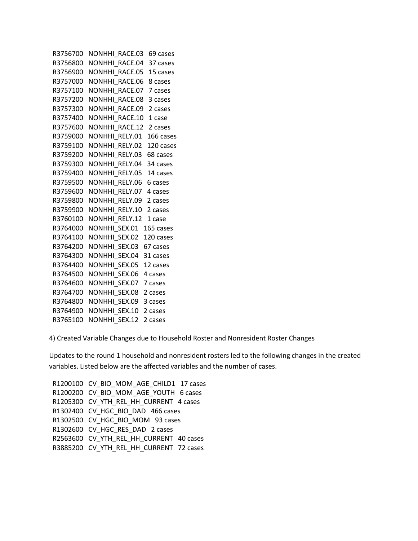```
R3756700 NONHHI_RACE.03 69 cases
 R3756800 NONHHI_RACE.04 37 cases 
R3756900 NONHHI RACE.05 15 cases
R3757000 NONHHI RACE.06 8 cases
 R3757100 NONHHI_RACE.07 7 cases 
 R3757200 NONHHI_RACE.08 3 cases 
 R3757300 NONHHI_RACE.09 2 cases 
R3757400 NONHHI RACE.10 1 case
 R3757600 NONHHI_RACE.12 2 cases 
R3759000 NONHHI RELY.01 166 cases
R3759100 NONHHI RELY.02 120 cases
R3759200 NONHHI RELY.03 68 cases
 R3759300 NONHHI_RELY.04 34 cases 
R3759400 NONHHI RELY.05 14 cases
R3759500 NONHHI RELY.06 6 cases
 R3759600 NONHHI_RELY.07 4 cases 
 R3759800 NONHHI_RELY.09 2 cases 
 R3759900 NONHHI_RELY.10 2 cases 
R3760100 NONHHI RELY.12 1 case
R3764000 NONHHI SEX.01 165 cases
R3764100 NONHHI SEX.02 120 cases
R3764200 NONHHI SEX.03 67 cases
R3764300 NONHHI SEX.04 31 cases
R3764400 NONHHI SEX.05 12 cases
 R3764500 NONHHI_SEX.06 4 cases 
R3764600 NONHHI SEX.07 7 cases
R3764700 NONHHI SEX.08 2 cases
R3764800 NONHHI SEX.09 3 cases
 R3764900 NONHHI_SEX.10 2 cases 
R3765100 NONHHI SEX.12 2 cases
```
4) Created Variable Changes due to Household Roster and Nonresident Roster Changes

Updates to the round 1 household and nonresident rosters led to the following changes in the created variables. Listed below are the affected variables and the number of cases.

R1200100 CV BIO MOM AGE CHILD1 17 cases R1200200 CV BIO MOM AGE YOUTH 6 cases R1205300 CV\_YTH\_REL\_HH\_CURRENT 4 cases R1302400 CV HGC BIO DAD 466 cases R1302500 CV\_HGC\_BIO\_MOM 93 cases R1302600 CV\_HGC\_RES\_DAD 2 cases R2563600 CV\_YTH\_REL\_HH\_CURRENT 40 cases R3885200 CV YTH REL HH CURRENT 72 cases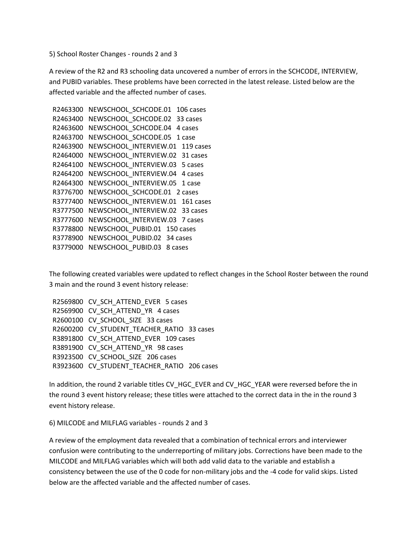5) School Roster Changes - rounds 2 and 3

A review of the R2 and R3 schooling data uncovered a number of errors in the SCHCODE, INTERVIEW, and PUBID variables. These problems have been corrected in the latest release. Listed below are the affected variable and the affected number of cases.

```
R2463300 NEWSCHOOL SCHCODE.01 106 cases
R2463400 NEWSCHOOL SCHCODE.02 33 cases
R2463600 NEWSCHOOL SCHCODE.04 4 cases
R2463700 NEWSCHOOL SCHCODE.05 1 case
R2463900 NEWSCHOOL INTERVIEW.01 119 cases
R2464000 NEWSCHOOL INTERVIEW.02 31 cases
R2464100 NEWSCHOOL INTERVIEW.03 5 cases
R2464200 NEWSCHOOL INTERVIEW.04 4 cases
R2464300 NEWSCHOOL INTERVIEW.05 1 case
R3776700 NEWSCHOOL SCHCODE.01 2 cases
R3777400 NEWSCHOOL INTERVIEW.01 161 cases
R3777500 NEWSCHOOL INTERVIEW.02 33 cases
 R3777600 NEWSCHOOL_INTERVIEW.03 7 cases 
 R3778800 NEWSCHOOL_PUBID.01 150 cases 
 R3778900 NEWSCHOOL_PUBID.02 34 cases 
R3779000 NEWSCHOOL PUBID.03 8 cases
```
The following created variables were updated to reflect changes in the School Roster between the round 3 main and the round 3 event history release:

|  | R2569800 CV_SCH_ATTEND_EVER 5 cases         |
|--|---------------------------------------------|
|  | R2569900 CV_SCH_ATTEND_YR 4 cases           |
|  | R2600100 CV SCHOOL SIZE 33 cases            |
|  | R2600200 CV STUDENT TEACHER RATIO 33 cases  |
|  | R3891800 CV SCH ATTEND EVER 109 cases       |
|  | R3891900 CV_SCH_ATTEND_YR_98 cases          |
|  | R3923500 CV SCHOOL SIZE 206 cases           |
|  | R3923600 CV_STUDENT_TEACHER_RATIO 206 cases |

In addition, the round 2 variable titles CV\_HGC\_EVER and CV\_HGC\_YEAR were reversed before the in the round 3 event history release; these titles were attached to the correct data in the in the round 3 event history release.

6) MILCODE and MILFLAG variables - rounds 2 and 3

A review of the employment data revealed that a combination of technical errors and interviewer confusion were contributing to the underreporting of military jobs. Corrections have been made to the MILCODE and MILFLAG variables which will both add valid data to the variable and establish a consistency between the use of the 0 code for non-military jobs and the -4 code for valid skips. Listed below are the affected variable and the affected number of cases.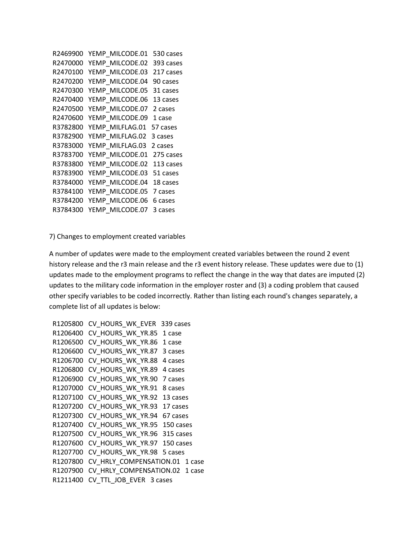```
 R2469900 YEMP_MILCODE.01 530 cases 
 R2470000 YEMP_MILCODE.02 393 cases 
 R2470100 YEMP_MILCODE.03 217 cases 
 R2470200 YEMP_MILCODE.04 90 cases 
 R2470300 YEMP_MILCODE.05 31 cases 
 R2470400 YEMP_MILCODE.06 13 cases 
 R2470500 YEMP_MILCODE.07 2 cases 
R2470600 YEMP MILCODE.09 1 case
 R3782800 YEMP_MILFLAG.01 57 cases 
R3782900 YEMP MILFLAG.02 3 cases
 R3783000 YEMP_MILFLAG.03 2 cases 
 R3783700 YEMP_MILCODE.01 275 cases 
 R3783800 YEMP_MILCODE.02 113 cases 
 R3783900 YEMP_MILCODE.03 51 cases 
 R3784000 YEMP_MILCODE.04 18 cases 
 R3784100 YEMP_MILCODE.05 7 cases 
 R3784200 YEMP_MILCODE.06 6 cases 
 R3784300 YEMP_MILCODE.07 3 cases
```
7) Changes to employment created variables

A number of updates were made to the employment created variables between the round 2 event history release and the r3 main release and the r3 event history release. These updates were due to (1) updates made to the employment programs to reflect the change in the way that dates are imputed (2) updates to the military code information in the employer roster and (3) a coding problem that caused other specify variables to be coded incorrectly. Rather than listing each round's changes separately, a complete list of all updates is below:

```
R1205800 CV HOURS WK EVER 339 cases
R1206400 CV HOURS WK YR.85 1 case
R1206500 CV HOURS WK YR.86 1 case
R1206600 CV HOURS_WK_YR.87 3 cases
R1206700 CV HOURS WK YR.88 4 cases
R1206800 CV HOURS WK YR.89 4 cases
R1206900 CV HOURS WK YR.90 7 cases
 R1207000 CV_HOURS_WK_YR.91 8 cases 
 R1207100 CV_HOURS_WK_YR.92 13 cases 
R1207200 CV HOURS WK YR.93 17 cases
 R1207300 CV_HOURS_WK_YR.94 67 cases 
 R1207400 CV_HOURS_WK_YR.95 150 cases 
 R1207500 CV_HOURS_WK_YR.96 315 cases 
 R1207600 CV_HOURS_WK_YR.97 150 cases 
R1207700 CV HOURS WK YR.98 5 cases
R1207800 CV HRLY_COMPENSATION.01 1 case
R1207900 CV HRLY COMPENSATION.02 1 case
 R1211400 CV_TTL_JOB_EVER 3 cases
```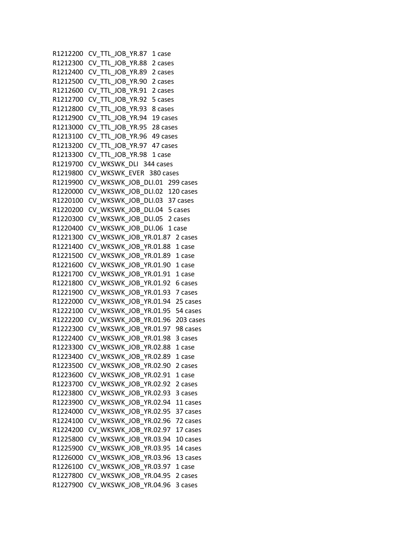```
 R1212200 CV_TTL_JOB_YR.87 1 case 
 R1212300 CV_TTL_JOB_YR.88 2 cases 
 R1212400 CV_TTL_JOB_YR.89 2 cases 
R1212500 CV TTL JOB YR.90 2 cases
R1212600 CV TTL JOB YR.91 2 cases
 R1212700 CV_TTL_JOB_YR.92 5 cases 
 R1212800 CV_TTL_JOB_YR.93 8 cases 
R1212900 CV TTL JOB YR.94 19 cases
 R1213000 CV_TTL_JOB_YR.95 28 cases 
R1213100 CV TTL JOB YR.96 49 cases
R1213200 CV TTL JOB YR.97 47 cases
 R1213300 CV_TTL_JOB_YR.98 1 case 
 R1219700 CV_WKSWK_DLI 344 cases 
 R1219800 CV_WKSWK_EVER 380 cases 
R1219900 CV WKSWK JOB DLI.01 299 cases
R1220000 CV WKSWK JOB DLI.02 120 cases
 R1220100 CV_WKSWK_JOB_DLI.03 37 cases 
 R1220200 CV_WKSWK_JOB_DLI.04 5 cases 
R1220300 CV WKSWK JOB DLI.05 2 cases
R1220400 CV WKSWK JOB DLI.06 1 case
R1221300 CV WKSWK JOB YR.01.87 2 cases
R1221400 CV WKSWK JOB YR.01.88 1 case
 R1221500 CV_WKSWK_JOB_YR.01.89 1 case 
 R1221600 CV_WKSWK_JOB_YR.01.90 1 case 
 R1221700 CV_WKSWK_JOB_YR.01.91 1 case 
R1221800 CV WKSWK JOB YR.01.92 6 cases
R1221900 CV WKSWK JOB YR.01.93 7 cases
 R1222000 CV_WKSWK_JOB_YR.01.94 25 cases 
 R1222100 CV_WKSWK_JOB_YR.01.95 54 cases 
R1222200 CV WKSWK JOB YR.01.96 203 cases
 R1222300 CV_WKSWK_JOB_YR.01.97 98 cases 
 R1222400 CV_WKSWK_JOB_YR.01.98 3 cases 
R1223300 CV WKSWK JOB YR.02.88 1 case
R1223400 CV WKSWK JOB YR.02.89 1 case
R1223500 CV WKSWK_JOB_YR.02.90 2 cases
R1223600 CV WKSWK JOB YR.02.91 1 case
 R1223700 CV_WKSWK_JOB_YR.02.92 2 cases 
R1223800 CV WKSWK JOB YR.02.93 3 cases
 R1223900 CV_WKSWK_JOB_YR.02.94 11 cases 
R1224000 CV_WKSWK_JOB_YR.02.95 37 cases 
 R1224100 CV_WKSWK_JOB_YR.02.96 72 cases 
R1224200 CV WKSWK JOB YR.02.97 17 cases
 R1225800 CV_WKSWK_JOB_YR.03.94 10 cases 
R1225900 CV WKSWK JOB YR.03.95 14 cases
R1226000 CV WKSWK JOB YR.03.96 13 cases
R1226100 CV WKSWK JOB YR.03.97 1 case
 R1227800 CV_WKSWK_JOB_YR.04.95 2 cases 
R1227900 CV WKSWK JOB YR.04.96 3 cases
```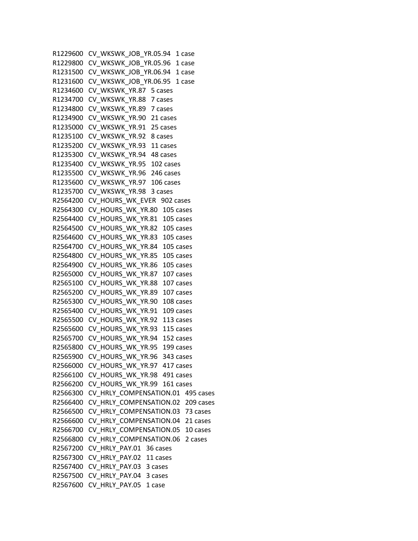R1229600 CV WKSWK JOB YR.05.94 1 case R1229800 CV\_WKSWK\_JOB\_YR.05.96 1 case R1231500 CV\_WKSWK\_JOB\_YR.06.94 1 case R1231600 CV WKSWK JOB YR.06.95 1 case R1234600 CV WKSWK YR.87 5 cases R1234700 CV\_WKSWK\_YR.88 7 cases R1234800 CV\_WKSWK\_YR.89 7 cases R1234900 CV\_WKSWK\_YR.90 21 cases R1235000 CV\_WKSWK\_YR.91 25 cases R1235100 CV WKSWK YR.92 8 cases R1235200 CV\_WKSWK\_YR.93 11 cases R1235300 CV\_WKSWK\_YR.94 48 cases R1235400 CV\_WKSWK\_YR.95 102 cases R1235500 CV\_WKSWK\_YR.96 246 cases R1235600 CV\_WKSWK\_YR.97 106 cases R1235700 CV\_WKSWK\_YR.98 3 cases R2564200 CV\_HOURS\_WK\_EVER 902 cases R2564300 CV\_HOURS\_WK\_YR.80 105 cases R2564400 CV HOURS WK YR.81 105 cases R2564500 CV\_HOURS\_WK\_YR.82 105 cases R2564600 CV HOURS WK YR.83 105 cases R2564700 CV\_HOURS\_WK\_YR.84 105 cases R2564800 CV\_HOURS\_WK\_YR.85 105 cases R2564900 CV\_HOURS\_WK\_YR.86 105 cases R2565000 CV\_HOURS\_WK\_YR.87 107 cases R2565100 CV HOURS WK YR.88 107 cases R2565200 CV HOURS WK YR.89 107 cases R2565300 CV\_HOURS\_WK\_YR.90 108 cases R2565400 CV\_HOURS\_WK\_YR.91 109 cases R2565500 CV HOURS WK YR.92 113 cases R2565600 CV\_HOURS\_WK\_YR.93 115 cases R2565700 CV\_HOURS\_WK\_YR.94 152 cases R2565800 CV HOURS WK YR.95 199 cases R2565900 CV\_HOURS\_WK\_YR.96 343 cases R2566000 CV HOURS WK YR.97 417 cases R2566100 CV\_HOURS\_WK\_YR.98 491 cases R2566200 CV\_HOURS\_WK\_YR.99 161 cases R2566300 CV HRLY COMPENSATION.01 495 cases R2566400 CV\_HRLY\_COMPENSATION.02 209 cases R2566500 CV\_HRLY\_COMPENSATION.03 73 cases R2566600 CV\_HRLY\_COMPENSATION.04 21 cases R2566700 CV HRLY COMPENSATION.05 10 cases R2566800 CV\_HRLY\_COMPENSATION.06 2 cases R2567200 CV\_HRLY\_PAY.01 36 cases R2567300 CV\_HRLY\_PAY.02 11 cases R2567400 CV\_HRLY\_PAY.03 3 cases R2567500 CV\_HRLY\_PAY.04 3 cases R2567600 CV HRLY PAY.05 1 case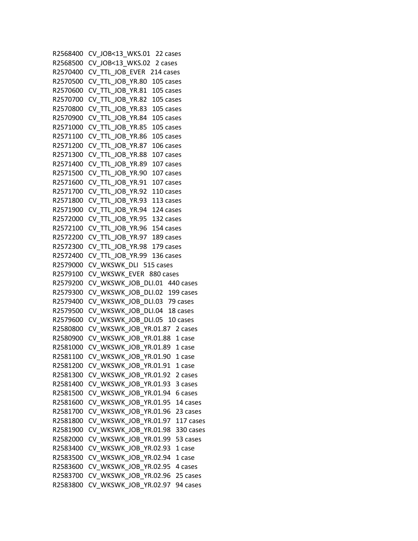```
 R2568400 CV_JOB<13_WKS.01 22 cases 
 R2568500 CV_JOB<13_WKS.02 2 cases 
 R2570400 CV_TTL_JOB_EVER 214 cases 
 R2570500 CV_TTL_JOB_YR.80 105 cases 
 R2570600 CV_TTL_JOB_YR.81 105 cases 
 R2570700 CV_TTL_JOB_YR.82 105 cases 
 R2570800 CV_TTL_JOB_YR.83 105 cases 
 R2570900 CV_TTL_JOB_YR.84 105 cases 
 R2571000 CV_TTL_JOB_YR.85 105 cases 
 R2571100 CV_TTL_JOB_YR.86 105 cases 
 R2571200 CV_TTL_JOB_YR.87 106 cases 
 R2571300 CV_TTL_JOB_YR.88 107 cases 
 R2571400 CV_TTL_JOB_YR.89 107 cases 
 R2571500 CV_TTL_JOB_YR.90 107 cases 
 R2571600 CV_TTL_JOB_YR.91 107 cases 
 R2571700 CV_TTL_JOB_YR.92 110 cases 
 R2571800 CV_TTL_JOB_YR.93 113 cases 
 R2571900 CV_TTL_JOB_YR.94 124 cases 
 R2572000 CV_TTL_JOB_YR.95 132 cases 
 R2572100 CV_TTL_JOB_YR.96 154 cases 
 R2572200 CV_TTL_JOB_YR.97 189 cases 
 R2572300 CV_TTL_JOB_YR.98 179 cases 
 R2572400 CV_TTL_JOB_YR.99 136 cases 
 R2579000 CV_WKSWK_DLI 515 cases 
 R2579100 CV_WKSWK_EVER 880 cases 
R2579200 CV WKSWK JOB DLI.01 440 cases
R2579300 CV WKSWK JOB DLI.02 199 cases
 R2579400 CV_WKSWK_JOB_DLI.03 79 cases 
 R2579500 CV_WKSWK_JOB_DLI.04 18 cases 
R2579600 CV WKSWK JOB DLI.05 10 cases
R2580800 CV WKSWK JOB YR.01.87 2 cases
 R2580900 CV_WKSWK_JOB_YR.01.88 1 case 
R2581000 CV WKSWK JOB YR.01.89 1 case
R2581100 CV WKSWK JOB YR.01.90 1 case
R2581200 CV WKSWK JOB YR.01.91 1 case
R2581300 CV WKSWK JOB YR.01.92 2 cases
 R2581400 CV_WKSWK_JOB_YR.01.93 3 cases 
R2581500 CV WKSWK JOB YR.01.94 6 cases
 R2581600 CV_WKSWK_JOB_YR.01.95 14 cases 
 R2581700 CV_WKSWK_JOB_YR.01.96 23 cases 
 R2581800 CV_WKSWK_JOB_YR.01.97 117 cases 
 R2581900 CV_WKSWK_JOB_YR.01.98 330 cases 
 R2582000 CV_WKSWK_JOB_YR.01.99 53 cases 
R2583400 CV WKSWK JOB YR.02.93 1 case
R2583500 CV WKSWK JOB YR.02.94 1 case
 R2583600 CV_WKSWK_JOB_YR.02.95 4 cases 
 R2583700 CV_WKSWK_JOB_YR.02.96 25 cases 
R2583800 CV WKSWK JOB YR.02.97 94 cases
```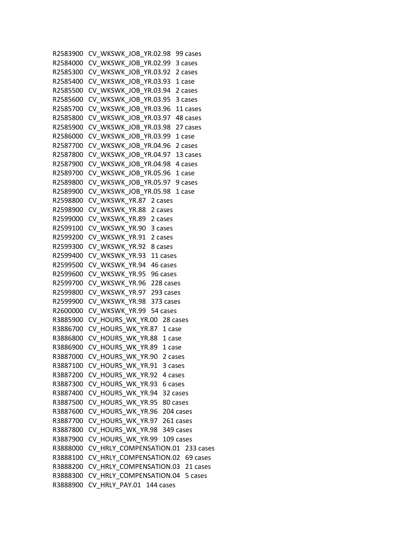```
 R2583900 CV_WKSWK_JOB_YR.02.98 99 cases 
 R2584000 CV_WKSWK_JOB_YR.02.99 3 cases 
 R2585300 CV_WKSWK_JOB_YR.03.92 2 cases 
R2585400 CV WKSWK JOB YR.03.93 1 case
 R2585500 CV_WKSWK_JOB_YR.03.94 2 cases 
 R2585600 CV_WKSWK_JOB_YR.03.95 3 cases 
 R2585700 CV_WKSWK_JOB_YR.03.96 11 cases 
 R2585800 CV_WKSWK_JOB_YR.03.97 48 cases 
 R2585900 CV_WKSWK_JOB_YR.03.98 27 cases 
R2586000 CV WKSWK JOB YR.03.99 1 case
R2587700 CV WKSWK JOB YR.04.96 2 cases
 R2587800 CV_WKSWK_JOB_YR.04.97 13 cases 
 R2587900 CV_WKSWK_JOB_YR.04.98 4 cases 
R2589700 CV WKSWK JOB YR.05.96 1 case
R2589800 CV WKSWK JOB YR.05.97 9 cases
R2589900 CV WKSWK JOB YR.05.98 1 case
 R2598800 CV_WKSWK_YR.87 2 cases 
 R2598900 CV_WKSWK_YR.88 2 cases 
R2599000 CV WKSWK YR.89 2 cases
 R2599100 CV_WKSWK_YR.90 3 cases 
R2599200 CV WKSWK YR.91 2 cases
 R2599300 CV_WKSWK_YR.92 8 cases 
R2599400 CV WKSWK YR.93 11 cases
 R2599500 CV_WKSWK_YR.94 46 cases 
 R2599600 CV_WKSWK_YR.95 96 cases 
 R2599700 CV_WKSWK_YR.96 228 cases 
 R2599800 CV_WKSWK_YR.97 293 cases 
 R2599900 CV_WKSWK_YR.98 373 cases 
 R2600000 CV_WKSWK_YR.99 54 cases 
R3885900 CV HOURS WK YR.00 28 cases
R3886700 CV HOURS WK YR.87 1 case
 R3886800 CV_HOURS_WK_YR.88 1 case 
R3886900 CV HOURS WK YR.89 1 case
R3887000 CV HOURS WK YR.90 2 cases
R3887100 CV HOURS_WK_YR.91 3 cases
R3887200 CV HOURS WK YR.92 4 cases
R3887300 CV HOURS WK YR.93 6 cases
R3887400 CV HOURS WK YR.94 32 cases
 R3887500 CV_HOURS_WK_YR.95 80 cases 
 R3887600 CV_HOURS_WK_YR.96 204 cases 
 R3887700 CV_HOURS_WK_YR.97 261 cases 
R3887800 CV HOURS WK YR.98 349 cases
 R3887900 CV_HOURS_WK_YR.99 109 cases 
R3888000 CV HRLY COMPENSATION.01 233 cases
R3888100 CV HRLY COMPENSATION.02 69 cases
R3888200 CV HRLY COMPENSATION.03 21 cases
R3888300 CV HRLY COMPENSATION.04 5 cases
 R3888900 CV_HRLY_PAY.01 144 cases
```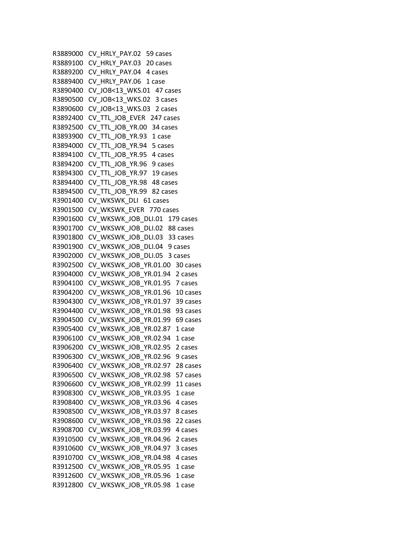```
 R3889000 CV_HRLY_PAY.02 59 cases 
 R3889100 CV_HRLY_PAY.03 20 cases 
R3889200 CV HRLY PAY.04 4 cases
R3889400 CV HRLY PAY.06 1 case
R3890400 CV JOB<13 WKS.01 47 cases
 R3890500 CV_JOB<13_WKS.02 3 cases 
 R3890600 CV_JOB<13_WKS.03 2 cases 
R3892400 CV TTL JOB EVER 247 cases
 R3892500 CV_TTL_JOB_YR.00 34 cases 
R3893900 CV TTL JOB YR.93 1 case
R3894000 CV TTL JOB YR.94 5 cases
R3894100 CV TTL JOB YR.95 4 cases
 R3894200 CV_TTL_JOB_YR.96 9 cases 
 R3894300 CV_TTL_JOB_YR.97 19 cases 
R3894400 CV TTL JOB YR.98 48 cases
 R3894500 CV_TTL_JOB_YR.99 82 cases 
 R3901400 CV_WKSWK_DLI 61 cases 
 R3901500 CV_WKSWK_EVER 770 cases 
R3901600 CV WKSWK JOB DLI.01 179 cases
R3901700 CV WKSWK JOB DLI.02 88 cases
R3901800 CV WKSWK JOB DLI.03 33 cases
R3901900 CV WKSWK JOB DLI.04 9 cases
R3902000 CV WKSWK JOB DLI.05 3 cases
R3902500 CV WKSWK JOB YR.01.00 30 cases
 R3904000 CV_WKSWK_JOB_YR.01.94 2 cases 
R3904100 CV WKSWK JOB YR.01.95 7 cases
R3904200 CV WKSWK JOB YR.01.96 10 cases
 R3904300 CV_WKSWK_JOB_YR.01.97 39 cases 
 R3904400 CV_WKSWK_JOB_YR.01.98 93 cases 
R3904500 CV WKSWK JOB YR.01.99 69 cases
R3905400 CV WKSWK JOB YR.02.87 1 case
 R3906100 CV_WKSWK_JOB_YR.02.94 1 case 
R3906200 CV WKSWK JOB YR.02.95 2 cases
R3906300 CV WKSWK JOB YR.02.96 9 cases
R3906400 CV WKSWK JOB YR.02.97 28 cases
R3906500 CV WKSWK JOB YR.02.98 57 cases
R3906600 CV WKSWK JOB YR.02.99 11 cases
R3908300 CV WKSWK JOB YR.03.95 1 case
 R3908400 CV_WKSWK_JOB_YR.03.96 4 cases 
 R3908500 CV_WKSWK_JOB_YR.03.97 8 cases 
 R3908600 CV_WKSWK_JOB_YR.03.98 22 cases 
R3908700 CV WKSWK JOB YR.03.99 4 cases
 R3910500 CV_WKSWK_JOB_YR.04.96 2 cases 
R3910600 CV WKSWK JOB YR.04.97 3 cases
R3910700 CV WKSWK JOB YR.04.98 4 cases
R3912500 CV WKSWK JOB YR.05.95 1 case
R3912600 CV WKSWK JOB YR.05.96 1 case
R3912800 CV WKSWK JOB YR.05.98 1 case
```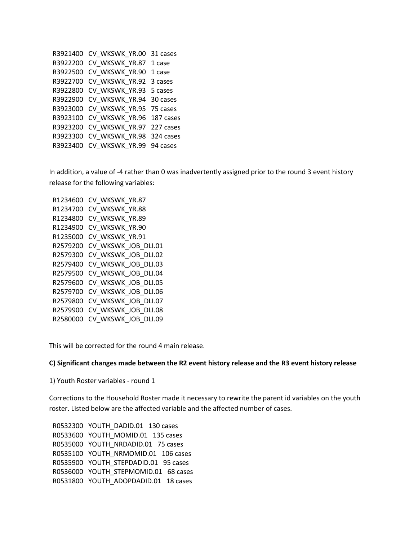```
 R3921400 CV_WKSWK_YR.00 31 cases 
 R3922200 CV_WKSWK_YR.87 1 case 
 R3922500 CV_WKSWK_YR.90 1 case 
R3922700 CV WKSWK YR.92 3 cases
 R3922800 CV_WKSWK_YR.93 5 cases 
 R3922900 CV_WKSWK_YR.94 30 cases 
 R3923000 CV_WKSWK_YR.95 75 cases 
 R3923100 CV_WKSWK_YR.96 187 cases 
 R3923200 CV_WKSWK_YR.97 227 cases 
 R3923300 CV_WKSWK_YR.98 324 cases 
R3923400 CV WKSWK YR.99 94 cases
```
In addition, a value of -4 rather than 0 was inadvertently assigned prior to the round 3 event history release for the following variables:

 R1234600 CV\_WKSWK\_YR.87 R1234700 CV\_WKSWK\_YR.88 R1234800 CV\_WKSWK\_YR.89 R1234900 CV\_WKSWK\_YR.90 R1235000 CV\_WKSWK\_YR.91 R2579200 CV\_WKSWK\_JOB\_DLI.01 R2579300 CV\_WKSWK\_JOB\_DLI.02 R2579400 CV\_WKSWK\_JOB\_DLI.03 R2579500 CV\_WKSWK\_JOB\_DLI.04 R2579600 CV\_WKSWK\_JOB\_DLI.05 R2579700 CV WKSWK JOB DLI.06 R2579800 CV\_WKSWK\_JOB\_DLI.07 R2579900 CV\_WKSWK\_JOB\_DLI.08 R2580000 CV\_WKSWK\_JOB\_DLI.09

This will be corrected for the round 4 main release.

#### **C) Significant changes made between the R2 event history release and the R3 event history release**

1) Youth Roster variables - round 1

Corrections to the Household Roster made it necessary to rewrite the parent id variables on the youth roster. Listed below are the affected variable and the affected number of cases.

 R0532300 YOUTH\_DADID.01 130 cases R0533600 YOUTH\_MOMID.01 135 cases R0535000 YOUTH\_NRDADID.01 75 cases R0535100 YOUTH\_NRMOMID.01 106 cases R0535900 YOUTH\_STEPDADID.01 95 cases R0536000 YOUTH STEPMOMID.01 68 cases R0531800 YOUTH\_ADOPDADID.01 18 cases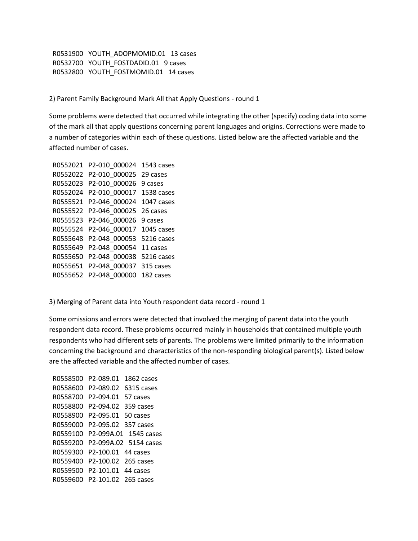R0531900 YOUTH\_ADOPMOMID.01 13 cases R0532700 YOUTH\_FOSTDADID.01 9 cases R0532800 YOUTH FOSTMOMID.01 14 cases

2) Parent Family Background Mark All that Apply Questions - round 1

Some problems were detected that occurred while integrating the other (specify) coding data into some of the mark all that apply questions concerning parent languages and origins. Corrections were made to a number of categories within each of these questions. Listed below are the affected variable and the affected number of cases.

```
 R0552021 P2-010_000024 1543 cases 
 R0552022 P2-010_000025 29 cases 
 R0552023 P2-010_000026 9 cases 
 R0552024 P2-010_000017 1538 cases 
 R0555521 P2-046_000024 1047 cases 
 R0555522 P2-046_000025 26 cases 
 R0555523 P2-046_000026 9 cases 
 R0555524 P2-046_000017 1045 cases 
 R0555648 P2-048_000053 5216 cases 
 R0555649 P2-048_000054 11 cases 
 R0555650 P2-048_000038 5216 cases 
 R0555651 P2-048_000037 315 cases 
 R0555652 P2-048_000000 182 cases
```
3) Merging of Parent data into Youth respondent data record - round 1

Some omissions and errors were detected that involved the merging of parent data into the youth respondent data record. These problems occurred mainly in households that contained multiple youth respondents who had different sets of parents. The problems were limited primarily to the information concerning the background and characteristics of the non-responding biological parent(s). Listed below are the affected variable and the affected number of cases.

 R0558500 P2-089.01 1862 cases R0558600 P2-089.02 6315 cases R0558700 P2-094.01 57 cases R0558800 P2-094.02 359 cases R0558900 P2-095.01 50 cases R0559000 P2-095.02 357 cases R0559100 P2-099A.01 1545 cases R0559200 P2-099A.02 5154 cases R0559300 P2-100.01 44 cases R0559400 P2-100.02 265 cases R0559500 P2-101.01 44 cases R0559600 P2-101.02 265 cases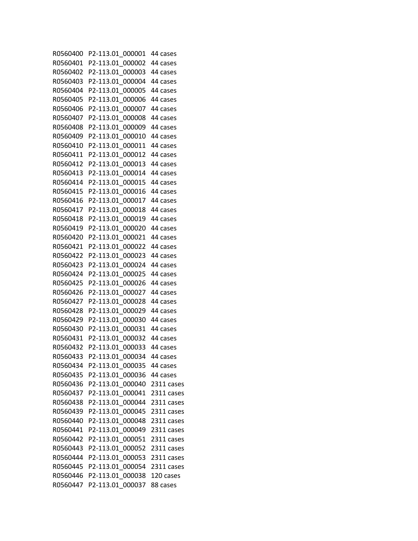R0560400 P2-113.01\_000001 44 cases R0560401 P2-113.01\_000002 44 cases R0560402 P2-113.01\_000003 44 cases R0560403 P2-113.01\_000004 44 cases R0560404 P2-113.01\_000005 44 cases R0560405 P2-113.01\_000006 44 cases R0560406 P2-113.01\_000007 44 cases R0560407 P2-113.01\_000008 44 cases R0560408 P2-113.01\_000009 44 cases R0560409 P2-113.01\_000010 44 cases R0560410 P2-113.01\_000011 44 cases R0560411 P2-113.01\_000012 44 cases R0560412 P2-113.01\_000013 44 cases R0560413 P2-113.01\_000014 44 cases R0560414 P2-113.01\_000015 44 cases R0560415 P2-113.01\_000016 44 cases R0560416 P2-113.01\_000017 44 cases R0560417 P2-113.01\_000018 44 cases R0560418 P2-113.01\_000019 44 cases R0560419 P2-113.01\_000020 44 cases R0560420 P2-113.01\_000021 44 cases R0560421 P2-113.01\_000022 44 cases R0560422 P2-113.01\_000023 44 cases R0560423 P2-113.01\_000024 44 cases R0560424 P2-113.01\_000025 44 cases R0560425 P2-113.01\_000026 44 cases R0560426 P2-113.01\_000027 44 cases R0560427 P2-113.01\_000028 44 cases R0560428 P2-113.01\_000029 44 cases R0560429 P2-113.01\_000030 44 cases R0560430 P2-113.01\_000031 44 cases R0560431 P2-113.01\_000032 44 cases R0560432 P2-113.01\_000033 44 cases R0560433 P2-113.01\_000034 44 cases R0560434 P2-113.01\_000035 44 cases R0560435 P2-113.01\_000036 44 cases R0560436 P2-113.01\_000040 2311 cases R0560437 P2-113.01\_000041 2311 cases R0560438 P2-113.01\_000044 2311 cases R0560439 P2-113.01\_000045 2311 cases R0560440 P2-113.01\_000048 2311 cases R0560441 P2-113.01\_000049 2311 cases R0560442 P2-113.01\_000051 2311 cases R0560443 P2-113.01\_000052 2311 cases R0560444 P2-113.01\_000053 2311 cases R0560445 P2-113.01\_000054 2311 cases R0560446 P2-113.01\_000038 120 cases R0560447 P2-113.01\_000037 88 cases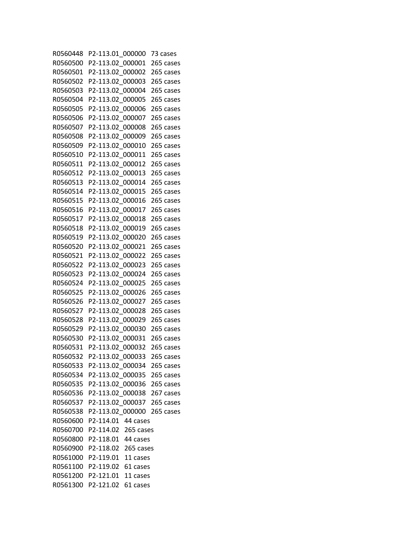R0560448 P2-113.01\_000000 73 cases R0560500 P2-113.02\_000001 265 cases R0560501 P2-113.02\_000002 265 cases R0560502 P2-113.02\_000003 265 cases R0560503 P2-113.02\_000004 265 cases R0560504 P2-113.02\_000005 265 cases R0560505 P2-113.02\_000006 265 cases R0560506 P2-113.02\_000007 265 cases R0560507 P2-113.02\_000008 265 cases R0560508 P2-113.02\_000009 265 cases R0560509 P2-113.02\_000010 265 cases R0560510 P2-113.02\_000011 265 cases R0560511 P2-113.02\_000012 265 cases R0560512 P2-113.02\_000013 265 cases R0560513 P2-113.02\_000014 265 cases R0560514 P2-113.02\_000015 265 cases R0560515 P2-113.02\_000016 265 cases R0560516 P2-113.02\_000017 265 cases R0560517 P2-113.02\_000018 265 cases R0560518 P2-113.02\_000019 265 cases R0560519 P2-113.02\_000020 265 cases R0560520 P2-113.02\_000021 265 cases R0560521 P2-113.02\_000022 265 cases R0560522 P2-113.02\_000023 265 cases R0560523 P2-113.02\_000024 265 cases R0560524 P2-113.02\_000025 265 cases R0560525 P2-113.02\_000026 265 cases R0560526 P2-113.02\_000027 265 cases R0560527 P2-113.02\_000028 265 cases R0560528 P2-113.02\_000029 265 cases R0560529 P2-113.02\_000030 265 cases R0560530 P2-113.02\_000031 265 cases R0560531 P2-113.02\_000032 265 cases R0560532 P2-113.02\_000033 265 cases R0560533 P2-113.02\_000034 265 cases R0560534 P2-113.02\_000035 265 cases R0560535 P2-113.02\_000036 265 cases R0560536 P2-113.02\_000038 267 cases R0560537 P2-113.02\_000037 265 cases R0560538 P2-113.02\_000000 265 cases R0560600 P2-114.01 44 cases R0560700 P2-114.02 265 cases R0560800 P2-118.01 44 cases R0560900 P2-118.02 265 cases R0561000 P2-119.01 11 cases R0561100 P2-119.02 61 cases R0561200 P2-121.01 11 cases R0561300 P2-121.02 61 cases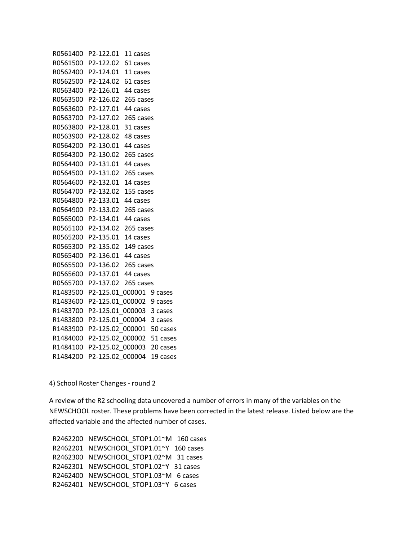R0561400 P2-122.01 11 cases R0561500 P2-122.02 61 cases R0562400 P2-124.01 11 cases R0562500 P2-124.02 61 cases R0563400 P2-126.01 44 cases R0563500 P2-126.02 265 cases R0563600 P2-127.01 44 cases R0563700 P2-127.02 265 cases R0563800 P2-128.01 31 cases R0563900 P2-128.02 48 cases R0564200 P2-130.01 44 cases R0564300 P2-130.02 265 cases R0564400 P2-131.01 44 cases R0564500 P2-131.02 265 cases R0564600 P2-132.01 14 cases R0564700 P2-132.02 155 cases R0564800 P2-133.01 44 cases R0564900 P2-133.02 265 cases R0565000 P2-134.01 44 cases R0565100 P2-134.02 265 cases R0565200 P2-135.01 14 cases R0565300 P2-135.02 149 cases R0565400 P2-136.01 44 cases R0565500 P2-136.02 265 cases R0565600 P2-137.01 44 cases R0565700 P2-137.02 265 cases R1483500 P2-125.01\_000001 9 cases R1483600 P2-125.01\_000002 9 cases R1483700 P2-125.01\_000003 3 cases R1483800 P2-125.01\_000004 3 cases R1483900 P2-125.02\_000001 50 cases R1484000 P2-125.02\_000002 51 cases R1484100 P2-125.02\_000003 20 cases R1484200 P2-125.02\_000004 19 cases

4) School Roster Changes - round 2

A review of the R2 schooling data uncovered a number of errors in many of the variables on the NEWSCHOOL roster. These problems have been corrected in the latest release. Listed below are the affected variable and the affected number of cases.

 R2462200 NEWSCHOOL\_STOP1.01~M 160 cases R2462201 NEWSCHOOL STOP1.01~Y 160 cases R2462300 NEWSCHOOL STOP1.02~M 31 cases R2462301 NEWSCHOOL STOP1.02~Y 31 cases R2462400 NEWSCHOOL STOP1.03~M 6 cases R2462401 NEWSCHOOL\_STOP1.03~Y 6 cases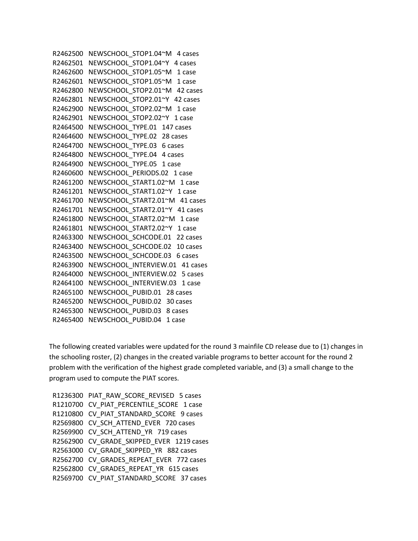```
R2462500 NEWSCHOOL STOP1.04~M 4 cases
 R2462501 NEWSCHOOL_STOP1.04~Y 4 cases 
R2462600 NEWSCHOOL STOP1.05~M 1 case
 R2462601 NEWSCHOOL_STOP1.05~M 1 case 
R2462800 NEWSCHOOL STOP2.01~M 42 cases
 R2462801 NEWSCHOOL_STOP2.01~Y 42 cases 
 R2462900 NEWSCHOOL_STOP2.02~M 1 case 
R2462901 NEWSCHOOL STOP2.02~Y 1 case
 R2464500 NEWSCHOOL_TYPE.01 147 cases 
 R2464600 NEWSCHOOL_TYPE.02 28 cases 
R2464700 NEWSCHOOL TYPE.03 6 cases
R2464800 NEWSCHOOL TYPE.04 4 cases
R2464900 NEWSCHOOL TYPE.05 1 case
R2460600 NEWSCHOOL PERIODS.02 1 case
R2461200 NEWSCHOOL START1.02~M 1 case
R2461201 NEWSCHOOL START1.02~Y 1 case
 R2461700 NEWSCHOOL_START2.01~M 41 cases 
 R2461701 NEWSCHOOL_START2.01~Y 41 cases 
R2461800 NEWSCHOOL START2.02~M 1 case
 R2461801 NEWSCHOOL_START2.02~Y 1 case 
R2463300 NEWSCHOOL SCHCODE.01 22 cases
R2463400 NEWSCHOOL SCHCODE.02 10 cases
R2463500 NEWSCHOOL SCHCODE.03 6 cases
R2463900 NEWSCHOOL INTERVIEW.01 41 cases
 R2464000 NEWSCHOOL_INTERVIEW.02 5 cases 
R2464100 NEWSCHOOL INTERVIEW.03 1 case
R2465100 NEWSCHOOL PUBID.01 28 cases
 R2465200 NEWSCHOOL_PUBID.02 30 cases 
 R2465300 NEWSCHOOL_PUBID.03 8 cases 
R2465400 NEWSCHOOL PUBID.04 1 case
```
The following created variables were updated for the round 3 mainfile CD release due to (1) changes in the schooling roster, (2) changes in the created variable programs to better account for the round 2 problem with the verification of the highest grade completed variable, and (3) a small change to the program used to compute the PIAT scores.

R1236300\_PIAT\_RAW\_SCORE\_REVISED 5 cases R1210700 CV PIAT PERCENTILE SCORE 1 case R1210800 CV PIAT STANDARD SCORE 9 cases R2569800 CV SCH ATTEND EVER 720 cases R2569900 CV SCH ATTEND YR 719 cases R2562900 CV GRADE SKIPPED EVER 1219 cases R2563000 CV\_GRADE\_SKIPPED\_YR 882 cases R2562700 CV\_GRADES\_REPEAT\_EVER 772 cases R2562800 CV\_GRADES\_REPEAT\_YR 615 cases R2569700 CV\_PIAT\_STANDARD\_SCORE 37 cases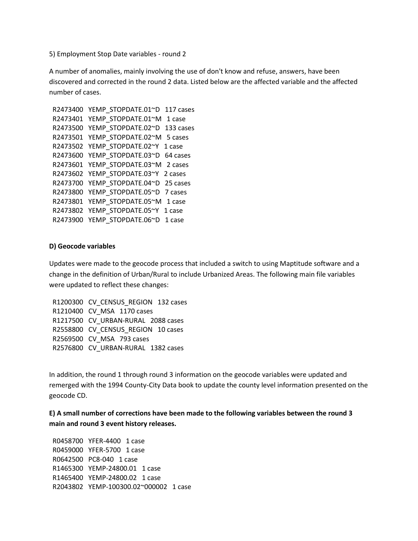5) Employment Stop Date variables - round 2

A number of anomalies, mainly involving the use of don't know and refuse, answers, have been discovered and corrected in the round 2 data. Listed below are the affected variable and the affected number of cases.

```
R2473400 YEMP STOPDATE.01~D 117 cases
 R2473401 YEMP_STOPDATE.01~M 1 case 
 R2473500 YEMP_STOPDATE.02~D 133 cases 
 R2473501 YEMP_STOPDATE.02~M 5 cases 
 R2473502 YEMP_STOPDATE.02~Y 1 case 
R2473600 YEMP STOPDATE.03~D 64 cases
R2473601 YEMP STOPDATE.03~M 2 cases
R2473602 YEMP STOPDATE.03~Y 2 cases
 R2473700 YEMP_STOPDATE.04~D 25 cases 
R2473800 YEMP STOPDATE.05~D 7 cases
R2473801 YEMP STOPDATE.05~M 1 case
 R2473802 YEMP_STOPDATE.05~Y 1 case 
 R2473900 YEMP_STOPDATE.06~D 1 case
```
### **D) Geocode variables**

Updates were made to the geocode process that included a switch to using Maptitude software and a change in the definition of Urban/Rural to include Urbanized Areas. The following main file variables were updated to reflect these changes:

R1200300 CV CENSUS REGION 132 cases R1210400 CV\_MSA 1170 cases R1217500 CV\_URBAN-RURAL 2088 cases R2558800 CV CENSUS REGION 10 cases R2569500 CV\_MSA 793 cases R2576800 CV\_URBAN-RURAL 1382 cases

In addition, the round 1 through round 3 information on the geocode variables were updated and remerged with the 1994 County-City Data book to update the county level information presented on the geocode CD.

**E) A small number of corrections have been made to the following variables between the round 3 main and round 3 event history releases.** 

R0458700 YFER-4400 1 case R0459000 YFER-5700 1 case R0642500 PC8-040 1 case R1465300 YEMP-24800.01 1 case R1465400 YEMP-24800.02 1 case R2043802 YEMP-100300.02~000002 1 case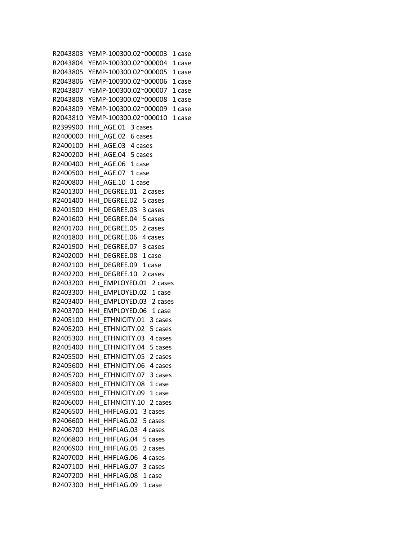R2043803 YEMP-100300.02~000003 1 case R2043804 YEMP-100300.02~000004 1 case R2043805 YEMP-100300.02~000005 1 case R2043806 YEMP-100300.02~000006 1 case R2043807 YEMP-100300.02~000007 1 case R2043808 YEMP-100300.02~000008 1 case R2043809 YEMP-100300.02~000009 1 case R2043810 YEMP-100300.02~000010 1 case R2399900 HHI\_AGE.01 3 cases R2400000 HHI\_AGE.02 6 cases R2400100 HHI\_AGE.03 4 cases R2400200 HHI\_AGE.04 5 cases R2400400 HHI AGE.06 1 case R2400500 HHI AGE.07 1 case R2400800 HHI AGE.10 1 case R2401300 HHI DEGREE.01 2 cases R2401400 HHI DEGREE.02 5 cases R2401500 HHI\_DEGREE.03 3 cases R2401600 HHI DEGREE.04 5 cases R2401700 HHI DEGREE.05 2 cases R2401800 HHI DEGREE.06 4 cases R2401900 HHI DEGREE.07 3 cases R2402000 HHI DEGREE.08 1 case R2402100 HHI DEGREE.09 1 case R2402200 HHI DEGREE.10 2 cases R2403200 HHI EMPLOYED.01 2 cases R2403300 HHI EMPLOYED.02 1 case R2403400 HHI EMPLOYED.03 2 cases R2403700 HHI\_EMPLOYED.06 1 case R2405100 HHI ETHNICITY.01 3 cases R2405200 HHI\_ETHNICITY.02 5 cases R2405300 HHI\_ETHNICITY.03 4 cases R2405400 HHI ETHNICITY.04 5 cases R2405500 HHI ETHNICITY.05 2 cases R2405600 HHI\_ETHNICITY.06 4 cases R2405700 HHI\_ETHNICITY.07 3 cases R2405800 HHI ETHNICITY.08 1 case R2405900 HHI ETHNICITY.09 1 case R2406000 HHI\_ETHNICITY.10 2 cases R2406500 HHI\_HHFLAG.01 3 cases R2406600 HHI\_HHFLAG.02 5 cases R2406700 HHI\_HHFLAG.03 4 cases R2406800 HHI\_HHFLAG.04 5 cases R2406900 HHI\_HHFLAG.05 2 cases R2407000 HHI HHFLAG.06 4 cases R2407100 HHI\_HHFLAG.07 3 cases R2407200 HHI HHFLAG.08 1 case R2407300 HHI\_HHFLAG.09 1 case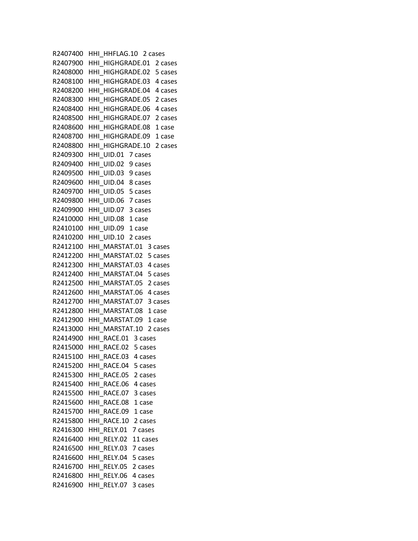R2407400 HHI\_HHFLAG.10 2 cases R2407900 HHI\_HIGHGRADE.01 2 cases R2408000 HHI\_HIGHGRADE.02 5 cases R2408100 HHI\_HIGHGRADE.03 4 cases R2408200 HHI\_HIGHGRADE.04 4 cases R2408300 HHI\_HIGHGRADE.05 2 cases R2408400 HHI\_HIGHGRADE.06 4 cases R2408500 HHI\_HIGHGRADE.07 2 cases R2408600 HHI\_HIGHGRADE.08 1 case R2408700 HHI\_HIGHGRADE.09 1 case R2408800 HHI\_HIGHGRADE.10 2 cases R2409300 HHI\_UID.01 7 cases R2409400 HHI\_UID.02 9 cases R2409500 HHI\_UID.03 9 cases R2409600 HHI\_UID.04 8 cases R2409700 HHI\_UID.05 5 cases R2409800 HHI UID.06 7 cases R2409900 HHI\_UID.07 3 cases R2410000 HHI UID.08 1 case R2410100 HHI UID.09 1 case R2410200 HHI\_UID.10 2 cases R2412100 HHI\_MARSTAT.01 3 cases R2412200 HHI\_MARSTAT.02 5 cases R2412300 HHI\_MARSTAT.03 4 cases R2412400 HHI\_MARSTAT.04 5 cases R2412500 HHI\_MARSTAT.05 2 cases R2412600 HHI\_MARSTAT.06 4 cases R2412700 HHI\_MARSTAT.07 3 cases R2412800 HHI\_MARSTAT.08 1 case R2412900 HHI\_MARSTAT.09 1 case R2413000 HHI\_MARSTAT.10 2 cases R2414900 HHI\_RACE.01 3 cases R2415000 HHI\_RACE.02 5 cases R2415100 HHI\_RACE.03 4 cases R2415200 HHI\_RACE.04 5 cases R2415300 HHI\_RACE.05 2 cases R2415400 HHI\_RACE.06 4 cases R2415500 HHI\_RACE.07 3 cases R2415600 HHI\_RACE.08 1 case R2415700 HHI\_RACE.09 1 case R2415800 HHI\_RACE.10 2 cases R2416300 HHI\_RELY.01 7 cases R2416400 HHI\_RELY.02 11 cases R2416500 HHI\_RELY.03 7 cases R2416600 HHI\_RELY.04 5 cases R2416700 HHI\_RELY.05 2 cases R2416800 HHI\_RELY.06 4 cases R2416900 HHI\_RELY.07 3 cases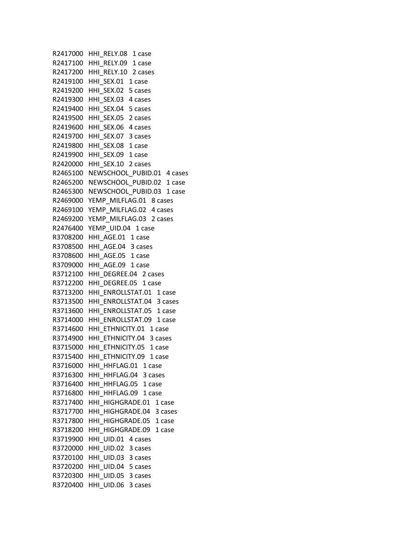R2417000 HHI\_RELY.08 1 case R2417100 HHI\_RELY.09 1 case R2417200 HHI RELY.10 2 cases R2419100 HHI SEX.01 1 case R2419200 HHI\_SEX.02 5 cases R2419300 HHI\_SEX.03 4 cases R2419400 HHI\_SEX.04 5 cases R2419500 HHI\_SEX.05 2 cases R2419600 HHI\_SEX.06 4 cases R2419700 HHI\_SEX.07 3 cases R2419800 HHI SEX.08 1 case R2419900 HHI SEX.09 1 case R2420000 HHI\_SEX.10 2 cases R2465100 NEWSCHOOL PUBID.01 4 cases R2465200 NEWSCHOOL PUBID.02 1 case R2465300 NEWSCHOOL PUBID.03 1 case R2469000 YEMP\_MILFLAG.01 8 cases R2469100 YEMP\_MILFLAG.02 4 cases R2469200 YEMP\_MILFLAG.03 2 cases R2476400 YEMP\_UID.04 1 case R3708200 HHI AGE.01 1 case R3708500 HHI\_AGE.04 3 cases R3708600 HHI AGE.05 1 case R3709000 HHI AGE.09 1 case R3712100 HHI DEGREE.04 2 cases R3712200 HHI DEGREE.05 1 case R3713200 HHI\_ENROLLSTAT.01 1 case R3713500 HHI\_ENROLLSTAT.04 3 cases R3713600 HHI\_ENROLLSTAT.05 1 case R3714000 HHI\_ENROLLSTAT.09 1 case R3714600 HHI ETHNICITY.01 1 case R3714900 HHI\_ETHNICITY.04 3 cases R3715000 HHI ETHNICITY.05 1 case R3715400 HHI ETHNICITY.09 1 case R3716000 HHI\_HHFLAG.01 1 case R3716300 HHI HHFLAG.04 3 cases R3716400 HHI HHFLAG.05 1 case R3716800 HHI HHFLAG.09 1 case R3717400 HHI\_HIGHGRADE.01 1 case R3717700 HHI\_HIGHGRADE.04 3 cases R3717800 HHI\_HIGHGRADE.05 1 case R3718200 HHI\_HIGHGRADE.09 1 case R3719900 HHI\_UID.01 4 cases R3720000 HHI\_UID.02 3 cases R3720100 HHI\_UID.03 3 cases R3720200 HHI\_UID.04 5 cases R3720300 HHI\_UID.05 3 cases R3720400 HHI UID.06 3 cases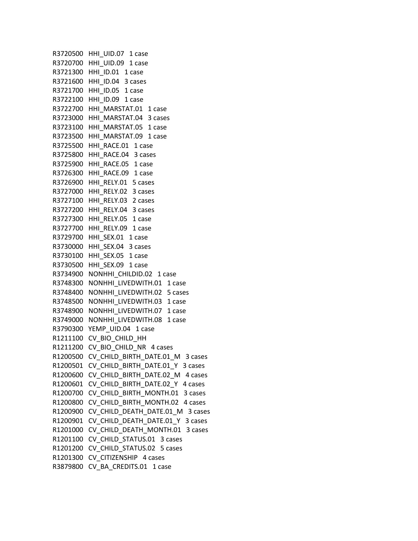R3720500 HHI\_UID.07 1 case R3720700 HHI\_UID.09 1 case R3721300 HHI ID.01 1 case R3721600 HHI ID.04 3 cases R3721700 HHI ID.05 1 case R3722100 HHI\_ID.09 1 case R3722700 HHI\_MARSTAT.01 1 case R3723000 HHI\_MARSTAT.04 3 cases R3723100 HHI\_MARSTAT.05 1 case R3723500 HHI\_MARSTAT.09 1 case R3725500 HHI RACE.01 1 case R3725800 HHI\_RACE.04 3 cases R3725900 HHI\_RACE.05 1 case R3726300 HHI\_RACE.09 1 case R3726900 HHI\_RELY.01 5 cases R3727000 HHI\_RELY.02 3 cases R3727100 HHI\_RELY.03 2 cases R3727200 HHI\_RELY.04 3 cases R3727300 HHI\_RELY.05 1 case R3727700 HHI\_RELY.09 1 case R3729700 HHI SEX.01 1 case R3730000 HHI\_SEX.04 3 cases R3730100 HHI SEX.05 1 case R3730500 HHI SEX.09 1 case R3734900 NONHHI CHILDID.02 1 case R3748300 NONHHI LIVEDWITH.01 1 case R3748400 NONHHI LIVEDWITH.02 5 cases R3748500 NONHHI LIVEDWITH.03 1 case R3748900 NONHHI\_LIVEDWITH.07 1 case R3749000 NONHHI LIVEDWITH.08 1 case R3790300 YEMP\_UID.04 1 case R1211100 CV\_BIO\_CHILD\_HH R1211200 CV BIO CHILD NR 4 cases R1200500 CV CHILD BIRTH DATE.01 M 3 cases R1200501 CV CHILD BIRTH DATE.01 Y 3 cases R1200600 CV CHILD BIRTH DATE.02 M 4 cases R1200601 CV CHILD BIRTH DATE.02 Y 4 cases R1200700 CV CHILD BIRTH MONTH.01 3 cases R1200800 CV\_CHILD\_BIRTH\_MONTH.02 4 cases R1200900 CV\_CHILD\_DEATH\_DATE.01\_M 3 cases R1200901 CV\_CHILD\_DEATH\_DATE.01\_Y 3 cases R1201000 CV CHILD DEATH MONTH.01 3 cases R1201100 CV\_CHILD\_STATUS.01 3 cases R1201200 CV CHILD STATUS.02 5 cases R1201300 CV CITIZENSHIP 4 cases R3879800 CV BA CREDITS.01 1 case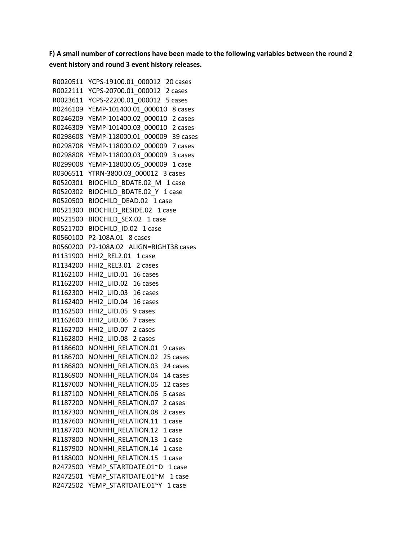**F) A small number of corrections have been made to the following variables between the round 2 event history and round 3 event history releases.** 

 R0020511 YCPS-19100.01\_000012 20 cases R0022111 YCPS-20700.01\_000012 2 cases R0023611 YCPS-22200.01\_000012 5 cases R0246109 YEMP-101400.01\_000010 8 cases R0246209 YEMP-101400.02\_000010 2 cases R0246309 YEMP-101400.03\_000010 2 cases R0298608 YEMP-118000.01\_000009 39 cases R0298708 YEMP-118000.02\_000009 7 cases R0298808 YEMP-118000.03\_000009 3 cases R0299008 YEMP-118000.05\_000009 1 case R0306511 YTRN-3800.03\_000012 3 cases R0520301 BIOCHILD BDATE.02 M 1 case R0520302 BIOCHILD\_BDATE.02\_Y 1 case R0520500 BIOCHILD\_DEAD.02 1 case R0521300 BIOCHILD\_RESIDE.02 1 case R0521500 BIOCHILD SEX.02 1 case R0521700 BIOCHILD ID.02 1 case R0560100 P2-108A.01 8 cases R0560200 P2-108A.02 ALIGN=RIGHT38 cases R1131900 HHI2 REL2.01 1 case R1134200 HHI2\_REL3.01 2 cases R1162100 HHI2\_UID.01 16 cases R1162200 HHI2\_UID.02 16 cases R1162300 HHI2\_UID.03 16 cases R1162400 HHI2\_UID.04 16 cases R1162500 HHI2\_UID.05 9 cases R1162600 HHI2\_UID.06 7 cases R1162700 HHI2\_UID.07 2 cases R1162800 HHI2\_UID.08 2 cases R1186600 NONHHI RELATION.01 9 cases R1186700 NONHHI RELATION.02 25 cases R1186800 NONHHI\_RELATION.03 24 cases R1186900 NONHHI\_RELATION.04 14 cases R1187000 NONHHI\_RELATION.05 12 cases R1187100 NONHHI\_RELATION.06 5 cases R1187200 NONHHI RELATION.07 2 cases R1187300 NONHHI RELATION.08 2 cases R1187600 NONHHI\_RELATION.11 1 case R1187700 NONHHI RELATION.12 1 case R1187800 NONHHI RELATION.13 1 case R1187900 NONHHI RELATION.14 1 case R1188000 NONHHI RELATION.15 1 case R2472500 YEMP STARTDATE.01~D 1 case R2472501 YEMP\_STARTDATE.01~M 1 case R2472502 YEMP\_STARTDATE.01~Y 1 case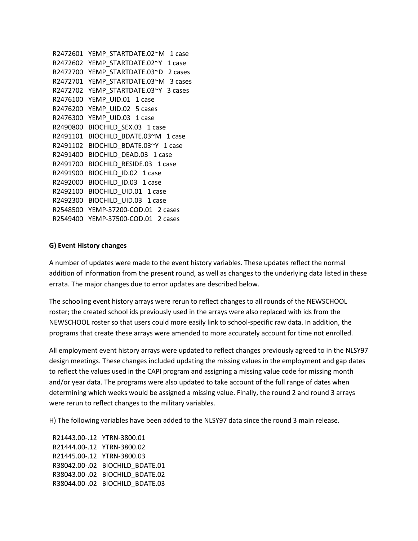```
 R2472601 YEMP_STARTDATE.02~M 1 case 
 R2472602 YEMP_STARTDATE.02~Y 1 case 
 R2472700 YEMP_STARTDATE.03~D 2 cases 
R2472701 YEMP STARTDATE.03~M 3 cases
R2472702 YEMP STARTDATE.03~Y 3 cases
 R2476100 YEMP_UID.01 1 case 
 R2476200 YEMP_UID.02 5 cases 
 R2476300 YEMP_UID.03 1 case 
R2490800 BIOCHILD SEX.03 1 case
R2491101 BIOCHILD BDATE.03~M 1 case
R2491102 BIOCHILD BDATE.03~Y 1 case
R2491400 BIOCHILD DEAD.03 1 case
 R2491700 BIOCHILD_RESIDE.03 1 case 
R2491900 BIOCHILD ID.02 1 case
R2492000 BIOCHILD ID.03 1 case
R2492100 BIOCHILD UID.01 1 case
 R2492300 BIOCHILD_UID.03 1 case 
 R2548500 YEMP-37200-COD.01 2 cases 
 R2549400 YEMP-37500-COD.01 2 cases
```
### **G) Event History changes**

A number of updates were made to the event history variables. These updates reflect the normal addition of information from the present round, as well as changes to the underlying data listed in these errata. The major changes due to error updates are described below.

The schooling event history arrays were rerun to reflect changes to all rounds of the NEWSCHOOL roster; the created school ids previously used in the arrays were also replaced with ids from the NEWSCHOOL roster so that users could more easily link to school-specific raw data. In addition, the programs that create these arrays were amended to more accurately account for time not enrolled.

All employment event history arrays were updated to reflect changes previously agreed to in the NLSY97 design meetings. These changes included updating the missing values in the employment and gap dates to reflect the values used in the CAPI program and assigning a missing value code for missing month and/or year data. The programs were also updated to take account of the full range of dates when determining which weeks would be assigned a missing value. Finally, the round 2 and round 3 arrays were rerun to reflect changes to the military variables.

H) The following variables have been added to the NLSY97 data since the round 3 main release.

 R21443.00-.12 YTRN-3800.01 R21444.00-.12 YTRN-3800.02 R21445.00-.12 YTRN-3800.03 R38042.00-.02 BIOCHILD\_BDATE.01 R38043.00-.02 BIOCHILD\_BDATE.02 R38044.00-.02 BIOCHILD\_BDATE.03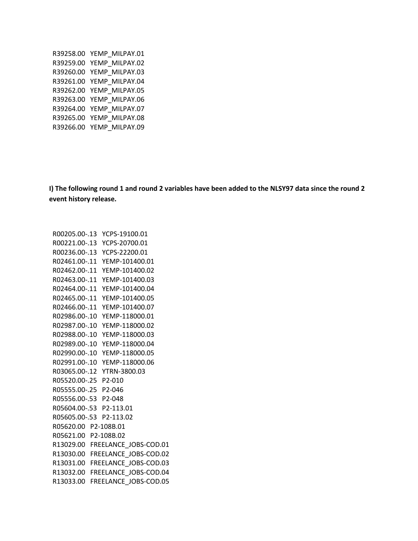R39258.00 YEMP\_MILPAY.01 R39259.00 YEMP\_MILPAY.02 R39260.00 YEMP\_MILPAY.03 R39261.00 YEMP\_MILPAY.04 R39262.00 YEMP\_MILPAY.05 R39263.00 YEMP\_MILPAY.06 R39264.00 YEMP\_MILPAY.07 R39265.00 YEMP\_MILPAY.08 R39266.00 YEMP\_MILPAY.09

**I) The following round 1 and round 2 variables have been added to the NLSY97 data since the round 2 event history release.** 

 R00205.00-.13 YCPS-19100.01 R00221.00-.13 YCPS-20700.01 R00236.00-.13 YCPS-22200.01 R02461.00-.11 YEMP-101400.01 R02462.00-.11 YEMP-101400.02 R02463.00-.11 YEMP-101400.03 R02464.00-.11 YEMP-101400.04 R02465.00-.11 YEMP-101400.05 R02466.00-.11 YEMP-101400.07 R02986.00-.10 YEMP-118000.01 R02987.00-.10 YEMP-118000.02 R02988.00-.10 YEMP-118000.03 R02989.00-.10 YEMP-118000.04 R02990.00-.10 YEMP-118000.05 R02991.00-.10 YEMP-118000.06 R03065.00-.12 YTRN-3800.03 R05520.00-.25 P2-010 R05555.00-.25 P2-046 R05556.00-.53 P2-048 R05604.00-.53 P2-113.01 R05605.00-.53 P2-113.02 R05620.00 P2-108B.01 R05621.00 P2-108B.02 R13029.00 FREELANCE JOBS-COD.01 R13030.00 FREELANCE\_JOBS-COD.02 R13031.00 FREELANCE JOBS-COD.03 R13032.00 FREELANCE\_JOBS-COD.04 R13033.00 FREELANCE\_JOBS-COD.05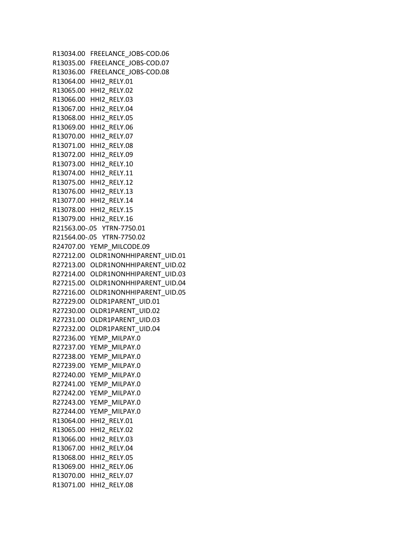R13034.00 FREELANCE\_JOBS-COD.06 R13035.00 FREELANCE\_JOBS-COD.07 R13036.00 FREELANCE\_JOBS-COD.08 R13064.00 HHI2\_RELY.01 R13065.00 HHI2\_RELY.02 R13066.00 HHI2\_RELY.03 R13067.00 HHI2\_RELY.04 R13068.00 HHI2\_RELY.05 R13069.00 HHI2\_RELY.06 R13070.00 HHI2\_RELY.07 R13071.00 HHI2\_RELY.08 R13072.00 HHI2\_RELY.09 R13073.00 HHI2\_RELY.10 R13074.00 HHI2\_RELY.11 R13075.00 HHI2\_RELY.12 R13076.00 HHI2\_RELY.13 R13077.00 HHI2\_RELY.14 R13078.00 HHI2\_RELY.15 R13079.00 HHI2\_RELY.16 R21563.00-.05 YTRN-7750.01 R21564.00-.05 YTRN-7750.02 R24707.00 YEMP\_MILCODE.09 R27212.00 OLDR1NONHHIPARENT\_UID.01 R27213.00 OLDR1NONHHIPARENT\_UID.02 R27214.00 OLDR1NONHHIPARENT\_UID.03 R27215.00 OLDR1NONHHIPARENT\_UID.04 R27216.00 OLDR1NONHHIPARENT\_UID.05 R27229.00 OLDR1PARENT\_UID.01 R27230.00 OLDR1PARENT\_UID.02 R27231.00 OLDR1PARENT\_UID.03 R27232.00 OLDR1PARENT\_UID.04 R27236.00 YEMP\_MILPAY.0 R27237.00 YEMP\_MILPAY.0 R27238.00 YEMP\_MILPAY.0 R27239.00 YEMP\_MILPAY.0 R27240.00 YEMP\_MILPAY.0 R27241.00 YEMP\_MILPAY.0 R27242.00 YEMP\_MILPAY.0 R27243.00 YEMP\_MILPAY.0 R27244.00 YEMP\_MILPAY.0 R13064.00 HHI2\_RELY.01 R13065.00 HHI2\_RELY.02 R13066.00 HHI2\_RELY.03 R13067.00 HHI2\_RELY.04 R13068.00 HHI2\_RELY.05 R13069.00 HHI2\_RELY.06 R13070.00 HHI2\_RELY.07 R13071.00 HHI2\_RELY.08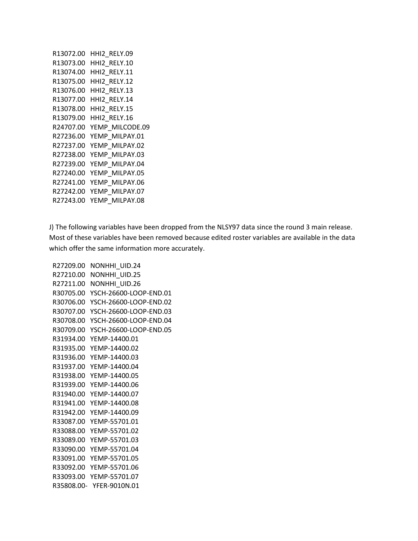| R13072.00 | HHI2 RELY.09    |
|-----------|-----------------|
| R13073.00 | HHI2 RELY.10    |
| R13074.00 | HHI2 RELY.11    |
| R13075.00 | HHI2 RELY.12    |
| R13076.00 | HHI2 RELY.13    |
| R13077.00 | HHI2 RELY.14    |
| R13078.00 | HHI2 RELY.15    |
| R13079.00 | HHI2 RELY.16    |
| R24707.00 | YEMP MILCODE.09 |
| R27236.00 | YEMP MILPAY.01  |
| R27237.00 | YEMP MILPAY.02  |
| R27238.00 | YEMP MILPAY.03  |
| R27239.00 | YEMP MILPAY.04  |
| R27240.00 | YEMP MILPAY.05  |
| R27241.00 | YEMP MILPAY.06  |
| R27242.00 | YEMP MILPAY.07  |
| R27243.00 | YFMP MILPAY.08  |

J) The following variables have been dropped from the NLSY97 data since the round 3 main release. Most of these variables have been removed because edited roster variables are available in the data which offer the same information more accurately.

 R27209.00 NONHHI\_UID.24 R27210.00 NONHHI\_UID.25 R27211.00 NONHHI\_UID.26 R30705.00 YSCH-26600-LOOP-END.01 R30706.00 YSCH-26600-LOOP-END.02 R30707.00 YSCH-26600-LOOP-END.03 R30708.00 YSCH-26600-LOOP-END.04 R30709.00 YSCH-26600-LOOP-END.05 R31934.00 YEMP-14400.01 R31935.00 YEMP-14400.02 R31936.00 YEMP-14400.03 R31937.00 YEMP-14400.04 R31938.00 YEMP-14400.05 R31939.00 YEMP-14400.06 R31940.00 YEMP-14400.07 R31941.00 YEMP-14400.08 R31942.00 YEMP-14400.09 R33087.00 YEMP-55701.01 R33088.00 YEMP-55701.02 R33089.00 YEMP-55701.03 R33090.00 YEMP-55701.04 R33091.00 YEMP-55701.05 R33092.00 YEMP-55701.06 R33093.00 YEMP-55701.07 R35808.00- YFER-9010N.01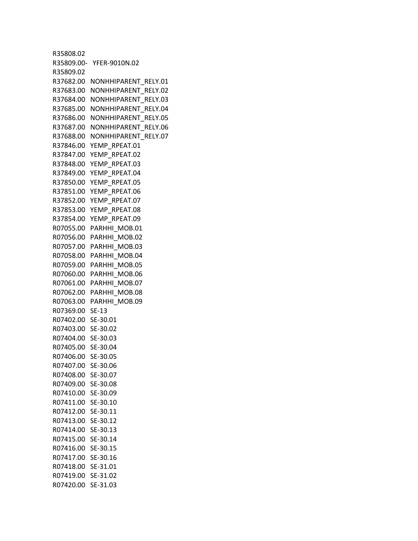R35808.02 R35809.00- YFER-9010N.02 R35809.02 R37682.00 NONHHIPARENT\_RELY.01 R37683.00 NONHHIPARENT\_RELY.02 R37684.00 NONHHIPARENT\_RELY.03 R37685.00 NONHHIPARENT\_RELY.04 R37686.00 NONHHIPARENT\_RELY.05 R37687.00 NONHHIPARENT\_RELY.06 R37688.00 NONHHIPARENT\_RELY.07 R37846.00 YEMP\_RPEAT.01 R37847.00 YEMP\_RPEAT.02 R37848.00 YEMP\_RPEAT.03 R37849.00 YEMP\_RPEAT.04 R37850.00 YEMP\_RPEAT.05 R37851.00 YEMP\_RPEAT.06 R37852.00 YEMP\_RPEAT.07 R37853.00 YEMP\_RPEAT.08 R37854.00 YEMP\_RPEAT.09 R07055.00 PARHHI\_MOB.01 R07056.00 PARHHI\_MOB.02 R07057.00 PARHHI\_MOB.03 R07058.00 PARHHI\_MOB.04 R07059.00 PARHHI\_MOB.05 R07060.00 PARHHI\_MOB.06 R07061.00 PARHHI\_MOB.07 R07062.00 PARHHI\_MOB.08 R07063.00 PARHHI\_MOB.09 R07369.00 SE-13 R07402.00 SE-30.01 R07403.00 SE-30.02 R07404.00 SE-30.03 R07405.00 SE-30.04 R07406.00 SE-30.05 R07407.00 SE-30.06 R07408.00 SE-30.07 R07409.00 SE-30.08 R07410.00 SE-30.09 R07411.00 SE-30.10 R07412.00 SE-30.11 R07413.00 SE-30.12 R07414.00 SE-30.13 R07415.00 SE-30.14 R07416.00 SE-30.15 R07417.00 SE-30.16 R07418.00 SE-31.01 R07419.00 SE-31.02 R07420.00 SE-31.03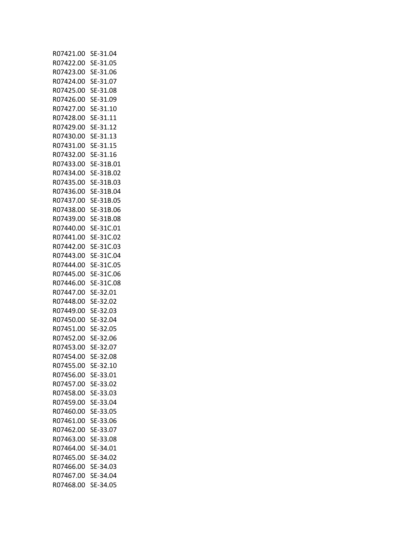| R07421.00 | SE-31.04  |
|-----------|-----------|
| R07422.00 | SE-31.05  |
| R07423.00 | SE-31.06  |
| R07424.00 | SE-31.07  |
| R07425.00 | SE-31.08  |
| R07426.00 | SE-31.09  |
| R07427.00 | SE-31.10  |
| R07428.00 | SE-31.11  |
| R07429.00 | SE-31.12  |
| R07430.00 | SE-31.13  |
| R07431.00 | SE-31.15  |
| R07432.00 | SE-31.16  |
| R07433.00 | SE-31B.01 |
| R07434.00 | SE-31B.02 |
| R07435.00 |           |
|           | SE-31B.03 |
| R07436.00 | SE-31B.04 |
| R07437.00 | SE-31B.05 |
| R07438.00 | SE-31B.06 |
| R07439.00 | SE-31B.08 |
| R07440.00 | SE-31C.01 |
| R07441.00 | SE-31C.02 |
| R07442.00 | SE-31C.03 |
| R07443.00 | SE-31C.04 |
| R07444.00 | SE-31C.05 |
| R07445.00 | SE-31C.06 |
| R07446.00 | SE-31C.08 |
| R07447.00 | SE-32.01  |
| R07448.00 | SE-32.02  |
| R07449.00 | SE-32.03  |
| R07450.00 | SE-32.04  |
| R07451.00 | SE-32.05  |
| R07452.00 | SE-32.06  |
| R07453.00 | SE-32.07  |
| R07454.00 | SE-32.08  |
| R07455.00 | SE-32.10  |
| R07456.00 | SE-33.01  |
| R07457.00 | SE-33.02  |
| R07458.00 | SE-33.03  |
| R07459.00 | SE-33.04  |
| R07460.00 | SE-33.05  |
| R07461.00 | SE-33.06  |
| R07462.00 | SE-33.07  |
| R07463.00 | SE-33.08  |
| R07464.00 | SE-34.01  |
| R07465.00 | SE-34.02  |
| R07466.00 | SE-34.03  |
| R07467.00 | SE-34.04  |
| R07468.00 | SE-34.05  |
|           |           |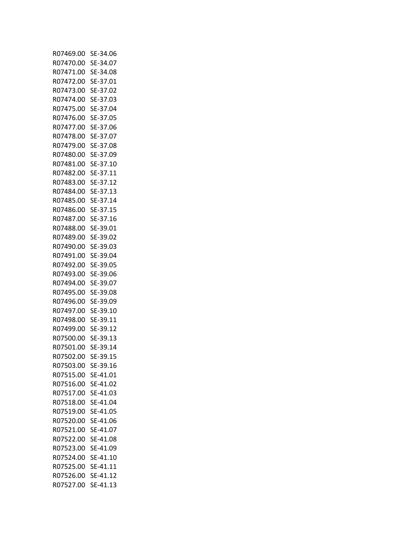| R07469.00 | SE-34.06 |
|-----------|----------|
| R07470.00 | SE-34.07 |
| R07471.00 | SE-34.08 |
| R07472.00 | SE-37.01 |
| R07473.00 | SE-37.02 |
| R07474.00 | SE-37.03 |
| R07475.00 | SE-37.04 |
| R07476.00 | SE-37.05 |
| R07477.00 | SE-37.06 |
| R07478.00 | SE-37.07 |
| R07479.00 | SE-37.08 |
| R07480.00 | SE-37.09 |
| R07481.00 | SE-37.10 |
|           | SE-37.11 |
| R07482.00 |          |
| R07483.00 | SE-37.12 |
| R07484.00 | SE-37.13 |
| R07485.00 | SE-37.14 |
| R07486.00 | SE-37.15 |
| R07487.00 | SE-37.16 |
| R07488.00 | SE-39.01 |
| R07489.00 | SE-39.02 |
| R07490.00 | SE-39.03 |
| R07491.00 | SE-39.04 |
| R07492.00 | SE-39.05 |
| R07493.00 | SE-39.06 |
| R07494.00 | SE-39.07 |
| R07495.00 | SE-39.08 |
| R07496.00 | SE-39.09 |
| R07497.00 | SE-39.10 |
| R07498.00 | SE-39.11 |
| R07499.00 | SE-39.12 |
| R07500.00 | SE-39.13 |
| R07501.00 | SE-39.14 |
| R07502.00 | SE-39.15 |
| R07503.00 | SE-39.16 |
| R07515.00 | SE-41.01 |
| R07516.00 | SE-41.02 |
| R07517.00 | SE-41.03 |
| R07518.00 | SE-41.04 |
| R07519.00 | SE-41.05 |
| R07520.00 | SE-41.06 |
| R07521.00 | SE-41.07 |
| R07522.00 | SE-41.08 |
| R07523.00 | SE-41.09 |
| R07524.00 | SE-41.10 |
| R07525.00 | SE-41.11 |
| R07526.00 | SE-41.12 |
|           |          |
| R07527.00 | SE-41.13 |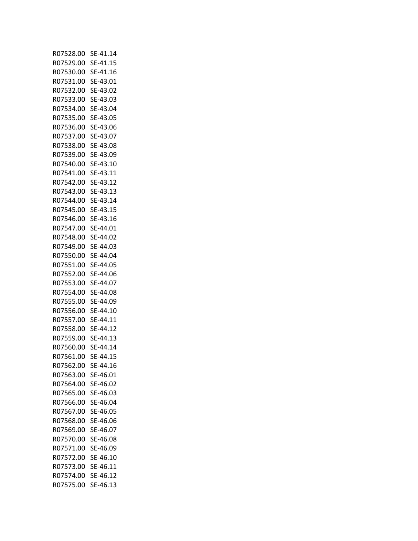| R07528.00 | SE-41.14 |
|-----------|----------|
| R07529.00 | SE-41.15 |
| R07530.00 | SE-41.16 |
| R07531.00 | SE-43.01 |
| R07532.00 | SE-43.02 |
| R07533.00 | SE-43.03 |
| R07534.00 | SE-43.04 |
| R07535.00 | SE-43.05 |
| R07536.00 | SE-43.06 |
| R07537.00 | SE-43.07 |
| R07538.00 |          |
|           | SE-43.08 |
| R07539.00 | SE-43.09 |
| R07540.00 | SE-43.10 |
| R07541.00 | SE-43.11 |
| R07542.00 | SE-43.12 |
| R07543.00 | SE-43.13 |
| R07544.00 | SE-43.14 |
| R07545.00 | SE-43.15 |
| R07546.00 | SE-43.16 |
| R07547.00 | SE-44.01 |
| R07548.00 | SE-44.02 |
| R07549.00 | SE-44.03 |
| R07550.00 | SE-44.04 |
| R07551.00 | SE-44.05 |
| R07552.00 | SE-44.06 |
| R07553.00 | SE-44.07 |
| R07554.00 | SE-44.08 |
| R07555.00 | SE-44.09 |
| R07556.00 | SE-44.10 |
| R07557.00 | SE-44.11 |
| R07558.00 | SE-44.12 |
| R07559.00 | SE-44.13 |
| R07560.00 | SE-44.14 |
| R07561.00 | SE-44.15 |
| R07562.00 | SE-44.16 |
| R07563.00 | SE-46.01 |
|           | SE-46.02 |
| R07564.00 |          |
| R07565.00 | SE-46.03 |
| R07566.00 | SE-46.04 |
| R07567.00 | SE-46.05 |
| R07568.00 | SE-46.06 |
| R07569.00 | SE-46.07 |
| R07570.00 | SE-46.08 |
| R07571.00 | SE-46.09 |
| R07572.00 | SE-46.10 |
| R07573.00 | SE-46.11 |
| R07574.00 | SE-46.12 |
| R07575.00 | SE-46.13 |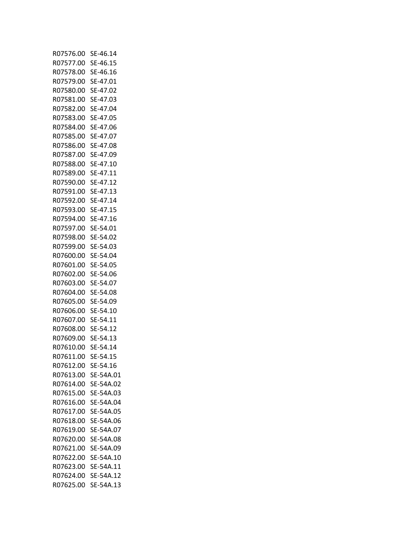| R07576.00 | SE-46.14  |
|-----------|-----------|
| R07577.00 | SE-46.15  |
| R07578.00 | SE-46.16  |
| R07579.00 | SE-47.01  |
| R07580.00 | SE-47.02  |
| R07581.00 | SE-47.03  |
| R07582.00 | SE-47.04  |
| R07583.00 | SE-47.05  |
| R07584.00 | SE-47.06  |
| R07585.00 | SE-47.07  |
| R07586.00 | SE-47.08  |
| R07587.00 | SE-47.09  |
|           |           |
| R07588.00 | SE-47.10  |
| R07589.00 | SE-47.11  |
| R07590.00 | SE-47.12  |
| R07591.00 | SE-47.13  |
| R07592.00 | SE-47.14  |
| R07593.00 | SE-47.15  |
| R07594.00 | SE-47.16  |
| R07597.00 | SE-54.01  |
| R07598.00 | SE-54.02  |
| R07599.00 | SE-54.03  |
| R07600.00 | SE-54.04  |
| R07601.00 | SE-54.05  |
| R07602.00 | SE-54.06  |
| R07603.00 | SE-54.07  |
| R07604.00 | SE-54.08  |
| R07605.00 | SE-54.09  |
| R07606.00 | SE-54.10  |
| R07607.00 | SE-54.11  |
| R07608.00 | SE-54.12  |
| R07609.00 | SE-54.13  |
| R07610.00 | SE-54.14  |
| R07611.00 | SE-54.15  |
| R07612.00 | SE-54.16  |
| R07613.00 | SE-54A.01 |
| R07614.00 | SE-54A.02 |
| R07615.00 | SE-54A.03 |
| R07616.00 | SE-54A.04 |
| R07617.00 | SE-54A.05 |
| R07618.00 | SE-54A.06 |
| R07619.00 | SE-54A.07 |
| R07620.00 | SE-54A.08 |
| R07621.00 | SE-54A.09 |
| R07622.00 | SE-54A.10 |
| R07623.00 | SE-54A.11 |
|           | SE-54A.12 |
| R07624.00 |           |
| R07625.00 | SE-54A.13 |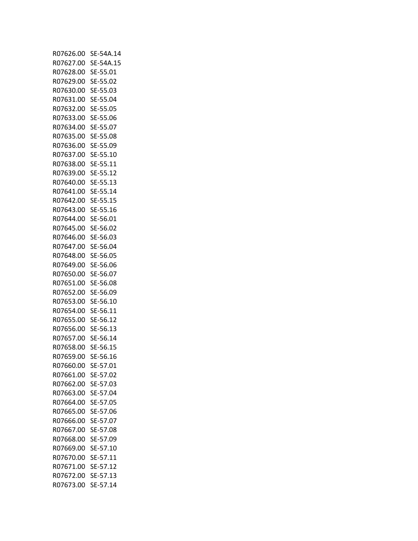| R07626.00 | SE-54A.14 |
|-----------|-----------|
| R07627.00 | SE-54A.15 |
| R07628.00 | SE-55.01  |
| R07629.00 | SE-55.02  |
| R07630.00 | SE-55.03  |
| R07631.00 | SE-55.04  |
| R07632.00 | SE-55.05  |
| R07633.00 | SE-55.06  |
| R07634.00 | SE-55.07  |
| R07635.00 | SE-55.08  |
|           | SE-55.09  |
| R07636.00 |           |
| R07637.00 | SE-55.10  |
| R07638.00 | SE-55.11  |
| R07639.00 | SE-55.12  |
| R07640.00 | SE-55.13  |
| R07641.00 | SE-55.14  |
| R07642.00 | SE-55.15  |
| R07643.00 | SE-55.16  |
| R07644.00 | SE-56.01  |
| R07645.00 | SE-56.02  |
| R07646.00 | SE-56.03  |
| R07647.00 | SE-56.04  |
| R07648.00 | SE-56.05  |
| R07649.00 | SE-56.06  |
| R07650.00 | SE-56.07  |
| R07651.00 | SE-56.08  |
| R07652.00 | SE-56.09  |
| R07653.00 | SE-56.10  |
| R07654.00 | SE-56.11  |
| R07655.00 | SE-56.12  |
| R07656.00 | SE-56.13  |
| R07657.00 | SE-56.14  |
| R07658.00 | SE-56.15  |
| R07659.00 | SE-56.16  |
| R07660.00 | SE-57.01  |
|           |           |
| R07661.00 | SE-57.02  |
| R07662.00 | SE-57.03  |
| R07663.00 | SE-57.04  |
| R07664.00 | SE-57.05  |
| R07665.00 | SE-57.06  |
| R07666.00 | SE-57.07  |
| R07667.00 | SE-57.08  |
| R07668.00 | SE-57.09  |
| R07669.00 | SE-57.10  |
| R07670.00 | SE-57.11  |
| R07671.00 | SE-57.12  |
| R07672.00 | SE-57.13  |
| R07673.00 | SE-57.14  |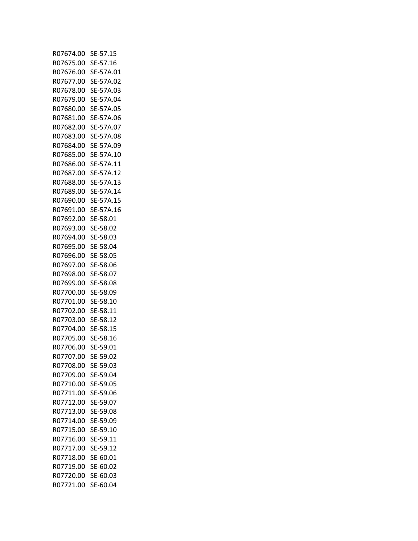| R07674.00 | SE-57.15  |
|-----------|-----------|
| R07675.00 | SE-57.16  |
| R07676.00 | SE-57A.01 |
| R07677.00 | SE-57A.02 |
| R07678.00 | SE-57A.03 |
| R07679.00 | SE-57A.04 |
| R07680.00 | SE-57A.05 |
| R07681.00 | SE-57A.06 |
| R07682.00 | SE-57A.07 |
| R07683.00 | SE-57A.08 |
| R07684.00 | SE-57A.09 |
| R07685.00 | SE-57A.10 |
| R07686.00 | SE-57A.11 |
| R07687.00 | SE-57A.12 |
| R07688.00 |           |
|           | SE-57A.13 |
| R07689.00 | SE-57A.14 |
| R07690.00 | SE-57A.15 |
| R07691.00 | SE-57A.16 |
| R07692.00 | SE-58.01  |
| R07693.00 | SE-58.02  |
| R07694.00 | SE-58.03  |
| R07695.00 | SE-58.04  |
| R07696.00 | SE-58.05  |
| R07697.00 | SE-58.06  |
| R07698.00 | SE-58.07  |
| R07699.00 | SE-58.08  |
| R07700.00 | SE-58.09  |
| R07701.00 | SE-58.10  |
| R07702.00 | SE-58.11  |
| R07703.00 | SE-58.12  |
| R07704.00 | SE-58.15  |
| R07705.00 | SE-58.16  |
| R07706.00 | SE-59.01  |
| R07707.00 | SE-59.02  |
| R07708.00 | SE-59.03  |
| R07709.00 | SE-59.04  |
| R07710.00 | SE-59.05  |
| R07711.00 | SE-59.06  |
| R07712.00 | SE-59.07  |
| R07713.00 | SE-59.08  |
| R07714.00 | SE-59.09  |
| R07715.00 | SE-59.10  |
| R07716.00 | SE-59.11  |
| R07717.00 | SE-59.12  |
| R07718.00 | SE-60.01  |
| R07719.00 | SE-60.02  |
| R07720.00 | SE-60.03  |
| R07721.00 | SE-60.04  |
|           |           |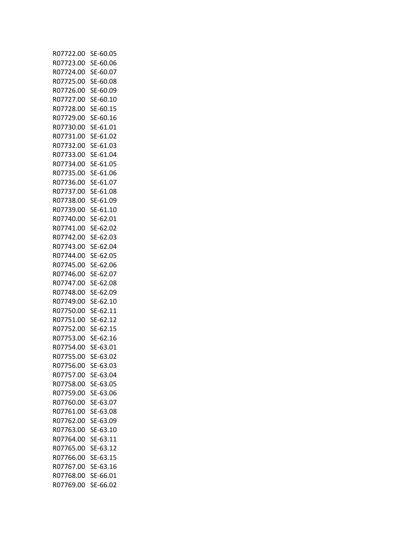| R07722.00              | SE-60.05             |
|------------------------|----------------------|
| R07723.00              | SE-60.06             |
| R07724.00              | SE-60.07             |
| R07725.00              | SE-60.08             |
| R07726.00              | SE-60.09             |
| R07727.00              | SE-60.10             |
| R07728.00              | SE-60.15             |
| R07729.00              | SE-60.16             |
| R07730.00              | SE-61.01             |
| R07731.00              | SE-61.02             |
| R07732.00              | SE-61.03             |
| R07733.00              | SE-61.04             |
| R07734.00              | SE-61.05             |
| R07735.00              | SE-61.06             |
| R07736.00              | SE-61.07             |
| R07737.00              | SE-61.08             |
| R07738.00              | SE-61.09             |
| R07739.00              | SE-61.10             |
| R07740.00              | SE-62.01             |
| R07741.00              | SE-62.02             |
| R07742.00              | SE-62.03             |
| R07743.00              | SE-62.04             |
| R07744.00              | SE-62.05             |
| R07745.00              | SE-62.06             |
| R07746.00              | SE-62.07             |
| R07747.00              | SE-62.08             |
| R07748.00              | SE-62.09             |
| R07749.00              | SE-62.10             |
| R07750.00              | SE-62.11             |
| R07751.00              | SE-62.12             |
| R07752.00              | SE-62.15             |
|                        |                      |
| R07753.00<br>R07754.00 | SE-62.16             |
| R07755.00              | SE-63.01<br>SE-63.02 |
|                        | SE-63.03             |
| R07756.00              |                      |
| R07757.00              | SE-63.04             |
| R07758.00              | SE-63.05             |
| R07759.00              | SE-63.06             |
| R07760.00              | SE-63.07             |
| R07761.00              | SE-63.08             |
| R07762.00              | SE-63.09             |
| R07763.00              | SE-63.10             |
| R07764.00              | SE-63.11             |
| R07765.00              | SE-63.12             |
| R07766.00              | SE-63.15             |
| R07767.00              | SE-63.16             |
| R07768.00              | SE-66.01             |
| R07769.00              | SE-66.02             |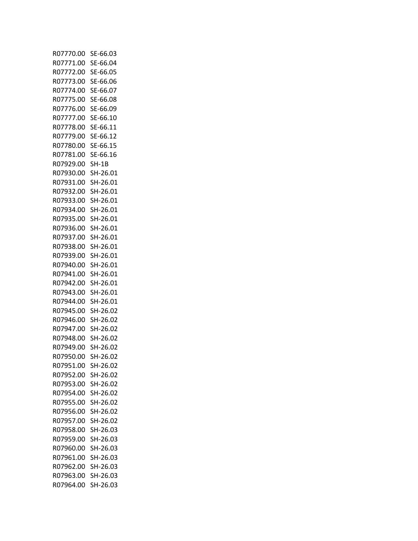| R07770.00              | SE-66.03             |
|------------------------|----------------------|
| R07771.00              | SE-66.04             |
| R07772.00              | SE-66.05             |
| R07773.00              | SE-66.06             |
| R07774.00              | SE-66.07             |
| R07775.00              | SE-66.08             |
| R07776.00              | SE-66.09             |
| R07777.00              | SE-66.10             |
| R07778.00              | SE-66.11             |
| R07779.00              | SE-66.12             |
| R07780.00              | SE-66.15             |
| R07781.00              | SE-66.16             |
| R07929.00              | SH-1B                |
| R07930.00              | SH-26.01             |
| R07931.00              | SH-26.01             |
| R07932.00              | SH-26.01             |
| R07933.00              | SH-26.01             |
| R07934.00              | SH-26.01             |
| R07935.00              | SH-26.01             |
| R07936.00              | SH-26.01             |
| R07937.00              | SH-26.01             |
| R07938.00              | SH-26.01             |
| R07939.00              | SH-26.01             |
| R07940.00              | SH-26.01             |
| R07941.00              | SH-26.01             |
| R07942.00              | SH-26.01             |
| R07943.00              | SH-26.01             |
| R07944.00              | SH-26.01             |
| R07945.00              | SH-26.02             |
| R07946.00              | SH-26.02             |
| R07947.00              | SH-26.02             |
| R07948.00              | SH-26.02             |
| R07949.00              | SH-26.02             |
| R07950.00              | SH-26.02             |
| R07951.00              | SH-26.02             |
| R07952.00              | SH-26.02             |
| R07953.00<br>R07954.00 | SH-26.02<br>SH-26.02 |
| R07955.00              | SH-26.02             |
| R07956.00              |                      |
|                        | SH-26.02             |
| R07957.00<br>R07958.00 | SH-26.02<br>SH-26.03 |
| R07959.00              | SH-26.03             |
| R07960.00              | SH-26.03             |
| R07961.00              | SH-26.03             |
| R07962.00              | SH-26.03             |
| R07963.00              | SH-26.03             |
| R07964.00              | SH-26.03             |
|                        |                      |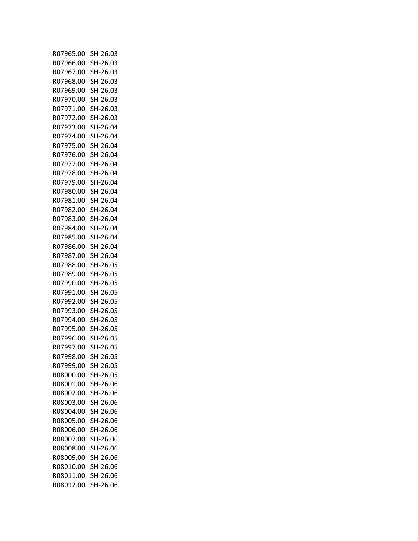| R07965.00 | SH-26.03 |
|-----------|----------|
| R07966.00 | SH-26.03 |
| R07967.00 | SH-26.03 |
| R07968.00 | SH-26.03 |
| R07969.00 | SH-26.03 |
| R07970.00 | SH-26.03 |
| R07971.00 | SH-26.03 |
| R07972.00 |          |
|           | SH-26.03 |
| R07973.00 | SH-26.04 |
| R07974.00 | SH-26.04 |
| R07975.00 | SH-26.04 |
| R07976.00 | SH-26.04 |
| R07977.00 | SH-26.04 |
| R07978.00 | SH-26.04 |
| R07979.00 | SH-26.04 |
| R07980.00 | SH-26.04 |
| R07981.00 | SH-26.04 |
| R07982.00 | SH-26.04 |
| R07983.00 | SH-26.04 |
| R07984.00 | SH-26.04 |
| R07985.00 | SH-26.04 |
| R07986.00 | SH-26.04 |
| R07987.00 | SH-26.04 |
| R07988.00 | SH-26.05 |
| R07989.00 | SH-26.05 |
|           |          |
| R07990.00 | SH-26.05 |
| R07991.00 | SH-26.05 |
| R07992.00 | SH-26.05 |
| R07993.00 | SH-26.05 |
| R07994.00 | SH-26.05 |
| R07995.00 | SH-26.05 |
| R07996.00 | SH-26.05 |
| R07997.00 | SH-26.05 |
| R07998.00 | SH-26.05 |
| R07999.00 | SH-26.05 |
| R08000.00 | SH-26.05 |
| R08001.00 | SH-26.06 |
| R08002.00 | SH-26.06 |
| R08003.00 | SH-26.06 |
| R08004.00 | SH-26.06 |
| R08005.00 | SH-26.06 |
| R08006.00 | SH-26.06 |
| R08007.00 | SH-26.06 |
| R08008.00 | SH-26.06 |
|           |          |
| R08009.00 | SH-26.06 |
| R08010.00 | SH-26.06 |
| R08011.00 | SH-26.06 |
| R08012.00 | SH-26.06 |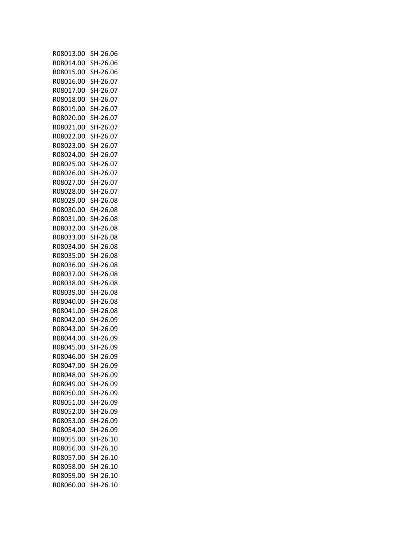| R08013.00 | SH-26.06 |
|-----------|----------|
| R08014.00 | SH-26.06 |
| R08015.00 | SH-26.06 |
| R08016.00 | SH-26.07 |
| R08017.00 | SH-26.07 |
| R08018.00 | SH-26.07 |
| R08019.00 | SH-26.07 |
|           |          |
| R08020.00 | SH-26.07 |
| R08021.00 | SH-26.07 |
| R08022.00 | SH-26.07 |
| R08023.00 | SH-26.07 |
| R08024.00 | SH-26.07 |
| R08025.00 | SH-26.07 |
| R08026.00 | SH-26.07 |
| R08027.00 | SH-26.07 |
| R08028.00 | SH-26.07 |
|           |          |
| R08029.00 | SH-26.08 |
| R08030.00 | SH-26.08 |
| R08031.00 | SH-26.08 |
| R08032.00 | SH-26.08 |
| R08033.00 | SH-26.08 |
| R08034.00 | SH-26.08 |
| R08035.00 | SH-26.08 |
| R08036.00 | SH-26.08 |
| R08037.00 | SH-26.08 |
| R08038.00 | SH-26.08 |
| R08039.00 | SH-26.08 |
| R08040.00 | SH-26.08 |
| R08041.00 | SH-26.08 |
|           |          |
| R08042.00 | SH-26.09 |
| R08043.00 | SH-26.09 |
| R08044.00 | SH-26.09 |
| R08045.00 | SH-26.09 |
| R08046.00 | SH-26.09 |
| R08047.00 | SH-26.09 |
| R08048.00 | SH-26.09 |
| R08049.00 | SH-26.09 |
| R08050.00 | SH-26.09 |
| R08051.00 | SH-26.09 |
| R08052.00 | SH-26.09 |
| R08053.00 | SH-26.09 |
|           |          |
| R08054.00 | SH-26.09 |
| R08055.00 | SH-26.10 |
| R08056.00 | SH-26.10 |
| R08057.00 | SH-26.10 |
| R08058.00 | SH-26.10 |
| R08059.00 | SH-26.10 |
| R08060.00 | SH-26.10 |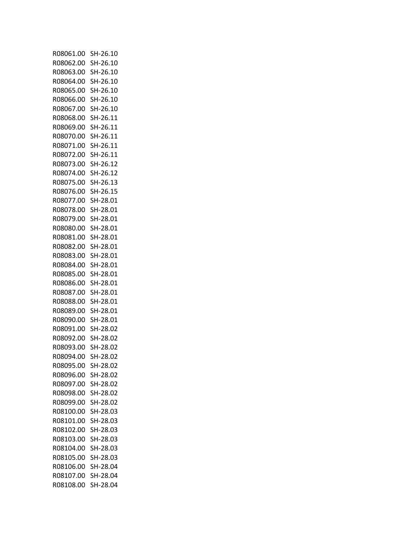| R08061.00 | SH-26.10 |
|-----------|----------|
| R08062.00 | SH-26.10 |
| R08063.00 | SH-26.10 |
| R08064.00 | SH-26.10 |
| R08065.00 | SH-26.10 |
| R08066.00 | SH-26.10 |
|           |          |
| R08067.00 | SH-26.10 |
| R08068.00 | SH-26.11 |
| R08069.00 | SH-26.11 |
| R08070.00 | SH-26.11 |
| R08071.00 | SH-26.11 |
| R08072.00 | SH-26.11 |
| R08073.00 | SH-26.12 |
| R08074.00 | SH-26.12 |
| R08075.00 | SH-26.13 |
| R08076.00 | SH-26.15 |
| R08077.00 | SH-28.01 |
| R08078.00 | SH-28.01 |
|           |          |
| R08079.00 | SH-28.01 |
| R08080.00 | SH-28.01 |
| R08081.00 | SH-28.01 |
| R08082.00 | SH-28.01 |
| R08083.00 | SH-28.01 |
| R08084.00 | SH-28.01 |
| R08085.00 | SH-28.01 |
| R08086.00 | SH-28.01 |
| R08087.00 | SH-28.01 |
| R08088.00 | SH-28.01 |
| R08089.00 | SH-28.01 |
| R08090.00 | SH-28.01 |
|           |          |
| R08091.00 | SH-28.02 |
| R08092.00 | SH-28.02 |
| R08093.00 | SH-28.02 |
| R08094.00 | SH-28.02 |
| R08095.00 | SH-28.02 |
| R08096.00 | SH-28.02 |
| R08097.00 | SH-28.02 |
| R08098.00 | SH-28.02 |
| R08099.00 | SH-28.02 |
| R08100.00 | SH-28.03 |
| R08101.00 | SH-28.03 |
| R08102.00 | SH-28.03 |
|           |          |
| R08103.00 | SH-28.03 |
| R08104.00 | SH-28.03 |
| R08105.00 | SH-28.03 |
| R08106.00 | SH-28.04 |
| R08107.00 | SH-28.04 |
| R08108.00 | SH-28.04 |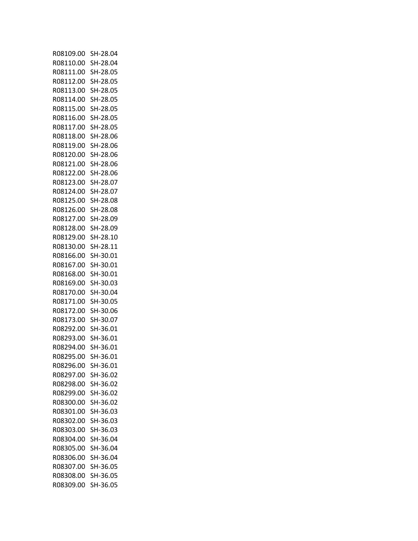| R08109.00              | SH-28.04 |
|------------------------|----------|
| R08110.00              | SH-28.04 |
| R08111.00              | SH-28.05 |
| R08112.00              | SH-28.05 |
| R08113.00              | SH-28.05 |
| R08114.00              | SH-28.05 |
| R08115.00              | SH-28.05 |
| R08116.00              | SH-28.05 |
| R08117.00              | SH-28.05 |
| R08118.00              | SH-28.06 |
| R08119.00              | SH-28.06 |
| R08120.00              | SH-28.06 |
| R08121.00              | SH-28.06 |
| R08122.00              | SH-28.06 |
| R08123.00              | SH-28.07 |
| R08124.00              | SH-28.07 |
| R08125.00              | SH-28.08 |
| R08126.00              | SH-28.08 |
| R08127.00              | SH-28.09 |
| R08128.00              | SH-28.09 |
|                        | SH-28.10 |
| R08129.00<br>R08130.00 |          |
|                        | SH-28.11 |
| R08166.00              | SH-30.01 |
| R08167.00              | SH-30.01 |
| R08168.00              | SH-30.01 |
| R08169.00              | SH-30.03 |
| R08170.00              | SH-30.04 |
| R08171.00              | SH-30.05 |
| R08172.00              | SH-30.06 |
| R08173.00              | SH-30.07 |
| R08292.00              | SH-36.01 |
| R08293.00              | SH-36.01 |
| R08294.00              | SH-36.01 |
| R08295.00              | SH-36.01 |
| R08296.00              | SH-36.01 |
| R08297.00              | SH-36.02 |
| R08298.00              | SH-36.02 |
| R08299.00              | SH-36.02 |
| R08300.00              | SH-36.02 |
| R08301.00              | SH-36.03 |
| R08302.00              | SH-36.03 |
| R08303.00              | SH-36.03 |
| R08304.00              | SH-36.04 |
| R08305.00              | SH-36.04 |
| R08306.00              | SH-36.04 |
| R08307.00              | SH-36.05 |
| R08308.00              | SH-36.05 |
| R08309.00              | SH-36.05 |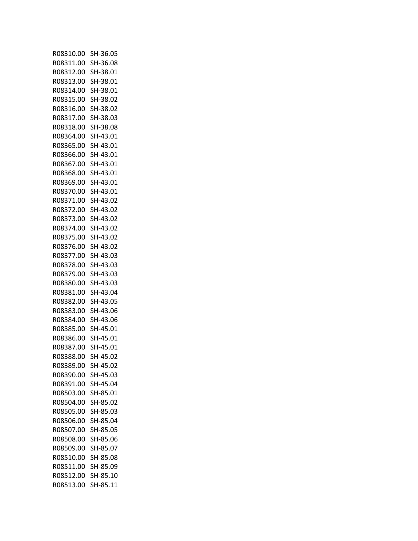| R08310.00 | SH-36.05 |
|-----------|----------|
| R08311.00 | SH-36.08 |
| R08312.00 | SH-38.01 |
| R08313.00 | SH-38.01 |
| R08314.00 | SH-38.01 |
| R08315.00 | SH-38.02 |
| R08316.00 | SH-38.02 |
| R08317.00 | SH-38.03 |
| R08318.00 | SH-38.08 |
| R08364.00 | SH-43.01 |
| R08365.00 | SH-43.01 |
| R08366.00 | SH-43.01 |
| R08367.00 | SH-43.01 |
| R08368.00 | SH-43.01 |
| R08369.00 | SH-43.01 |
| R08370.00 | SH-43.01 |
| R08371.00 | SH-43.02 |
| R08372.00 | SH-43.02 |
| R08373.00 | SH-43.02 |
| R08374.00 | SH-43.02 |
| R08375.00 | SH-43.02 |
|           | SH-43.02 |
| R08376.00 | SH-43.03 |
| R08377.00 |          |
| R08378.00 | SH-43.03 |
| R08379.00 | SH-43.03 |
| R08380.00 | SH-43.03 |
| R08381.00 | SH-43.04 |
| R08382.00 | SH-43.05 |
| R08383.00 | SH-43.06 |
| R08384.00 | SH-43.06 |
| R08385.00 | SH-45.01 |
| R08386.00 | SH-45.01 |
| R08387.00 | SH-45.01 |
| RO8388.00 | SH-45.02 |
| R08389.00 | SH-45.02 |
| R08390.00 | SH-45.03 |
| R08391.00 | SH-45.04 |
| R08503.00 | SH-85.01 |
| R08504.00 | SH-85.02 |
| R08505.00 | SH-85.03 |
| R08506.00 | SH-85.04 |
| R08507.00 | SH-85.05 |
| R08508.00 | SH-85.06 |
| R08509.00 | SH-85.07 |
| R08510.00 | SH-85.08 |
| R08511.00 | SH-85.09 |
| R08512.00 | SH-85.10 |
| R08513.00 | SH-85.11 |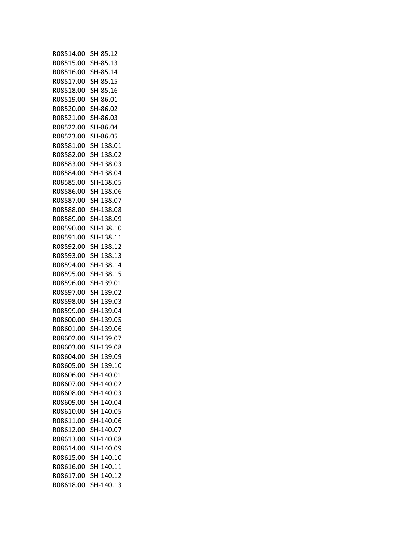| R08514.00 | SH-85.12  |
|-----------|-----------|
| R08515.00 | SH-85.13  |
| R08516.00 | SH-85.14  |
| R08517.00 | SH-85.15  |
| R08518.00 | SH-85.16  |
| R08519.00 | SH-86.01  |
|           |           |
| R08520.00 | SH-86.02  |
| R08521.00 | SH-86.03  |
| R08522.00 | SH-86.04  |
| R08523.00 | SH-86.05  |
| R08581.00 | SH-138.01 |
| R08582.00 | SH-138.02 |
| R08583.00 | SH-138.03 |
| R08584.00 | SH-138.04 |
| R08585.00 | SH-138.05 |
| R08586.00 | SH-138.06 |
|           |           |
| R08587.00 | SH-138.07 |
| R08588.00 | SH-138.08 |
| R08589.00 | SH-138.09 |
| R08590.00 | SH-138.10 |
| R08591.00 | SH-138.11 |
| R08592.00 | SH-138.12 |
| R08593.00 | SH-138.13 |
| R08594.00 | SH-138.14 |
| R08595.00 | SH-138.15 |
| R08596.00 | SH-139.01 |
| R08597.00 | SH-139.02 |
|           |           |
| R08598.00 | SH-139.03 |
| R08599.00 | SH-139.04 |
| R08600.00 | SH-139.05 |
| R08601.00 | SH-139.06 |
| R08602.00 | SH-139.07 |
| R08603.00 | SH-139.08 |
| R08604.00 | SH-139.09 |
| R08605.00 | SH-139.10 |
| R08606.00 | SH-140.01 |
| R08607.00 | SH-140.02 |
|           |           |
| R08608.00 | SH-140.03 |
| R08609.00 | SH-140.04 |
| R08610.00 | SH-140.05 |
| R08611.00 | SH-140.06 |
| R08612.00 | SH-140.07 |
| R08613.00 | SH-140.08 |
| R08614.00 | SH-140.09 |
| R08615.00 | SH-140.10 |
| R08616.00 | SH-140.11 |
| R08617.00 | SH-140.12 |
| R08618.00 | SH-140.13 |
|           |           |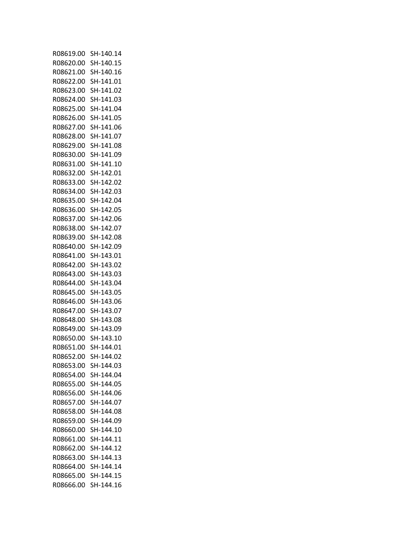| R08619.00 SH-140.14 |           |
|---------------------|-----------|
| R08620.00 SH-140.15 |           |
| R08621.00 SH-140.16 |           |
| R08622.00 SH-141.01 |           |
| R08623.00 SH-141.02 |           |
| R08624.00 SH-141.03 |           |
| R08625.00 SH-141.04 |           |
| R08626.00 SH-141.05 |           |
| R08627.00 SH-141.06 |           |
| R08628.00 SH-141.07 |           |
| R08629.00 SH-141.08 |           |
| R08630.00 SH-141.09 |           |
|                     |           |
| R08631.00 SH-141.10 |           |
| R08632.00 SH-142.01 |           |
| R08633.00 SH-142.02 |           |
| R08634.00 SH-142.03 |           |
| R08635.00 SH-142.04 |           |
| R08636.00 SH-142.05 |           |
| R08637.00 SH-142.06 |           |
| R08638.00 SH-142.07 |           |
| R08639.00 SH-142.08 |           |
| R08640.00 SH-142.09 |           |
| R08641.00 SH-143.01 |           |
| R08642.00 SH-143.02 |           |
| R08643.00 SH-143.03 |           |
| R08644.00 SH-143.04 |           |
| R08645.00 SH-143.05 |           |
| R08646.00 SH-143.06 |           |
| R08647.00 SH-143.07 |           |
| R08648.00 SH-143.08 |           |
| R08649.00 SH-143.09 |           |
| R08650.00 SH-143.10 |           |
|                     |           |
| R08651.00 SH-144.01 |           |
| R08652.00           | SH-144.02 |
| R08653.00           | SH-144.03 |
| R08654.00           | SH-144.04 |
| R08655.00           | SH-144.05 |
| R08656.00           | SH-144.06 |
| R08657.00           | SH-144.07 |
| R08658.00           | SH-144.08 |
| R08659.00           | SH-144.09 |
| R08660.00           | SH-144.10 |
| R08661.00           | SH-144.11 |
| R08662.00           | SH-144.12 |
| R08663.00           | SH-144.13 |
| R08664.00           | SH-144.14 |
| R08665.00           | SH-144.15 |
| R08666.00           | SH-144.16 |
|                     |           |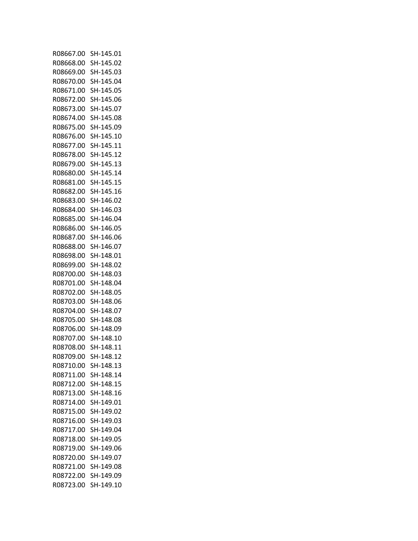| R08667.00 | SH-145.01 |
|-----------|-----------|
| R08668.00 | SH-145.02 |
| R08669.00 | SH-145.03 |
| R08670.00 | SH-145.04 |
| R08671.00 | SH-145.05 |
| R08672.00 | SH-145.06 |
| R08673.00 | SH-145.07 |
| R08674.00 | SH-145.08 |
| R08675.00 | SH-145.09 |
| R08676.00 | SH-145.10 |
| R08677.00 | SH-145.11 |
| R08678.00 | SH-145.12 |
| R08679.00 | SH-145.13 |
| R08680.00 | SH-145.14 |
| R08681.00 | SH-145.15 |
| R08682.00 | SH-145.16 |
| R08683.00 | SH-146.02 |
| R08684.00 | SH-146.03 |
| R08685.00 | SH-146.04 |
| R08686.00 | SH-146.05 |
| R08687.00 | SH-146.06 |
| R08688.00 | SH-146.07 |
| R08698.00 | SH-148.01 |
| R08699.00 | SH-148.02 |
| R08700.00 | SH-148.03 |
| R08701.00 | SH-148.04 |
| R08702.00 | SH-148.05 |
| R08703.00 | SH-148.06 |
| R08704.00 | SH-148.07 |
| R08705.00 | SH-148.08 |
| R08706.00 | SH-148.09 |
| R08707.00 | SH-148.10 |
| R08708.00 | SH-148.11 |
| R08709.00 | SH-148.12 |
| R08710.00 | SH-148.13 |
| R08711.00 | SH-148.14 |
| R08712.00 | SH-148.15 |
| R08713.00 | SH-148.16 |
| R08714.00 | SH-149.01 |
| R08715.00 | SH-149.02 |
| R08716.00 | SH-149.03 |
| R08717.00 | SH-149.04 |
| R08718.00 | SH-149.05 |
| R08719.00 | SH-149.06 |
| R08720.00 | SH-149.07 |
| R08721.00 | SH-149.08 |
| R08722.00 | SH-149.09 |
| R08723.00 | SH-149.10 |
|           |           |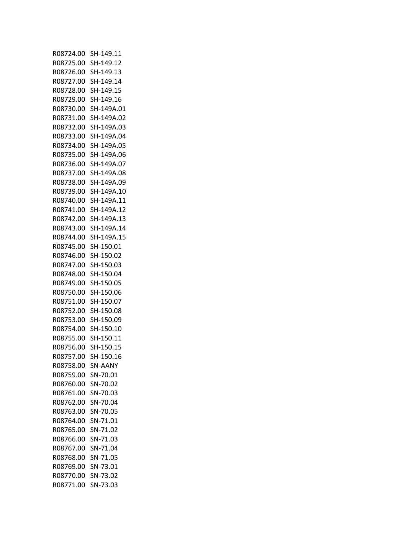| R08724.00 | SH-149.11      |
|-----------|----------------|
| R08725.00 | SH-149.12      |
| R08726.00 | SH-149.13      |
| R08727.00 | SH-149.14      |
| R08728.00 | SH-149.15      |
| R08729.00 | SH-149.16      |
| R08730.00 | SH-149A.01     |
| R08731.00 | SH-149A.02     |
| R08732.00 | SH-149A.03     |
| R08733.00 | SH-149A.04     |
| R08734.00 | SH-149A.05     |
| R08735.00 | SH-149A.06     |
| R08736.00 | SH-149A.07     |
| R08737.00 | SH-149A.08     |
| R08738.00 | SH-149A.09     |
| R08739.00 | SH-149A.10     |
| R08740.00 | SH-149A.11     |
| R08741.00 | SH-149A.12     |
|           |                |
| R08742.00 | SH-149A.13     |
| R08743.00 | SH-149A.14     |
| R08744.00 | SH-149A.15     |
| R08745.00 | SH-150.01      |
| R08746.00 | SH-150.02      |
| R08747.00 | SH-150.03      |
| R08748.00 | SH-150.04      |
| R08749.00 | SH-150.05      |
| R08750.00 | SH-150.06      |
| R08751.00 | SH-150.07      |
| R08752.00 | SH-150.08      |
| R08753.00 | SH-150.09      |
| R08754.00 | SH-150.10      |
| R08755.00 | SH-150.11      |
| R08756.00 | SH-150.15      |
| R08757.00 | SH-150.16      |
| R08758.00 | <b>SN-AANY</b> |
| R08759.00 | SN-70.01       |
| R08760.00 | SN-70.02       |
| R08761.00 | SN-70.03       |
| R08762.00 | SN-70.04       |
| R08763.00 | SN-70.05       |
| R08764.00 | SN-71.01       |
| R08765.00 | SN-71.02       |
| R08766.00 | SN-71.03       |
| R08767.00 | SN-71.04       |
| R08768.00 | SN-71.05       |
| R08769.00 | SN-73.01       |
| R08770.00 | SN-73.02       |
| R08771.00 | SN-73.03       |
|           |                |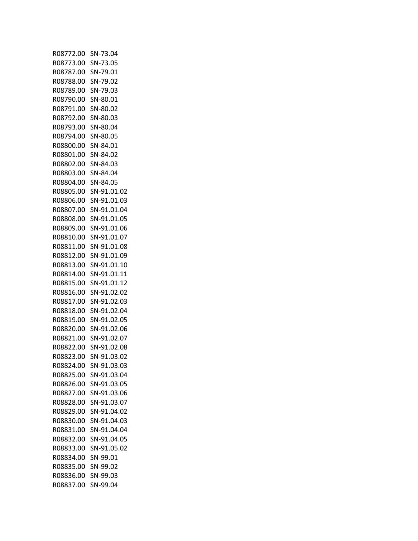| R08772.00 | SN-73.04    |
|-----------|-------------|
| R08773.00 | SN-73.05    |
| R08787.00 | SN-79.01    |
| R08788.00 | SN-79.02    |
|           |             |
| R08789.00 | SN-79.03    |
| R08790.00 | SN-80.01    |
| R08791.00 | SN-80.02    |
| R08792.00 | SN-80.03    |
| R08793.00 | SN-80.04    |
| R08794.00 | SN-80.05    |
| R08800.00 | SN-84.01    |
| R08801.00 | SN-84.02    |
| R08802.00 |             |
|           | SN-84.03    |
| R08803.00 | SN-84.04    |
| R08804.00 | SN-84.05    |
| R08805.00 | SN-91.01.02 |
| R08806.00 | SN-91.01.03 |
| R08807.00 | SN-91.01.04 |
| R08808.00 | SN-91.01.05 |
| R08809.00 | SN-91.01.06 |
| R08810.00 |             |
|           | SN-91.01.07 |
| R08811.00 | SN-91.01.08 |
| R08812.00 | SN-91.01.09 |
| R08813.00 | SN-91.01.10 |
| R08814.00 | SN-91.01.11 |
| R08815.00 | SN-91.01.12 |
| R08816.00 | SN-91.02.02 |
| R08817.00 | SN-91.02.03 |
| R08818.00 | SN-91.02.04 |
| R08819.00 | SN-91.02.05 |
|           |             |
| R08820.00 | SN-91.02.06 |
| R08821.00 | SN-91.02.07 |
| R08822.00 | SN-91.02.08 |
| R08823.00 | SN-91.03.02 |
| R08824.00 | SN-91.03.03 |
| R08825.00 | SN-91.03.04 |
| R08826.00 | SN-91.03.05 |
| R08827.00 | SN-91.03.06 |
| R08828.00 | SN-91.03.07 |
| R08829.00 | SN-91.04.02 |
| R08830.00 | SN-91.04.03 |
|           |             |
| R08831.00 | SN-91.04.04 |
| R08832.00 | SN-91.04.05 |
| R08833.00 | SN-91.05.02 |
| R08834.00 | SN-99.01    |
| R08835.00 | SN-99.02    |
| R08836.00 | SN-99.03    |
| R08837.00 | SN-99.04    |
|           |             |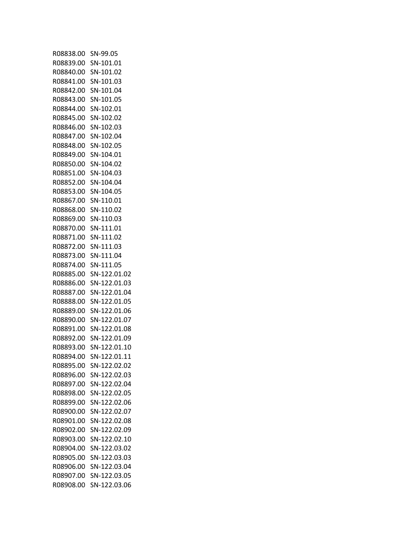| R08838.00           | SN-99.05               |
|---------------------|------------------------|
| R08839.00           | SN-101.01              |
| R08840.00 SN-101.02 |                        |
| R08841.00 SN-101.03 |                        |
| R08842.00 SN-101.04 |                        |
| R08843.00 SN-101.05 |                        |
| R08844.00 SN-102.01 |                        |
| R08845.00 SN-102.02 |                        |
| R08846.00 SN-102.03 |                        |
| R08847.00 SN-102.04 |                        |
| R08848.00 SN-102.05 |                        |
| R08849.00 SN-104.01 |                        |
| R08850.00 SN-104.02 |                        |
| R08851.00 SN-104.03 |                        |
| R08852.00 SN-104.04 |                        |
| R08853.00 SN-104.05 |                        |
| R08867.00 SN-110.01 |                        |
| R08868.00 SN-110.02 |                        |
| R08869.00 SN-110.03 |                        |
| R08870.00 SN-111.01 |                        |
| R08871.00 SN-111.02 |                        |
| R08872.00 SN-111.03 |                        |
| R08873.00           | SN-111.04              |
| R08874.00 SN-111.05 |                        |
|                     | R08885.00 SN-122.01.02 |
|                     | R08886.00 SN-122.01.03 |
| R08887.00           | SN-122.01.04           |
|                     | R08888.00 SN-122.01.05 |
|                     | R08889.00 SN-122.01.06 |
|                     | R08890.00 SN-122.01.07 |
|                     | R08891.00 SN-122.01.08 |
|                     | R08892.00 SN-122.01.09 |
|                     | R08893.00 SN-122.01.10 |
| RN8894.00           | SN-122.01.11           |
| R08895.00           | SN-122.02.02           |
| R08896.00           | SN-122.02.03           |
| R08897.00           | SN-122.02.04           |
| R08898.00           | SN-122.02.05           |
| R08899.00           | SN-122.02.06           |
| R08900.00           | SN-122.02.07           |
| R08901.00           | SN-122.02.08           |
| R08902.00           | SN-122.02.09           |
| R08903.00           | SN-122.02.10           |
| R08904.00           | SN-122.03.02           |
| R08905.00           | SN-122.03.03           |
| R08906.00           | SN-122.03.04           |
| R08907.00           | SN-122.03.05           |
| R08908.00           | SN-122.03.06           |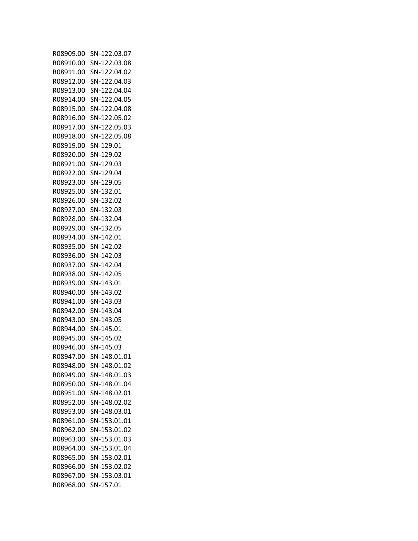| R08909.00           | SN-122.03.07           |
|---------------------|------------------------|
| R08910.00           | SN-122.03.08           |
| R08911.00           | SN-122.04.02           |
|                     | R08912.00 SN-122.04.03 |
| R08913.00           | SN-122.04.04           |
| R08914.00           | SN-122.04.05           |
|                     | R08915.00 SN-122.04.08 |
|                     | R08916.00 SN-122.05.02 |
|                     | R08917.00 SN-122.05.03 |
| R08918.00           | SN-122.05.08           |
| R08919.00 SN-129.01 |                        |
| R08920.00 SN-129.02 |                        |
| R08921.00 SN-129.03 |                        |
| R08922.00           | SN-129.04              |
| R08923.00 SN-129.05 |                        |
| R08925.00 SN-132.01 |                        |
| R08926.00 SN-132.02 |                        |
| R08927.00 SN-132.03 |                        |
| R08928.00           |                        |
|                     | SN-132.04              |
| R08929.00 SN-132.05 |                        |
| R08934.00 SN-142.01 |                        |
| R08935.00           | SN-142.02              |
| R08936.00           | SN-142.03              |
| R08937.00 SN-142.04 |                        |
| R08938.00 SN-142.05 |                        |
| R08939.00           | SN-143.01              |
| R08940.00           | SN-143.02              |
| R08941.00           | SN-143.03              |
| R08942.00 SN-143.04 |                        |
| R08943.00 SN-143.05 |                        |
| R08944.00 SN-145.01 |                        |
| R08945.00 SN-145.02 |                        |
| R08946.00 SN-145.03 |                        |
| R08947.00           | SN-148.01.01           |
| R08948.00           | SN-148.01.02           |
| R08949.00           | SN-148.01.03           |
| R08950.00           | SN-148.01.04           |
| R08951.00           | SN-148.02.01           |
| R08952.00           | SN-148.02.02           |
| R08953.00           | SN-148.03.01           |
| R08961.00           | SN-153.01.01           |
| R08962.00           | SN-153.01.02           |
| R08963.00           | SN-153.01.03           |
| R08964.00           | SN-153.01.04           |
| R08965.00           | SN-153.02.01           |
| R08966.00           | SN-153.02.02           |
| R08967.00           | SN-153.03.01           |
| R08968.00           | SN-157.01              |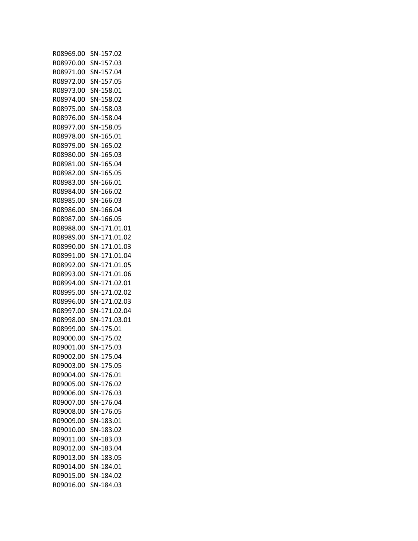| R08969.00           | SN-157.02    |
|---------------------|--------------|
| R08970.00           | SN-157.03    |
| R08971.00           | SN-157.04    |
| R08972.00 SN-157.05 |              |
| R08973.00           | SN-158.01    |
| R08974.00           | SN-158.02    |
| R08975.00           | SN-158.03    |
| R08976.00           | SN-158.04    |
| R08977.00           | SN-158.05    |
| R08978.00           | SN-165.01    |
| R08979.00           | SN-165.02    |
| R08980.00           | SN-165.03    |
| R08981.00           | SN-165.04    |
| R08982.00           | SN-165.05    |
| R08983.00 SN-166.01 |              |
| R08984.00 SN-166.02 |              |
| R08985.00           | SN-166.03    |
| R08986.00           | SN-166.04    |
|                     |              |
| R08987.00           | SN-166.05    |
| R08988.00           | SN-171.01.01 |
| R08989.00           | SN-171.01.02 |
| R08990.00           | SN-171.01.03 |
| R08991.00           | SN-171.01.04 |
| R08992.00           | SN-171.01.05 |
| R08993.00           | SN-171.01.06 |
| R08994.00           | SN-171.02.01 |
| R08995.00           | SN-171.02.02 |
| R08996.00           | SN-171.02.03 |
| R08997.00           | SN-171.02.04 |
| R08998.00           | SN-171.03.01 |
| R08999.00           | SN-175.01    |
| R09000.00 SN-175.02 |              |
| R09001.00 SN-175.03 |              |
| R09002.00           | SN-175.04    |
| R09003.00           | SN-175.05    |
| R09004.00           | SN-176.01    |
| R09005.00           | SN-176.02    |
| R09006.00           | SN-176.03    |
| R09007.00           | SN-176.04    |
| R09008.00           | SN-176.05    |
| R09009.00           | SN-183.01    |
| R09010.00           | SN-183.02    |
| R09011.00           | SN-183.03    |
| R09012.00           | SN-183.04    |
| R09013.00           | SN-183.05    |
| R09014.00           | SN-184.01    |
| R09015.00           | SN-184.02    |
| R09016.00           | SN-184.03    |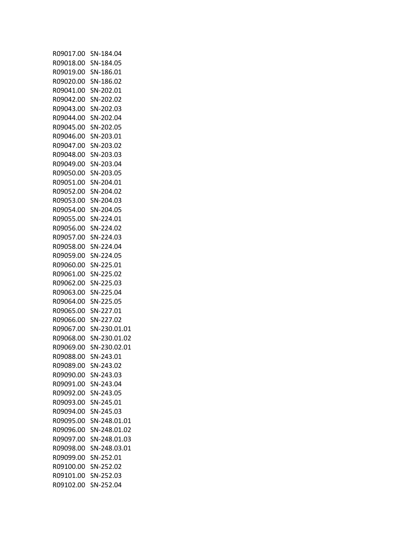| R09017.00 SN-184.04 |                        |
|---------------------|------------------------|
| R09018.00 SN-184.05 |                        |
| R09019.00 SN-186.01 |                        |
| R09020.00 SN-186.02 |                        |
| R09041.00 SN-202.01 |                        |
| R09042.00 SN-202.02 |                        |
| R09043.00 SN-202.03 |                        |
| R09044.00 SN-202.04 |                        |
| R09045.00 SN-202.05 |                        |
|                     |                        |
| R09046.00 SN-203.01 |                        |
| R09047.00 SN-203.02 |                        |
| R09048.00 SN-203.03 |                        |
| R09049.00 SN-203.04 |                        |
| R09050.00 SN-203.05 |                        |
| R09051.00 SN-204.01 |                        |
| R09052.00 SN-204.02 |                        |
| R09053.00 SN-204.03 |                        |
| R09054.00 SN-204.05 |                        |
| R09055.00 SN-224.01 |                        |
| R09056.00 SN-224.02 |                        |
| R09057.00 SN-224.03 |                        |
| R09058.00 SN-224.04 |                        |
| R09059.00 SN-224.05 |                        |
| R09060.00 SN-225.01 |                        |
| R09061.00 SN-225.02 |                        |
| R09062.00 SN-225.03 |                        |
| R09063.00 SN-225.04 |                        |
| R09064.00 SN-225.05 |                        |
| R09065.00 SN-227.01 |                        |
| R09066.00 SN-227.02 |                        |
|                     |                        |
|                     | R09067.00 SN-230.01.01 |
|                     | R09068.00 SN-230.01.02 |
| R09069.00           | SN-230.02.01           |
| R09088.00           | SN-243.01              |
| R09089.00           | SN-243.02              |
| R09090.00           | SN-243.03              |
| R09091.00           | SN-243.04              |
| R09092.00 SN-243.05 |                        |
| R09093.00           | SN-245.01              |
| R09094.00           | SN-245.03              |
| R09095.00           | SN-248.01.01           |
| R09096.00           | SN-248.01.02           |
| R09097.00           | SN-248.01.03           |
| R09098.00           | SN-248.03.01           |
| R09099.00           | SN-252.01              |
| R09100.00 SN-252.02 |                        |
| R09101.00           | SN-252.03              |
| R09102.00           | SN-252.04              |
|                     |                        |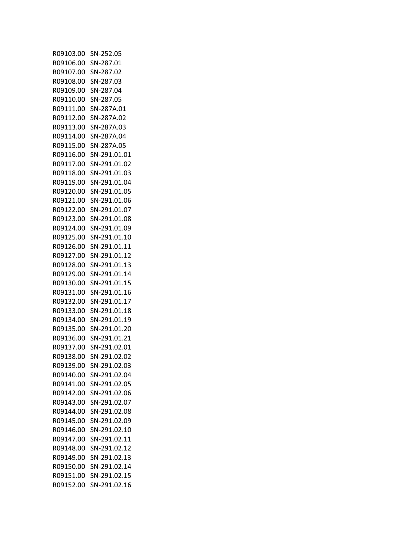| R09103.00 | SN-252.05    |
|-----------|--------------|
| R09106.00 | SN-287.01    |
| R09107.00 | SN-287.02    |
| R09108.00 | SN-287.03    |
| R09109.00 | SN-287.04    |
| R09110.00 | SN-287.05    |
| R09111.00 | SN-287A.01   |
| R09112.00 | SN-287A.02   |
| R09113.00 | SN-287A.03   |
|           |              |
| R09114.00 | SN-287A.04   |
| R09115.00 | SN-287A.05   |
| R09116.00 | SN-291.01.01 |
| R09117.00 | SN-291.01.02 |
| R09118.00 | SN-291.01.03 |
| R09119.00 | SN-291.01.04 |
| R09120.00 | SN-291.01.05 |
| R09121.00 | SN-291.01.06 |
| R09122.00 | SN-291.01.07 |
| R09123.00 | SN-291.01.08 |
| R09124.00 | SN-291.01.09 |
| R09125.00 | SN-291.01.10 |
| R09126.00 | SN-291.01.11 |
| R09127.00 | SN-291.01.12 |
| R09128.00 | SN-291.01.13 |
| R09129.00 | SN-291.01.14 |
| R09130.00 | SN-291.01.15 |
| R09131.00 | SN-291.01.16 |
|           |              |
| R09132.00 | SN-291.01.17 |
| R09133.00 | SN-291.01.18 |
| R09134.00 | SN-291.01.19 |
| R09135.00 | SN-291.01.20 |
| R09136.00 | SN-291.01.21 |
| R09137.00 | SN-291.02.01 |
| R09138.00 | SN-291.02.02 |
| R09139.00 | SN-291.02.03 |
| R09140.00 | SN-291.02.04 |
| R09141.00 | SN-291.02.05 |
| R09142.00 | SN-291.02.06 |
| R09143.00 | SN-291.02.07 |
| R09144.00 | SN-291.02.08 |
| R09145.00 | SN-291.02.09 |
| R09146.00 | SN-291.02.10 |
| R09147.00 | SN-291.02.11 |
| R09148.00 | SN-291.02.12 |
| R09149.00 | SN-291.02.13 |
| R09150.00 | SN-291.02.14 |
| R09151.00 | SN-291.02.15 |
| R09152.00 |              |
|           | SN-291.02.16 |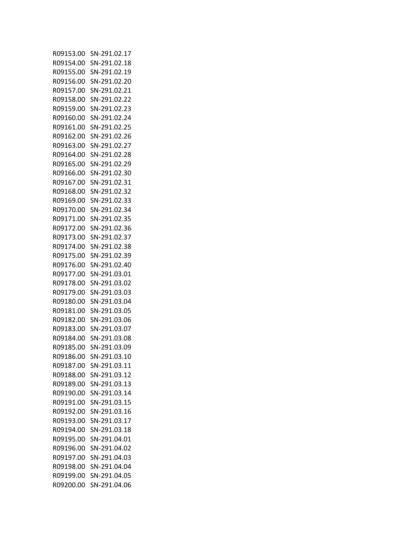| R09153.00 | SN-291.02.17                 |
|-----------|------------------------------|
| R09154.00 | SN-291.02.18                 |
| R09155.00 | SN-291.02.19                 |
| R09156.00 | SN-291.02.20                 |
| R09157.00 | SN-291.02.21                 |
| R09158.00 | SN-291.02.22                 |
| R09159.00 | SN-291.02.23                 |
| R09160.00 | SN-291.02.24                 |
| R09161.00 | SN-291.02.25                 |
| R09162.00 | SN-291.02.26                 |
| R09163.00 | SN-291.02.27                 |
| R09164.00 | SN-291.02.28                 |
| R09165.00 | SN-291.02.29                 |
| R09166.00 | SN-291.02.30                 |
| R09167.00 | SN-291.02.31                 |
| R09168.00 | SN-291.02.32                 |
| R09169.00 | SN-291.02.33                 |
| R09170.00 | SN-291.02.34                 |
| R09171.00 | SN-291.02.35                 |
| R09172.00 | SN-291.02.36                 |
| R09173.00 | SN-291.02.37                 |
| R09174.00 | SN-291.02.38                 |
| R09175.00 | SN-291.02.39                 |
| R09176.00 | SN-291.02.40                 |
| R09177.00 | SN-291.03.01                 |
| R09178.00 | SN-291.03.02                 |
| R09179.00 | SN-291.03.03                 |
| R09180.00 | SN-291.03.04                 |
| R09181.00 |                              |
|           | SN-291.03.05<br>SN-291.03.06 |
| R09182.00 |                              |
| R09183.00 | SN-291.03.07                 |
| R09184.00 | SN-291.03.08                 |
| R09185.00 | SN-291.03.09<br>SN-291.03.10 |
| R09186.00 |                              |
| R09187.00 | SN-291.03.11                 |
| R09188.00 | SN-291.03.12                 |
| R09189.00 | SN-291.03.13                 |
| R09190.00 | SN-291.03.14                 |
| R09191.00 | SN-291.03.15                 |
| R09192.00 | SN-291.03.16                 |
| R09193.00 | SN-291.03.17                 |
| R09194.00 | SN-291.03.18                 |
| R09195.00 | SN-291.04.01                 |
| R09196.00 | SN-291.04.02                 |
| R09197.00 | SN-291.04.03                 |
| R09198.00 | SN-291.04.04                 |
| R09199.00 | SN-291.04.05                 |
| R09200.00 | SN-291.04.06                 |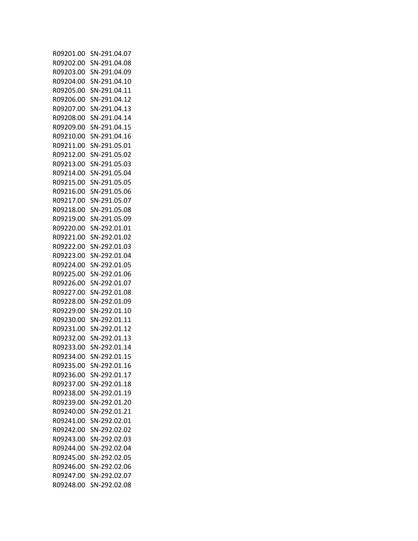| R09201.00 | SN-291.04.07 |
|-----------|--------------|
| R09202.00 | SN-291.04.08 |
| R09203.00 | SN-291.04.09 |
| R09204.00 | SN-291.04.10 |
| R09205.00 | SN-291.04.11 |
| R09206.00 | SN-291.04.12 |
| R09207.00 | SN-291.04.13 |
| R09208.00 | SN-291.04.14 |
| R09209.00 | SN-291.04.15 |
| R09210.00 | SN-291.04.16 |
| R09211.00 | SN-291.05.01 |
| R09212.00 | SN-291.05.02 |
| R09213.00 | SN-291.05.03 |
| R09214.00 | SN-291.05.04 |
| R09215.00 | SN-291.05.05 |
| R09216.00 | SN-291.05.06 |
| R09217.00 | SN-291.05.07 |
| R09218.00 | SN-291.05.08 |
| R09219.00 |              |
|           | SN-291.05.09 |
| R09220.00 | SN-292.01.01 |
| R09221.00 | SN-292.01.02 |
| R09222.00 | SN-292.01.03 |
| R09223.00 | SN-292.01.04 |
| R09224.00 | SN-292.01.05 |
| R09225.00 | SN-292.01.06 |
| R09226.00 | SN-292.01.07 |
| R09227.00 | SN-292.01.08 |
| R09228.00 | SN-292.01.09 |
| R09229.00 | SN-292.01.10 |
| R09230.00 | SN-292.01.11 |
| R09231.00 | SN-292.01.12 |
| R09232.00 | SN-292.01.13 |
| R09233.00 | SN-292.01.14 |
| R09234.00 | SN-292.01.15 |
| R09235.00 | SN-292.01.16 |
| R09236.00 | SN-292.01.17 |
| R09237.00 | SN-292.01.18 |
| R09238.00 | SN-292.01.19 |
| R09239.00 | SN-292.01.20 |
| R09240.00 | SN-292.01.21 |
| R09241.00 | SN-292.02.01 |
| R09242.00 | SN-292.02.02 |
| R09243.00 | SN-292.02.03 |
| R09244.00 | SN-292.02.04 |
| R09245.00 | SN-292.02.05 |
| R09246.00 | SN-292.02.06 |
| R09247.00 | SN-292.02.07 |
| R09248.00 | SN-292.02.08 |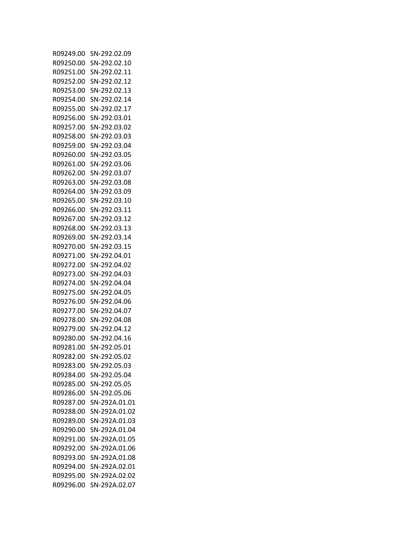| R09249.00 | SN-292.02.09                 |
|-----------|------------------------------|
| R09250.00 | SN-292.02.10                 |
| R09251.00 | SN-292.02.11                 |
| R09252.00 | SN-292.02.12                 |
| R09253.00 | SN-292.02.13                 |
| R09254.00 | SN-292.02.14                 |
| R09255.00 | SN-292.02.17                 |
| R09256.00 | SN-292.03.01                 |
| R09257.00 | SN-292.03.02                 |
|           |                              |
| R09258.00 | SN-292.03.03                 |
| R09259.00 | SN-292.03.04                 |
| R09260.00 | SN-292.03.05                 |
| R09261.00 | SN-292.03.06                 |
| R09262.00 | SN-292.03.07                 |
| R09263.00 | SN-292.03.08                 |
| R09264.00 | SN-292.03.09                 |
| R09265.00 | SN-292.03.10                 |
| R09266.00 | SN-292.03.11                 |
| R09267.00 | SN-292.03.12                 |
| R09268.00 | SN-292.03.13                 |
| R09269.00 | SN-292.03.14                 |
| R09270.00 | SN-292.03.15                 |
| R09271.00 | SN-292.04.01                 |
| R09272.00 | SN-292.04.02                 |
| R09273.00 | SN-292.04.03                 |
| R09274.00 | SN-292.04.04                 |
| R09275.00 | SN-292.04.05                 |
| R09276.00 | SN-292.04.06                 |
| R09277.00 | SN-292.04.07                 |
| R09278.00 | SN-292.04.08                 |
| R09279.00 | SN-292.04.12                 |
| R09280.00 | SN-292.04.16                 |
| R09281.00 |                              |
| R09282.00 | SN-292.05.01<br>SN-292.05.02 |
|           |                              |
| R09283.00 | SN-292.05.03                 |
| R09284.00 | SN-292.05.04                 |
| R09285.00 | SN-292.05.05                 |
| R09286.00 | SN-292.05.06                 |
| R09287.00 | SN-292A.01.01                |
| R09288.00 | SN-292A.01.02                |
| R09289.00 | SN-292A.01.03                |
| R09290.00 | SN-292A.01.04                |
| R09291.00 | SN-292A.01.05                |
| R09292.00 | SN-292A.01.06                |
| R09293.00 | SN-292A.01.08                |
| R09294.00 | SN-292A.02.01                |
| R09295.00 | SN-292A.02.02                |
| R09296.00 | SN-292A.02.07                |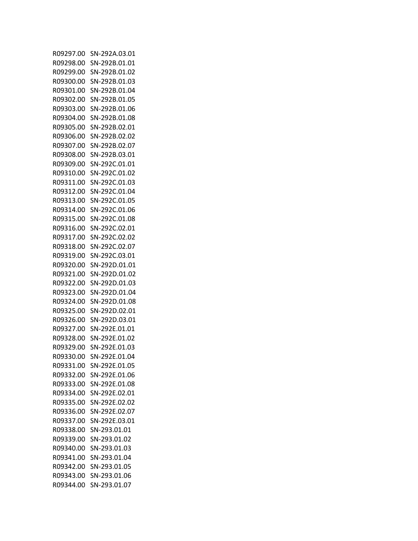| R09297.00 | SN-292A.03.01 |
|-----------|---------------|
| R09298.00 | SN-292B.01.01 |
| R09299.00 | SN-292B.01.02 |
| R09300.00 | SN-292B.01.03 |
| R09301.00 | SN-292B.01.04 |
| R09302.00 | SN-292B.01.05 |
| R09303.00 | SN-292B.01.06 |
| R09304.00 | SN-292B.01.08 |
| R09305.00 | SN-292B.02.01 |
|           |               |
| R09306.00 | SN-292B.02.02 |
| R09307.00 | SN-292B.02.07 |
| R09308.00 | SN-292B.03.01 |
| R09309.00 | SN-292C.01.01 |
| R09310.00 | SN-292C.01.02 |
| R09311.00 | SN-292C.01.03 |
| R09312.00 | SN-292C.01.04 |
| R09313.00 | SN-292C.01.05 |
| R09314.00 | SN-292C.01.06 |
| R09315.00 | SN-292C.01.08 |
| R09316.00 | SN-292C.02.01 |
| R09317.00 | SN-292C.02.02 |
| R09318.00 | SN-292C.02.07 |
| R09319.00 | SN-292C.03.01 |
| R09320.00 | SN-292D.01.01 |
| R09321.00 | SN-292D.01.02 |
| R09322.00 | SN-292D.01.03 |
| R09323.00 | SN-292D.01.04 |
| R09324.00 | SN-292D.01.08 |
| R09325.00 | SN-292D.02.01 |
| R09326.00 | SN-292D.03.01 |
| R09327.00 | SN-292E.01.01 |
|           |               |
| R09328.00 | SN-292E.01.02 |
| R09329.00 | SN-292E.01.03 |
| R09330.00 | SN-292F.01.04 |
| R09331.00 | SN-292E.01.05 |
| R09332.00 | SN-292E.01.06 |
| R09333.00 | SN-292E.01.08 |
| R09334.00 | SN-292E.02.01 |
| R09335.00 | SN-292E.02.02 |
| R09336.00 | SN-292E.02.07 |
| R09337.00 | SN-292E.03.01 |
| R09338.00 | SN-293.01.01  |
| R09339.00 | SN-293.01.02  |
| R09340.00 | SN-293.01.03  |
| R09341.00 | SN-293.01.04  |
| R09342.00 | SN-293.01.05  |
| R09343.00 | SN-293.01.06  |
| R09344.00 | SN-293.01.07  |
|           |               |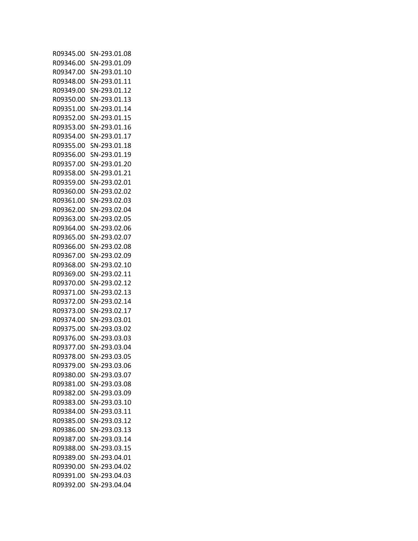| R09345.00 | SN-293.01.08 |
|-----------|--------------|
| R09346.00 | SN-293.01.09 |
| R09347.00 | SN-293.01.10 |
| R09348.00 | SN-293.01.11 |
| R09349.00 | SN-293.01.12 |
| R09350.00 | SN-293.01.13 |
| R09351.00 | SN-293.01.14 |
| R09352.00 | SN-293.01.15 |
| R09353.00 | SN-293.01.16 |
| R09354.00 | SN-293.01.17 |
| R09355.00 | SN-293.01.18 |
| R09356.00 | SN-293.01.19 |
| R09357.00 | SN-293.01.20 |
| R09358.00 | SN-293.01.21 |
| R09359.00 | SN-293.02.01 |
| R09360.00 | SN-293.02.02 |
| R09361.00 | SN-293.02.03 |
| R09362.00 | SN-293.02.04 |
| R09363.00 | SN-293.02.05 |
| R09364.00 | SN-293.02.06 |
| R09365.00 | SN-293.02.07 |
|           | SN-293.02.08 |
| R09366.00 | SN-293.02.09 |
| R09367.00 |              |
| R09368.00 | SN-293.02.10 |
| R09369.00 | SN-293.02.11 |
| R09370.00 | SN-293.02.12 |
| R09371.00 | SN-293.02.13 |
| R09372.00 | SN-293.02.14 |
| R09373.00 | SN-293.02.17 |
| R09374.00 | SN-293.03.01 |
| R09375.00 | SN-293.03.02 |
| R09376.00 | SN-293.03.03 |
| R09377.00 | SN-293.03.04 |
| R09378.00 | SN-293.03.05 |
| R09379.00 | SN-293.03.06 |
| R09380.00 | SN-293.03.07 |
| R09381.00 | SN-293.03.08 |
| R09382.00 | SN-293.03.09 |
| R09383.00 | SN-293.03.10 |
| R09384.00 | SN-293.03.11 |
| R09385.00 | SN-293.03.12 |
| R09386.00 | SN-293.03.13 |
| R09387.00 | SN-293.03.14 |
| R09388.00 | SN-293.03.15 |
| R09389.00 | SN-293.04.01 |
| R09390.00 | SN-293.04.02 |
| R09391.00 | SN-293.04.03 |
| R09392.00 | SN-293.04.04 |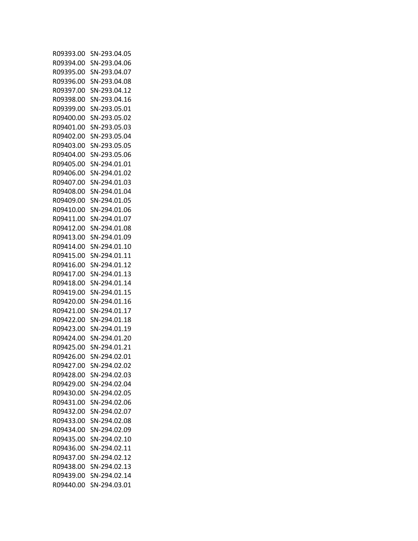| R09393.00 | SN-293.04.05                 |
|-----------|------------------------------|
| R09394.00 | SN-293.04.06                 |
| R09395.00 | SN-293.04.07                 |
| R09396.00 | SN-293.04.08                 |
| R09397.00 | SN-293.04.12                 |
| R09398.00 | SN-293.04.16                 |
| R09399.00 | SN-293.05.01                 |
| R09400.00 | SN-293.05.02                 |
| R09401.00 | SN-293.05.03                 |
| R09402.00 | SN-293.05.04                 |
| R09403.00 | SN-293.05.05                 |
| R09404.00 | SN-293.05.06                 |
| R09405.00 | SN-294.01.01                 |
| R09406.00 | SN-294.01.02                 |
| R09407.00 | SN-294.01.03                 |
| R09408.00 | SN-294.01.04                 |
| R09409.00 | SN-294.01.05                 |
|           |                              |
| R09410.00 | SN-294.01.06<br>SN-294.01.07 |
| R09411.00 |                              |
| R09412.00 | SN-294.01.08                 |
| R09413.00 | SN-294.01.09                 |
| R09414.00 | SN-294.01.10                 |
| R09415.00 | SN-294.01.11                 |
| R09416.00 | SN-294.01.12                 |
| R09417.00 | SN-294.01.13                 |
| R09418.00 | SN-294.01.14                 |
| R09419.00 | SN-294.01.15                 |
| R09420.00 | SN-294.01.16                 |
| R09421.00 | SN-294.01.17                 |
| R09422.00 | SN-294.01.18                 |
| R09423.00 | SN-294.01.19                 |
| R09424.00 | SN-294.01.20                 |
| R09425.00 | SN-294.01.21                 |
| R09426.00 | SN-294.02.01                 |
| R09427.00 | SN-294.02.02                 |
| R09428.00 | SN-294.02.03                 |
| R09429.00 | SN-294.02.04                 |
| R09430.00 | SN-294.02.05                 |
| R09431.00 | SN-294.02.06                 |
| R09432.00 | SN-294.02.07                 |
| R09433.00 | SN-294.02.08                 |
| R09434.00 | SN-294.02.09                 |
| R09435.00 | SN-294.02.10                 |
| R09436.00 | SN-294.02.11                 |
| R09437.00 | SN-294.02.12                 |
| R09438.00 | SN-294.02.13                 |
| R09439.00 | SN-294.02.14                 |
| R09440.00 | SN-294.03.01                 |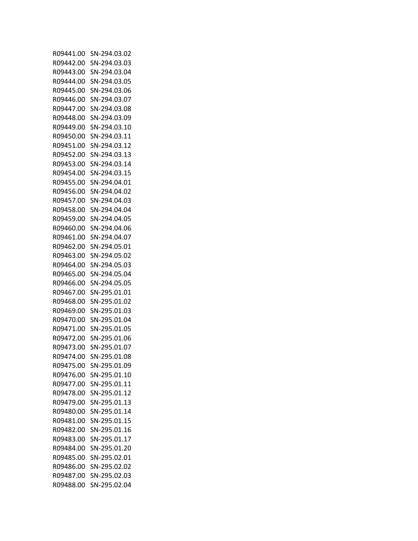| R09441.00 | SN-294.03.02 |
|-----------|--------------|
| R09442.00 | SN-294.03.03 |
| R09443.00 | SN-294.03.04 |
| R09444.00 | SN-294.03.05 |
| R09445.00 | SN-294.03.06 |
| R09446.00 | SN-294.03.07 |
| R09447.00 | SN-294.03.08 |
| R09448.00 | SN-294.03.09 |
| R09449.00 | SN-294.03.10 |
| R09450.00 | SN-294.03.11 |
| R09451.00 | SN-294.03.12 |
| R09452.00 | SN-294.03.13 |
| R09453.00 | SN-294.03.14 |
| R09454.00 | SN-294.03.15 |
| R09455.00 | SN-294.04.01 |
| R09456.00 | SN-294.04.02 |
| R09457.00 | SN-294.04.03 |
| R09458.00 |              |
| R09459.00 | SN-294.04.04 |
|           | SN-294.04.05 |
| R09460.00 | SN-294.04.06 |
| R09461.00 | SN-294.04.07 |
| R09462.00 | SN-294.05.01 |
| R09463.00 | SN-294.05.02 |
| R09464.00 | SN-294.05.03 |
| R09465.00 | SN-294.05.04 |
| R09466.00 | SN-294.05.05 |
| R09467.00 | SN-295.01.01 |
| R09468.00 | SN-295.01.02 |
| R09469.00 | SN-295.01.03 |
| R09470.00 | SN-295.01.04 |
| R09471.00 | SN-295.01.05 |
| R09472.00 | SN-295.01.06 |
| R09473.00 | SN-295.01.07 |
| R09474.00 | SN-295.01.08 |
| R09475.00 | SN-295.01.09 |
| R09476.00 | SN-295.01.10 |
| R09477.00 | SN-295.01.11 |
| R09478.00 | SN-295.01.12 |
| R09479.00 | SN-295.01.13 |
| R09480.00 | SN-295.01.14 |
| R09481.00 | SN-295.01.15 |
| R09482.00 | SN-295.01.16 |
| R09483.00 | SN-295.01.17 |
| R09484.00 | SN-295.01.20 |
| R09485.00 | SN-295.02.01 |
| R09486.00 | SN-295.02.02 |
| R09487.00 | SN-295.02.03 |
| R09488.00 | SN-295.02.04 |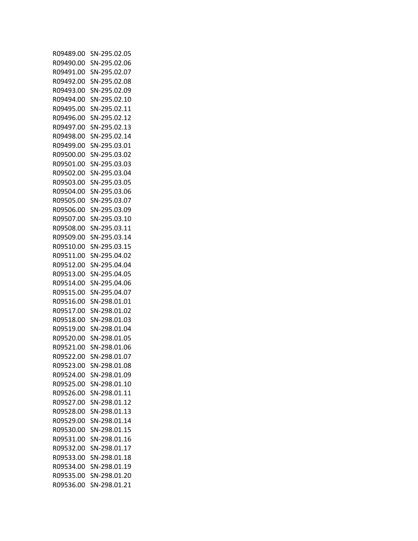| R09489.00 | SN-295.02.05 |
|-----------|--------------|
| R09490.00 | SN-295.02.06 |
| R09491.00 | SN-295.02.07 |
| R09492.00 | SN-295.02.08 |
| R09493.00 | SN-295.02.09 |
| R09494.00 | SN-295.02.10 |
| R09495.00 | SN-295.02.11 |
| R09496.00 | SN-295.02.12 |
| R09497.00 | SN-295.02.13 |
| R09498.00 | SN-295.02.14 |
| R09499.00 | SN-295.03.01 |
| R09500.00 | SN-295.03.02 |
| R09501.00 | SN-295.03.03 |
| R09502.00 | SN-295.03.04 |
| R09503.00 | SN-295.03.05 |
| R09504.00 | SN-295.03.06 |
| R09505.00 | SN-295.03.07 |
| R09506.00 | SN-295.03.09 |
|           | SN-295.03.10 |
| R09507.00 |              |
| R09508.00 | SN-295.03.11 |
| R09509.00 | SN-295.03.14 |
| R09510.00 | SN-295.03.15 |
| R09511.00 | SN-295.04.02 |
| R09512.00 | SN-295.04.04 |
| R09513.00 | SN-295.04.05 |
| R09514.00 | SN-295.04.06 |
| R09515.00 | SN-295.04.07 |
| R09516.00 | SN-298.01.01 |
| R09517.00 | SN-298.01.02 |
| R09518.00 | SN-298.01.03 |
| R09519.00 | SN-298.01.04 |
| R09520.00 | SN-298.01.05 |
| R09521.00 | SN-298.01.06 |
| R09522.00 | SN-298.01.07 |
| R09523.00 | SN-298.01.08 |
| R09524.00 | SN-298.01.09 |
| R09525.00 | SN-298.01.10 |
| R09526.00 | SN-298.01.11 |
| R09527.00 | SN-298.01.12 |
| R09528.00 | SN-298.01.13 |
| R09529.00 | SN-298.01.14 |
| R09530.00 | SN-298.01.15 |
| R09531.00 | SN-298.01.16 |
| R09532.00 | SN-298.01.17 |
| R09533.00 | SN-298.01.18 |
| R09534.00 | SN-298.01.19 |
| R09535.00 | SN-298.01.20 |
| R09536.00 | SN-298.01.21 |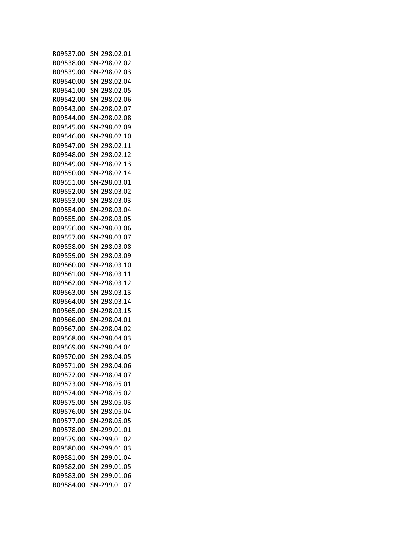| R09537.00 | SN-298.02.01 |
|-----------|--------------|
| R09538.00 | SN-298.02.02 |
| R09539.00 | SN-298.02.03 |
| R09540.00 | SN-298.02.04 |
| R09541.00 | SN-298.02.05 |
| R09542.00 | SN-298.02.06 |
| R09543.00 | SN-298.02.07 |
| R09544.00 | SN-298.02.08 |
| R09545.00 | SN-298.02.09 |
| R09546.00 | SN-298.02.10 |
| R09547.00 | SN-298.02.11 |
| R09548.00 | SN-298.02.12 |
| R09549.00 | SN-298.02.13 |
| R09550.00 | SN-298.02.14 |
| R09551.00 | SN-298.03.01 |
| R09552.00 | SN-298.03.02 |
| R09553.00 | SN-298.03.03 |
| R09554.00 |              |
|           | SN-298.03.04 |
| R09555.00 | SN-298.03.05 |
| R09556.00 | SN-298.03.06 |
| R09557.00 | SN-298.03.07 |
| R09558.00 | SN-298.03.08 |
| R09559.00 | SN-298.03.09 |
| R09560.00 | SN-298.03.10 |
| R09561.00 | SN-298.03.11 |
| R09562.00 | SN-298.03.12 |
| R09563.00 | SN-298.03.13 |
| R09564.00 | SN-298.03.14 |
| R09565.00 | SN-298.03.15 |
| R09566.00 | SN-298.04.01 |
| R09567.00 | SN-298.04.02 |
| R09568.00 | SN-298.04.03 |
| R09569.00 | SN-298.04.04 |
| R09570.00 | SN-298.04.05 |
| R09571.00 | SN-298.04.06 |
| R09572.00 | SN-298.04.07 |
| R09573.00 | SN-298.05.01 |
| R09574.00 | SN-298.05.02 |
| R09575.00 | SN-298.05.03 |
| R09576.00 | SN-298.05.04 |
| R09577.00 | SN-298.05.05 |
| R09578.00 | SN-299.01.01 |
| R09579.00 | SN-299.01.02 |
| R09580.00 | SN-299.01.03 |
| R09581.00 | SN-299.01.04 |
| R09582.00 | SN-299.01.05 |
| R09583.00 | SN-299.01.06 |
| R09584.00 | SN-299.01.07 |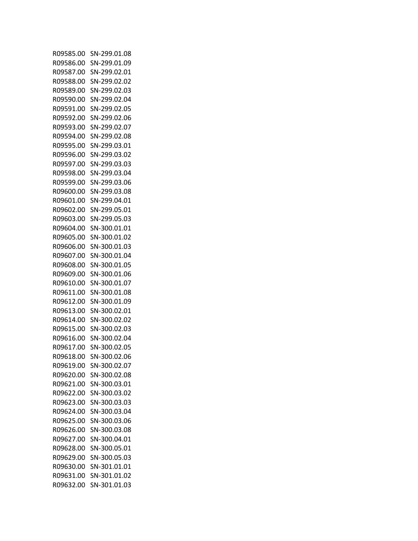| R09585.00 | SN-299.01.08 |
|-----------|--------------|
| R09586.00 | SN-299.01.09 |
| R09587.00 | SN-299.02.01 |
| R09588.00 | SN-299.02.02 |
| R09589.00 | SN-299.02.03 |
| R09590.00 | SN-299.02.04 |
| R09591.00 | SN-299.02.05 |
| R09592.00 | SN-299.02.06 |
| R09593.00 | SN-299.02.07 |
| R09594.00 | SN-299.02.08 |
| R09595.00 | SN-299.03.01 |
| R09596.00 | SN-299.03.02 |
| R09597.00 | SN-299.03.03 |
| R09598.00 | SN-299.03.04 |
| R09599.00 | SN-299.03.06 |
| R09600.00 | SN-299.03.08 |
| R09601.00 | SN-299.04.01 |
| R09602.00 | SN-299.05.01 |
|           |              |
| R09603.00 | SN-299.05.03 |
| R09604.00 | SN-300.01.01 |
| R09605.00 | SN-300.01.02 |
| R09606.00 | SN-300.01.03 |
| R09607.00 | SN-300.01.04 |
| R09608.00 | SN-300.01.05 |
| R09609.00 | SN-300.01.06 |
| R09610.00 | SN-300.01.07 |
| R09611.00 | SN-300.01.08 |
| R09612.00 | SN-300.01.09 |
| R09613.00 | SN-300.02.01 |
| R09614.00 | SN-300.02.02 |
| R09615.00 | SN-300.02.03 |
| R09616.00 | SN-300.02.04 |
| R09617.00 | SN-300.02.05 |
| R09618.00 | SN-300.02.06 |
| R09619.00 | SN-300.02.07 |
| R09620.00 | SN-300.02.08 |
| R09621.00 | SN-300.03.01 |
| R09622.00 | SN-300.03.02 |
| R09623.00 | SN-300.03.03 |
| R09624.00 | SN-300.03.04 |
| R09625.00 | SN-300.03.06 |
| R09626.00 | SN-300.03.08 |
| R09627.00 | SN-300.04.01 |
| R09628.00 | SN-300.05.01 |
| R09629.00 | SN-300.05.03 |
| R09630.00 | SN-301.01.01 |
| R09631.00 | SN-301.01.02 |
| R09632.00 | SN-301.01.03 |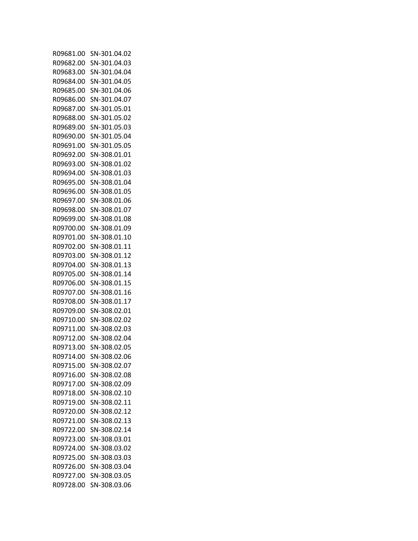| R09681.00 | SN-301.04.02 |
|-----------|--------------|
| R09682.00 | SN-301.04.03 |
| R09683.00 | SN-301.04.04 |
| R09684.00 | SN-301.04.05 |
| R09685.00 | SN-301.04.06 |
| R09686.00 | SN-301.04.07 |
| R09687.00 | SN-301.05.01 |
| R09688.00 | SN-301.05.02 |
| R09689.00 | SN-301.05.03 |
| R09690.00 | SN-301.05.04 |
| R09691.00 | SN-301.05.05 |
| R09692.00 | SN-308.01.01 |
| R09693.00 | SN-308.01.02 |
| R09694.00 | SN-308.01.03 |
| R09695.00 |              |
|           | SN-308.01.04 |
| R09696.00 | SN-308.01.05 |
| R09697.00 | SN-308.01.06 |
| R09698.00 | SN-308.01.07 |
| R09699.00 | SN-308.01.08 |
| R09700.00 | SN-308.01.09 |
| R09701.00 | SN-308.01.10 |
| R09702.00 | SN-308.01.11 |
| R09703.00 | SN-308.01.12 |
| R09704.00 | SN-308.01.13 |
| R09705.00 | SN-308.01.14 |
| R09706.00 | SN-308.01.15 |
| R09707.00 | SN-308.01.16 |
| R09708.00 | SN-308.01.17 |
| R09709.00 | SN-308.02.01 |
| R09710.00 | SN-308.02.02 |
| R09711.00 | SN-308.02.03 |
| R09712.00 | SN-308.02.04 |
| R09713.00 | SN-308.02.05 |
| R09714.00 | SN-308.02.06 |
| R09715.00 | SN-308.02.07 |
| R09716.00 | SN-308.02.08 |
| R09717.00 | SN-308.02.09 |
| R09718.00 | SN-308.02.10 |
| R09719.00 | SN-308.02.11 |
| R09720.00 | SN-308.02.12 |
| R09721.00 | SN-308.02.13 |
| R09722.00 | SN-308.02.14 |
| R09723.00 | SN-308.03.01 |
| R09724.00 | SN-308.03.02 |
| R09725.00 | SN-308.03.03 |
| R09726.00 | SN-308.03.04 |
| R09727.00 | SN-308.03.05 |
| R09728.00 | SN-308.03.06 |
|           |              |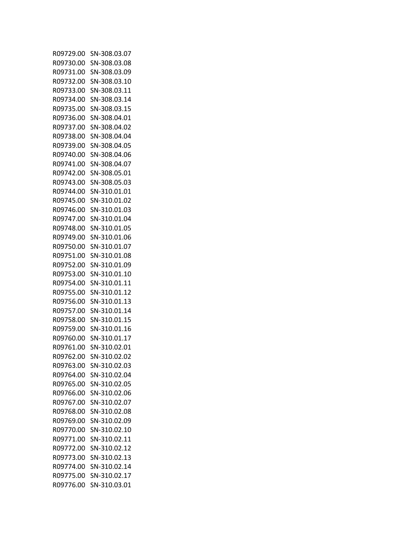| R09729.00 | SN-308.03.07 |
|-----------|--------------|
| R09730.00 | SN-308.03.08 |
| R09731.00 | SN-308.03.09 |
| R09732.00 | SN-308.03.10 |
| R09733.00 | SN-308.03.11 |
| R09734.00 | SN-308.03.14 |
| R09735.00 | SN-308.03.15 |
| R09736.00 | SN-308.04.01 |
| R09737.00 | SN-308.04.02 |
|           |              |
| R09738.00 | SN-308.04.04 |
| R09739.00 | SN-308.04.05 |
| R09740.00 | SN-308.04.06 |
| R09741.00 | SN-308.04.07 |
| R09742.00 | SN-308.05.01 |
| R09743.00 | SN-308.05.03 |
| R09744.00 | SN-310.01.01 |
| R09745.00 | SN-310.01.02 |
| R09746.00 | SN-310.01.03 |
| R09747.00 | SN-310.01.04 |
| R09748.00 | SN-310.01.05 |
| R09749.00 | SN-310.01.06 |
| R09750.00 | SN-310.01.07 |
| R09751.00 | SN-310.01.08 |
| R09752.00 | SN-310.01.09 |
| R09753.00 | SN-310.01.10 |
| R09754.00 | SN-310.01.11 |
| R09755.00 | SN-310.01.12 |
| R09756.00 | SN-310.01.13 |
| R09757.00 | SN-310.01.14 |
| R09758.00 | SN-310.01.15 |
| R09759.00 | SN-310.01.16 |
| R09760.00 | SN-310.01.17 |
| R09761.00 | SN-310.02.01 |
| R09762.00 | SN-310.02.02 |
| R09763.00 | SN-310.02.03 |
|           | SN-310.02.04 |
| R09764.00 |              |
| R09765.00 | SN-310.02.05 |
| R09766.00 | SN-310.02.06 |
| R09767.00 | SN-310.02.07 |
| R09768.00 | SN-310.02.08 |
| R09769.00 | SN-310.02.09 |
| R09770.00 | SN-310.02.10 |
| R09771.00 | SN-310.02.11 |
| R09772.00 | SN-310.02.12 |
| R09773.00 | SN-310.02.13 |
| R09774.00 | SN-310.02.14 |
| R09775.00 | SN-310.02.17 |
| R09776.00 | SN-310.03.01 |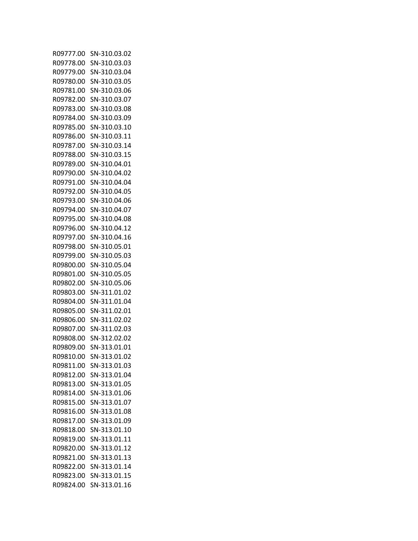| R09777.00              | SN-310.03.02 |
|------------------------|--------------|
| R09778.00              | SN-310.03.03 |
| R09779.00              | SN-310.03.04 |
| R09780.00              | SN-310.03.05 |
| R09781.00              | SN-310.03.06 |
| R09782.00              | SN-310.03.07 |
| R09783.00              | SN-310.03.08 |
| R09784.00              | SN-310.03.09 |
| R09785.00              | SN-310.03.10 |
| R09786.00              | SN-310.03.11 |
| R09787.00              | SN-310.03.14 |
| R09788.00              | SN-310.03.15 |
| R09789.00              | SN-310.04.01 |
| R09790.00              | SN-310.04.02 |
| R09791.00              | SN-310.04.04 |
| R09792.00              | SN-310.04.05 |
| R09793.00              | SN-310.04.06 |
| R09794.00              | SN-310.04.07 |
| R09795.00              | SN-310.04.08 |
| R09796.00              | SN-310.04.12 |
| R09797.00              | SN-310.04.16 |
| R09798.00              | SN-310.05.01 |
| R09799.00              | SN-310.05.03 |
| R09800.00              | SN-310.05.04 |
| R09801.00              | SN-310.05.05 |
|                        | SN-310.05.06 |
| R09802.00<br>R09803.00 | SN-311.01.02 |
| R09804.00              | SN-311.01.04 |
| R09805.00              | SN-311.02.01 |
| R09806.00              | SN-311.02.02 |
| R09807.00              | SN-311.02.03 |
| R09808.00              | SN-312.02.02 |
| R09809.00              | SN-313.01.01 |
| R09810.00              | SN-313.01.02 |
| R09811.00              | SN-313.01.03 |
| R09812.00              | SN-313.01.04 |
| R09813.00              | SN-313.01.05 |
|                        | SN-313.01.06 |
| R09814.00<br>R09815.00 | SN-313.01.07 |
|                        |              |
| R09816.00<br>R09817.00 | SN-313.01.08 |
|                        | SN-313.01.09 |
| R09818.00              | SN-313.01.10 |
| R09819.00              | SN-313.01.11 |
| R09820.00              | SN-313.01.12 |
| R09821.00              | SN-313.01.13 |
| R09822.00              | SN-313.01.14 |
| R09823.00              | SN-313.01.15 |
| R09824.00              | SN-313.01.16 |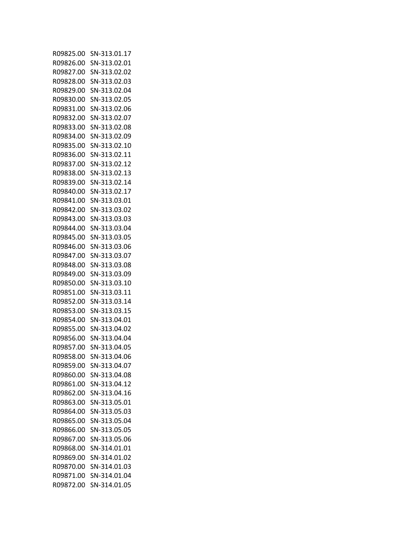| R09825.00 | SN-313.01.17 |
|-----------|--------------|
| R09826.00 | SN-313.02.01 |
| R09827.00 | SN-313.02.02 |
| R09828.00 | SN-313.02.03 |
| R09829.00 | SN-313.02.04 |
| R09830.00 | SN-313.02.05 |
| R09831.00 | SN-313.02.06 |
| R09832.00 | SN-313.02.07 |
| R09833.00 | SN-313.02.08 |
| R09834.00 | SN-313.02.09 |
| R09835.00 | SN-313.02.10 |
| R09836.00 | SN-313.02.11 |
| R09837.00 | SN-313.02.12 |
| R09838.00 | SN-313.02.13 |
| R09839.00 | SN-313.02.14 |
| R09840.00 | SN-313.02.17 |
| R09841.00 | SN-313.03.01 |
| R09842.00 | SN-313.03.02 |
| R09843.00 |              |
|           | SN-313.03.03 |
| R09844.00 | SN-313.03.04 |
| R09845.00 | SN-313.03.05 |
| R09846.00 | SN-313.03.06 |
| R09847.00 | SN-313.03.07 |
| R09848.00 | SN-313.03.08 |
| R09849.00 | SN-313.03.09 |
| R09850.00 | SN-313.03.10 |
| R09851.00 | SN-313.03.11 |
| R09852.00 | SN-313.03.14 |
| R09853.00 | SN-313.03.15 |
| R09854.00 | SN-313.04.01 |
| R09855.00 | SN-313.04.02 |
| R09856.00 | SN-313.04.04 |
| R09857.00 | SN-313.04.05 |
| R09858.00 | SN-313.04.06 |
| R09859.00 | SN-313.04.07 |
| R09860.00 | SN-313.04.08 |
| R09861.00 | SN-313.04.12 |
| R09862.00 | SN-313.04.16 |
| R09863.00 | SN-313.05.01 |
| R09864.00 | SN-313.05.03 |
| R09865.00 | SN-313.05.04 |
| R09866.00 | SN-313.05.05 |
| R09867.00 | SN-313.05.06 |
| R09868.00 | SN-314.01.01 |
| R09869.00 | SN-314.01.02 |
| R09870.00 | SN-314.01.03 |
| R09871.00 | SN-314.01.04 |
| R09872.00 | SN-314.01.05 |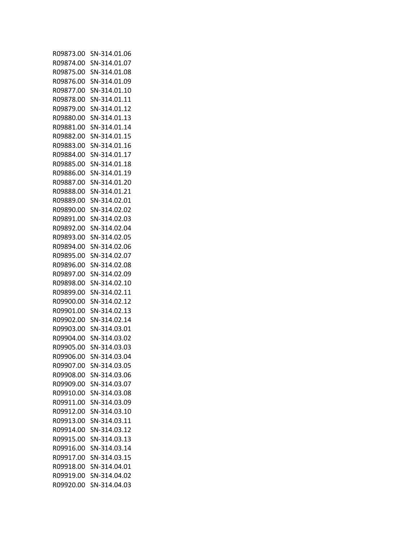| R09873.00 | SN-314.01.06 |
|-----------|--------------|
| R09874.00 | SN-314.01.07 |
| R09875.00 | SN-314.01.08 |
| R09876.00 | SN-314.01.09 |
| R09877.00 | SN-314.01.10 |
| R09878.00 | SN-314.01.11 |
| R09879.00 | SN-314.01.12 |
| R09880.00 | SN-314.01.13 |
| R09881.00 | SN-314.01.14 |
| R09882.00 | SN-314.01.15 |
| R09883.00 | SN-314.01.16 |
| R09884.00 | SN-314.01.17 |
| R09885.00 | SN-314.01.18 |
| R09886.00 | SN-314.01.19 |
| R09887.00 | SN-314.01.20 |
| R09888.00 | SN-314.01.21 |
| R09889.00 | SN-314.02.01 |
| R09890.00 | SN-314.02.02 |
| R09891.00 |              |
|           | SN-314.02.03 |
| R09892.00 | SN-314.02.04 |
| R09893.00 | SN-314.02.05 |
| R09894.00 | SN-314.02.06 |
| R09895.00 | SN-314.02.07 |
| R09896.00 | SN-314.02.08 |
| R09897.00 | SN-314.02.09 |
| R09898.00 | SN-314.02.10 |
| R09899.00 | SN-314.02.11 |
| R09900.00 | SN-314.02.12 |
| R09901.00 | SN-314.02.13 |
| R09902.00 | SN-314.02.14 |
| R09903.00 | SN-314.03.01 |
| R09904.00 | SN-314.03.02 |
| R09905.00 | SN-314.03.03 |
| R09906.00 | SN-314.03.04 |
| R09907.00 | SN-314.03.05 |
| R09908.00 | SN-314.03.06 |
| R09909.00 | SN-314.03.07 |
| R09910.00 | SN-314.03.08 |
| R09911.00 | SN-314.03.09 |
| R09912.00 | SN-314.03.10 |
| R09913.00 | SN-314.03.11 |
| R09914.00 | SN-314.03.12 |
| R09915.00 | SN-314.03.13 |
| R09916.00 | SN-314.03.14 |
| R09917.00 | SN-314.03.15 |
| R09918.00 | SN-314.04.01 |
| R09919.00 | SN-314.04.02 |
| R09920.00 | SN-314.04.03 |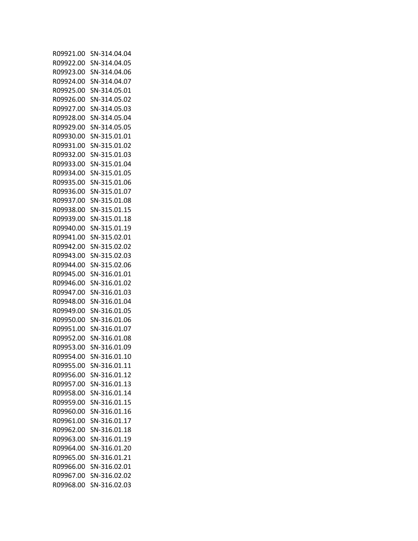| R09921.00 | SN-314.04.04 |
|-----------|--------------|
| R09922.00 | SN-314.04.05 |
| R09923.00 | SN-314.04.06 |
| R09924.00 | SN-314.04.07 |
| R09925.00 | SN-314.05.01 |
| R09926.00 | SN-314.05.02 |
| R09927.00 | SN-314.05.03 |
| R09928.00 | SN-314.05.04 |
| R09929.00 | SN-314.05.05 |
| R09930.00 | SN-315.01.01 |
| R09931.00 | SN-315.01.02 |
| R09932.00 | SN-315.01.03 |
| R09933.00 | SN-315.01.04 |
| R09934.00 | SN-315.01.05 |
| R09935.00 | SN-315.01.06 |
| R09936.00 | SN-315.01.07 |
| R09937.00 | SN-315.01.08 |
| R09938.00 | SN-315.01.15 |
| R09939.00 | SN-315.01.18 |
|           |              |
| R09940.00 | SN-315.01.19 |
| R09941.00 | SN-315.02.01 |
| R09942.00 | SN-315.02.02 |
| R09943.00 | SN-315.02.03 |
| R09944.00 | SN-315.02.06 |
| R09945.00 | SN-316.01.01 |
| R09946.00 | SN-316.01.02 |
| R09947.00 | SN-316.01.03 |
| R09948.00 | SN-316.01.04 |
| R09949.00 | SN-316.01.05 |
| R09950.00 | SN-316.01.06 |
| R09951.00 | SN-316.01.07 |
| R09952.00 | SN-316.01.08 |
| R09953.00 | SN-316.01.09 |
| R09954.00 | SN-316.01.10 |
| R09955.00 | SN-316.01.11 |
| R09956.00 | SN-316.01.12 |
| R09957.00 | SN-316.01.13 |
| R09958.00 | SN-316.01.14 |
| R09959.00 | SN-316.01.15 |
| R09960.00 | SN-316.01.16 |
| R09961.00 | SN-316.01.17 |
| R09962.00 | SN-316.01.18 |
| R09963.00 | SN-316.01.19 |
| R09964.00 | SN-316.01.20 |
| R09965.00 | SN-316.01.21 |
| R09966.00 | SN-316.02.01 |
| R09967.00 | SN-316.02.02 |
| R09968.00 | SN-316.02.03 |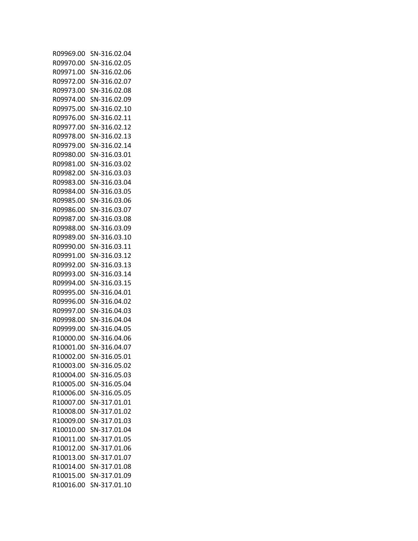| R09969.00 | SN-316.02.04 |
|-----------|--------------|
| R09970.00 | SN-316.02.05 |
| R09971.00 | SN-316.02.06 |
| R09972.00 | SN-316.02.07 |
| R09973.00 | SN-316.02.08 |
| R09974.00 | SN-316.02.09 |
| R09975.00 | SN-316.02.10 |
| R09976.00 | SN-316.02.11 |
| R09977.00 | SN-316.02.12 |
| R09978.00 | SN-316.02.13 |
| R09979.00 | SN-316.02.14 |
| R09980.00 | SN-316.03.01 |
| R09981.00 | SN-316.03.02 |
| R09982.00 | SN-316.03.03 |
| R09983.00 | SN-316.03.04 |
| R09984.00 | SN-316.03.05 |
| R09985.00 | SN-316.03.06 |
| R09986.00 | SN-316.03.07 |
|           |              |
| R09987.00 | SN-316.03.08 |
| R09988.00 | SN-316.03.09 |
| R09989.00 | SN-316.03.10 |
| R09990.00 | SN-316.03.11 |
| R09991.00 | SN-316.03.12 |
| R09992.00 | SN-316.03.13 |
| R09993.00 | SN-316.03.14 |
| R09994.00 | SN-316.03.15 |
| R09995.00 | SN-316.04.01 |
| R09996.00 | SN-316.04.02 |
| R09997.00 | SN-316.04.03 |
| R09998.00 | SN-316.04.04 |
| R09999.00 | SN-316.04.05 |
| R10000.00 | SN-316.04.06 |
| R10001.00 | SN-316.04.07 |
| R10002.00 | SN-316.05.01 |
| R10003.00 | SN-316.05.02 |
| R10004.00 | SN-316.05.03 |
| R10005.00 | SN-316.05.04 |
| R10006.00 | SN-316.05.05 |
| R10007.00 | SN-317.01.01 |
| R10008.00 | SN-317.01.02 |
| R10009.00 | SN-317.01.03 |
| R10010.00 | SN-317.01.04 |
| R10011.00 | SN-317.01.05 |
| R10012.00 | SN-317.01.06 |
| R10013.00 | SN-317.01.07 |
| R10014.00 | SN-317.01.08 |
| R10015.00 | SN-317.01.09 |
| R10016.00 | SN-317.01.10 |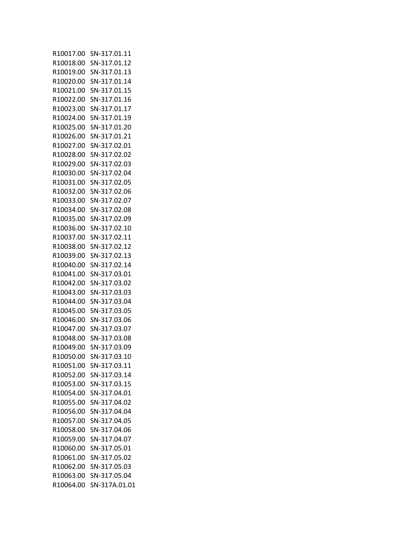| R10017.00 | SN-317.01.11  |
|-----------|---------------|
| R10018.00 | SN-317.01.12  |
| R10019.00 | SN-317.01.13  |
| R10020.00 | SN-317.01.14  |
| R10021.00 | SN-317.01.15  |
| R10022.00 | SN-317.01.16  |
| R10023.00 | SN-317.01.17  |
| R10024.00 | SN-317.01.19  |
|           | SN-317.01.20  |
| R10025.00 |               |
| R10026.00 | SN-317.01.21  |
| R10027.00 | SN-317.02.01  |
| R10028.00 | SN-317.02.02  |
| R10029.00 | SN-317.02.03  |
| R10030.00 | SN-317.02.04  |
| R10031.00 | SN-317.02.05  |
| R10032.00 | SN-317.02.06  |
| R10033.00 | SN-317.02.07  |
| R10034.00 | SN-317.02.08  |
| R10035.00 | SN-317.02.09  |
| R10036.00 | SN-317.02.10  |
| R10037.00 | SN-317.02.11  |
| R10038.00 | SN-317.02.12  |
| R10039.00 | SN-317.02.13  |
| R10040.00 | SN-317.02.14  |
| R10041.00 | SN-317.03.01  |
| R10042.00 | SN-317.03.02  |
| R10043.00 | SN-317.03.03  |
| R10044.00 | SN-317.03.04  |
| R10045.00 | SN-317.03.05  |
| R10046.00 | SN-317.03.06  |
| R10047.00 | SN-317.03.07  |
| R10048.00 | SN-317.03.08  |
| R10049.00 | SN-317.03.09  |
| R10050.00 | SN-317.03.10  |
|           |               |
| R10051.00 | SN-317.03.11  |
| R10052.00 | SN-317.03.14  |
| R10053.00 | SN-317.03.15  |
| R10054.00 | SN-317.04.01  |
| R10055.00 | SN-317.04.02  |
| R10056.00 | SN-317.04.04  |
| R10057.00 | SN-317.04.05  |
| R10058.00 | SN-317.04.06  |
| R10059.00 | SN-317.04.07  |
| R10060.00 | SN-317.05.01  |
| R10061.00 | SN-317.05.02  |
| R10062.00 | SN-317.05.03  |
| R10063.00 | SN-317.05.04  |
| R10064.00 | SN-317A.01.01 |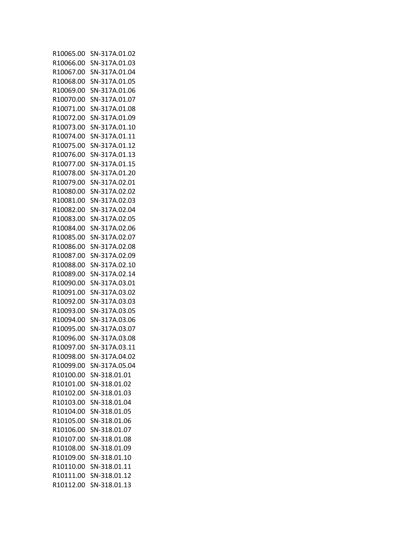| R10065.00 | SN-317A.01.02 |
|-----------|---------------|
| R10066.00 | SN-317A.01.03 |
| R10067.00 | SN-317A.01.04 |
| R10068.00 | SN-317A.01.05 |
| R10069.00 | SN-317A.01.06 |
| R10070.00 | SN-317A.01.07 |
| R10071.00 | SN-317A.01.08 |
| R10072.00 | SN-317A.01.09 |
|           |               |
| R10073.00 | SN-317A.01.10 |
| R10074.00 | SN-317A.01.11 |
| R10075.00 | SN-317A.01.12 |
| R10076.00 | SN-317A.01.13 |
| R10077.00 | SN-317A.01.15 |
| R10078.00 | SN-317A.01.20 |
| R10079.00 | SN-317A.02.01 |
| R10080.00 | SN-317A.02.02 |
| R10081.00 | SN-317A.02.03 |
| R10082.00 | SN-317A.02.04 |
| R10083.00 | SN-317A.02.05 |
| R10084.00 | SN-317A.02.06 |
| R10085.00 | SN-317A.02.07 |
| R10086.00 | SN-317A.02.08 |
| R10087.00 | SN-317A.02.09 |
| R10088.00 | SN-317A.02.10 |
| R10089.00 | SN-317A.02.14 |
| R10090.00 | SN-317A.03.01 |
| R10091.00 | SN-317A.03.02 |
| R10092.00 | SN-317A.03.03 |
| R10093.00 | SN-317A.03.05 |
| R10094.00 | SN-317A.03.06 |
| R10095.00 | SN-317A.03.07 |
|           |               |
| R10096.00 | SN-317A.03.08 |
| R10097.00 | SN-317A.03.11 |
| R10098.00 | SN-317A.04.02 |
| R10099.00 | SN-317A.05.04 |
| R10100.00 | SN-318.01.01  |
| R10101.00 | SN-318.01.02  |
| R10102.00 | SN-318.01.03  |
| R10103.00 | SN-318.01.04  |
| R10104.00 | SN-318.01.05  |
| R10105.00 | SN-318.01.06  |
| R10106.00 | SN-318.01.07  |
| R10107.00 | SN-318.01.08  |
| R10108.00 | SN-318.01.09  |
| R10109.00 | SN-318.01.10  |
| R10110.00 | SN-318.01.11  |
| R10111.00 | SN-318.01.12  |
| R10112.00 | SN-318.01.13  |
|           |               |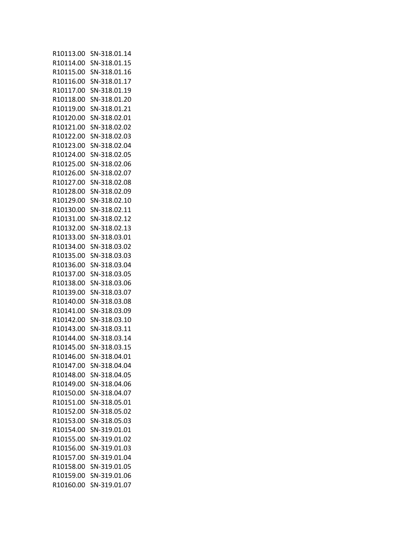| R10113.00 | SN-318.01.14 |
|-----------|--------------|
| R10114.00 | SN-318.01.15 |
| R10115.00 | SN-318.01.16 |
| R10116.00 | SN-318.01.17 |
| R10117.00 | SN-318.01.19 |
| R10118.00 | SN-318.01.20 |
| R10119.00 | SN-318.01.21 |
| R10120.00 | SN-318.02.01 |
| R10121.00 | SN-318.02.02 |
| R10122.00 | SN-318.02.03 |
| R10123.00 | SN-318.02.04 |
| R10124.00 | SN-318.02.05 |
| R10125.00 | SN-318.02.06 |
| R10126.00 | SN-318.02.07 |
| R10127.00 | SN-318.02.08 |
| R10128.00 | SN-318.02.09 |
| R10129.00 | SN-318.02.10 |
| R10130.00 | SN-318.02.11 |
| R10131.00 | SN-318.02.12 |
| R10132.00 | SN-318.02.13 |
| R10133.00 | SN-318.03.01 |
| R10134.00 | SN-318.03.02 |
| R10135.00 | SN-318.03.03 |
| R10136.00 | SN-318.03.04 |
| R10137.00 | SN-318.03.05 |
| R10138.00 | SN-318.03.06 |
| R10139.00 | SN-318.03.07 |
| R10140.00 | SN-318.03.08 |
| R10141.00 | SN-318.03.09 |
| R10142.00 | SN-318.03.10 |
| R10143.00 | SN-318.03.11 |
| R10144.00 | SN-318.03.14 |
| R10145.00 | SN-318.03.15 |
| R10146.00 | SN-318.04.01 |
| R10147.00 |              |
| R10148.00 | SN-318.04.04 |
|           | SN-318.04.05 |
| R10149.00 | SN-318.04.06 |
| R10150.00 | SN-318.04.07 |
| R10151.00 | SN-318.05.01 |
| R10152.00 | SN-318.05.02 |
| R10153.00 | SN-318.05.03 |
| R10154.00 | SN-319.01.01 |
| R10155.00 | SN-319.01.02 |
| R10156.00 | SN-319.01.03 |
| R10157.00 | SN-319.01.04 |
| R10158.00 | SN-319.01.05 |
| R10159.00 | SN-319.01.06 |
| R10160.00 | SN-319.01.07 |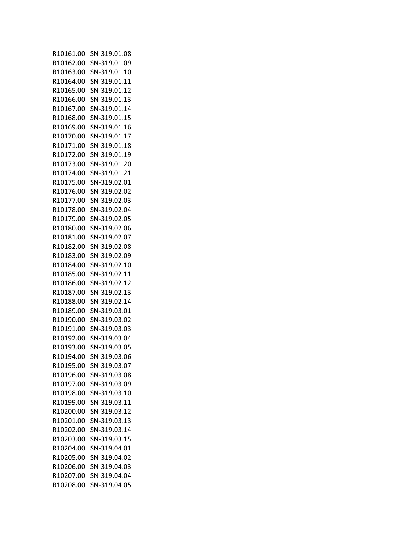| R10161.00              | SN-319.01.08 |
|------------------------|--------------|
| R10162.00              | SN-319.01.09 |
| R10163.00              | SN-319.01.10 |
| R10164.00              | SN-319.01.11 |
| R10165.00              | SN-319.01.12 |
| R10166.00              | SN-319.01.13 |
| R10167.00              | SN-319.01.14 |
| R10168.00              | SN-319.01.15 |
| R10169.00              | SN-319.01.16 |
| R10170.00              | SN-319.01.17 |
| R10171.00              | SN-319.01.18 |
| R10172.00              | SN-319.01.19 |
| R10173.00              | SN-319.01.20 |
| R10174.00              | SN-319.01.21 |
| R10175.00              | SN-319.02.01 |
| R10176.00              | SN-319.02.02 |
| R10177.00              | SN-319.02.03 |
| R10178.00              | SN-319.02.04 |
| R10179.00              | SN-319.02.05 |
| R10180.00              | SN-319.02.06 |
| R10181.00              | SN-319.02.07 |
|                        |              |
| R10182.00              | SN-319.02.08 |
| R10183.00<br>R10184.00 | SN-319.02.09 |
|                        | SN-319.02.10 |
| R10185.00              | SN-319.02.11 |
| R10186.00              | SN-319.02.12 |
| R10187.00              | SN-319.02.13 |
| R10188.00              | SN-319.02.14 |
| R10189.00              | SN-319.03.01 |
| R10190.00              | SN-319.03.02 |
| R10191.00              | SN-319.03.03 |
| R10192.00              | SN-319.03.04 |
| R10193.00              | SN-319.03.05 |
| R10194.00              | SN-319.03.06 |
| R10195.00              | SN-319.03.07 |
| R10196.00              | SN-319.03.08 |
| R10197.00              | SN-319.03.09 |
| R10198.00              | SN-319.03.10 |
| R10199.00              | SN-319.03.11 |
| R10200.00              | SN-319.03.12 |
| R10201.00              | SN-319.03.13 |
| R10202.00              | SN-319.03.14 |
| R10203.00              | SN-319.03.15 |
| R10204.00              | SN-319.04.01 |
| R10205.00              | SN-319.04.02 |
| R10206.00              | SN-319.04.03 |
| R10207.00              | SN-319.04.04 |
| R10208.00              | SN-319.04.05 |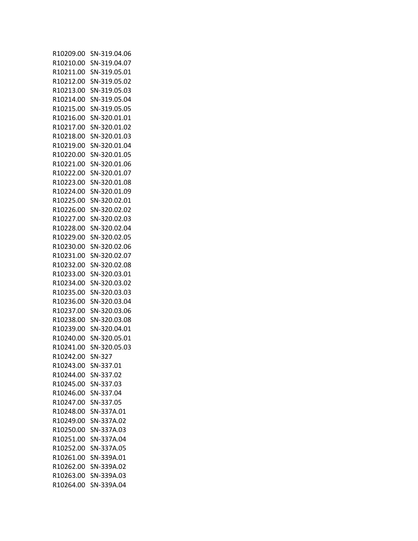| R10209.00 | SN-319.04.06 |
|-----------|--------------|
| R10210.00 | SN-319.04.07 |
| R10211.00 | SN-319.05.01 |
| R10212.00 | SN-319.05.02 |
| R10213.00 | SN-319.05.03 |
| R10214.00 | SN-319.05.04 |
| R10215.00 | SN-319.05.05 |
| R10216.00 | SN-320.01.01 |
| R10217.00 | SN-320.01.02 |
|           | SN-320.01.03 |
| R10218.00 |              |
| R10219.00 | SN-320.01.04 |
| R10220.00 | SN-320.01.05 |
| R10221.00 | SN-320.01.06 |
| R10222.00 | SN-320.01.07 |
| R10223.00 | SN-320.01.08 |
| R10224.00 | SN-320.01.09 |
| R10225.00 | SN-320.02.01 |
| R10226.00 | SN-320.02.02 |
| R10227.00 | SN-320.02.03 |
| R10228.00 | SN-320.02.04 |
| R10229.00 | SN-320.02.05 |
| R10230.00 | SN-320.02.06 |
| R10231.00 | SN-320.02.07 |
| R10232.00 | SN-320.02.08 |
| R10233.00 | SN-320.03.01 |
| R10234.00 | SN-320.03.02 |
| R10235.00 | SN-320.03.03 |
| R10236.00 | SN-320.03.04 |
| R10237.00 | SN-320.03.06 |
| R10238.00 | SN-320.03.08 |
| R10239.00 | SN-320.04.01 |
|           |              |
| R10240.00 | SN-320.05.01 |
| R10241.00 | SN-320.05.03 |
| R10242.00 | SN-327       |
| R10243.00 | SN-337.01    |
| R10244.00 | SN-337.02    |
| R10245.00 | SN-337.03    |
| R10246.00 | SN-337.04    |
| R10247.00 | SN-337.05    |
| R10248.00 | SN-337A.01   |
| R10249.00 | SN-337A.02   |
| R10250.00 | SN-337A.03   |
| R10251.00 | SN-337A.04   |
| R10252.00 | SN-337A.05   |
| R10261.00 | SN-339A.01   |
| R10262.00 | SN-339A.02   |
| R10263.00 | SN-339A.03   |
| R10264.00 | SN-339A.04   |
|           |              |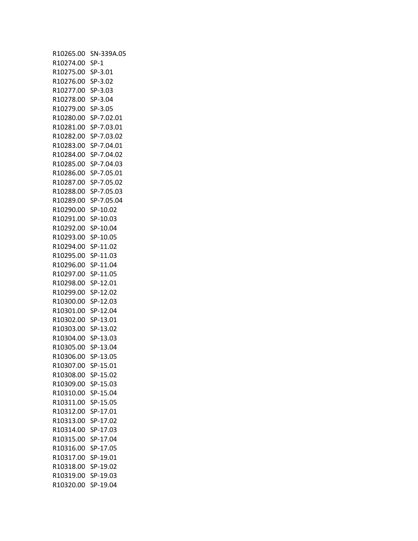| R10265.00              | SN-339A.05           |
|------------------------|----------------------|
| R10274.00              | $SP-1$               |
| R10275.00              | SP-3.01              |
| R10276.00              | SP-3.02              |
| R10277.00              | SP-3.03              |
| R10278.00              | SP-3.04              |
| R10279.00              | SP-3.05              |
| R10280.00              | SP-7.02.01           |
| R10281.00              | SP-7.03.01           |
| R10282.00              | SP-7.03.02           |
| R10283.00              | SP-7.04.01           |
| R10284.00              | SP-7.04.02           |
| R10285.00              | SP-7.04.03           |
| R10286.00              | SP-7.05.01           |
| R10287.00              | SP-7.05.02           |
| R10288.00              | SP-7.05.03           |
| R10289.00              | SP-7.05.04           |
| R10290.00              | SP-10.02             |
| R10291.00              | SP-10.03             |
| R10292.00              | SP-10.04             |
| R10293.00              | SP-10.05             |
| R10294.00              | SP-11.02             |
| R10295.00              | SP-11.03             |
| R10296.00              | SP-11.04             |
| R10297.00              | SP-11.05             |
| R10298.00              | SP-12.01             |
| R10299.00              | SP-12.02             |
| R10300.00              | SP-12.03             |
| R10301.00              | SP-12.04             |
| R10302.00              | SP-13.01             |
| R10303.00              | SP-13.02             |
| R10304.00              | SP-13.03             |
| R10305.00              | SP-13.04             |
| R10306.00              | SP-13.05             |
| R10307.00              | SP-15.01             |
| R10308.00              | SP-15.02             |
| R10309.00              | SP-15.03             |
|                        |                      |
| R10310.00<br>R10311.00 | SP-15.04<br>SP-15.05 |
|                        | SP-17.01             |
| R10312.00              |                      |
| R10313.00              | SP-17.02             |
| R10314.00              | SP-17.03             |
| R10315.00              | SP-17.04             |
| R10316.00              | SP-17.05             |
| R10317.00              | SP-19.01             |
| R10318.00              | SP-19.02             |
| R10319.00              | SP-19.03             |
| R10320.00              | SP-19.04             |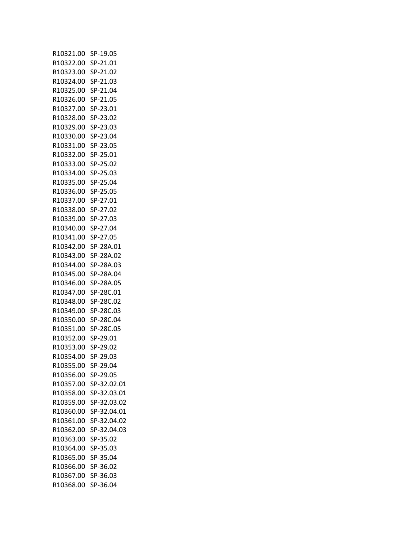| R10321.00 | SP-19.05    |
|-----------|-------------|
| R10322.00 | SP-21.01    |
| R10323.00 | SP-21.02    |
| R10324.00 | SP-21.03    |
| R10325.00 | SP-21.04    |
| R10326.00 | SP-21.05    |
| R10327.00 | SP-23.01    |
| R10328.00 | SP-23.02    |
| R10329.00 | SP-23.03    |
| R10330.00 | SP-23.04    |
|           |             |
| R10331.00 | SP-23.05    |
| R10332.00 | SP-25.01    |
| R10333.00 | SP-25.02    |
| R10334.00 | SP-25.03    |
| R10335.00 | SP-25.04    |
| R10336.00 | SP-25.05    |
| R10337.00 | SP-27.01    |
| R10338.00 | SP-27.02    |
| R10339.00 | SP-27.03    |
| R10340.00 | SP-27.04    |
| R10341.00 | SP-27.05    |
| R10342.00 | SP-28A.01   |
| R10343.00 | SP-28A.02   |
| R10344.00 | SP-28A.03   |
| R10345.00 | SP-28A.04   |
| R10346.00 | SP-28A.05   |
| R10347.00 | SP-28C.01   |
| R10348.00 | SP-28C.02   |
| R10349.00 | SP-28C.03   |
| R10350.00 | SP-28C.04   |
| R10351.00 | SP-28C.05   |
| R10352.00 | SP-29.01    |
| R10353.00 | SP-29.02    |
| R10354.00 | SP-29.03    |
| R10355.00 | SP-29.04    |
| R10356.00 | SP-29.05    |
| R10357.00 | SP-32.02.01 |
| R10358.00 |             |
|           | SP-32.03.01 |
| R10359.00 | SP-32.03.02 |
| R10360.00 | SP-32.04.01 |
| R10361.00 | SP-32.04.02 |
| R10362.00 | SP-32.04.03 |
| R10363.00 | SP-35.02    |
| R10364.00 | SP-35.03    |
| R10365.00 | SP-35.04    |
| R10366.00 | SP-36.02    |
| R10367.00 | SP-36.03    |
| R10368.00 | SP-36.04    |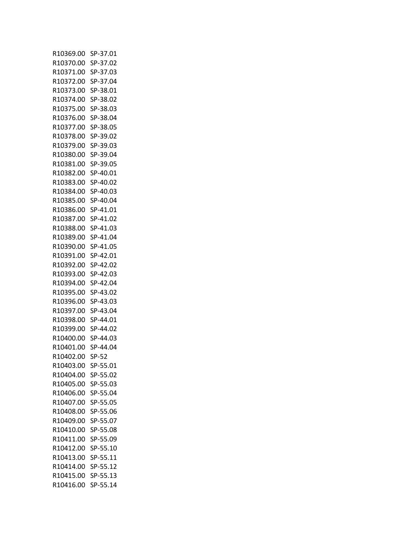| R10369.00 | SP-37.01 |
|-----------|----------|
| R10370.00 | SP-37.02 |
| R10371.00 | SP-37.03 |
| R10372.00 | SP-37.04 |
| R10373.00 | SP-38.01 |
| R10374.00 | SP-38.02 |
| R10375.00 | SP-38.03 |
| R10376.00 | SP-38.04 |
| R10377.00 | SP-38.05 |
| R10378.00 | SP-39.02 |
| R10379.00 | SP-39.03 |
| R10380.00 | SP-39.04 |
| R10381.00 | SP-39.05 |
|           | SP-40.01 |
| R10382.00 |          |
| R10383.00 | SP-40.02 |
| R10384.00 | SP-40.03 |
| R10385.00 | SP-40.04 |
| R10386.00 | SP-41.01 |
| R10387.00 | SP-41.02 |
| R10388.00 | SP-41.03 |
| R10389.00 | SP-41.04 |
| R10390.00 | SP-41.05 |
| R10391.00 | SP-42.01 |
| R10392.00 | SP-42.02 |
| R10393.00 | SP-42.03 |
| R10394.00 | SP-42.04 |
| R10395.00 | SP-43.02 |
| R10396.00 | SP-43.03 |
| R10397.00 | SP-43.04 |
| R10398.00 | SP-44.01 |
| R10399.00 | SP-44.02 |
| R10400.00 | SP-44.03 |
| R10401.00 | SP-44.04 |
| R10402.00 | $SP-52$  |
| R10403.00 | SP-55.01 |
| R10404.00 | SP-55.02 |
| R10405.00 | SP-55.03 |
| R10406.00 | SP-55.04 |
| R10407.00 | SP-55.05 |
| R10408.00 | SP-55.06 |
| R10409.00 | SP-55.07 |
| R10410.00 | SP-55.08 |
| R10411.00 | SP-55.09 |
| R10412.00 | SP-55.10 |
| R10413.00 | SP-55.11 |
| R10414.00 | SP-55.12 |
|           |          |
| R10415.00 | SP-55.13 |
| R10416.00 | SP-55.14 |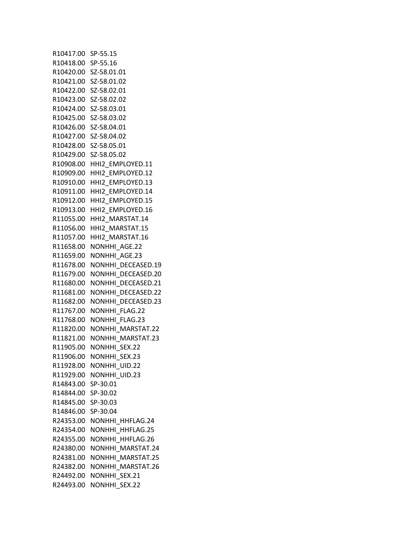R10417.00 SP-55.15 R10418.00 SP-55.16 R10420.00 SZ-58.01.01 R10421.00 SZ-58.01.02 R10422.00 SZ-58.02.01 R10423.00 SZ-58.02.02 R10424.00 SZ-58.03.01 R10425.00 SZ-58.03.02 R10426.00 SZ-58.04.01 R10427.00 SZ-58.04.02 R10428.00 SZ-58.05.01 R10429.00 SZ-58.05.02 R10908.00 HHI2\_EMPLOYED.11 R10909.00 HHI2\_EMPLOYED.12 R10910.00 HHI2\_EMPLOYED.13 R10911.00 HHI2\_EMPLOYED.14 R10912.00 HHI2\_EMPLOYED.15 R10913.00 HHI2\_EMPLOYED.16 R11055.00 HHI2\_MARSTAT.14 R11056.00 HHI2\_MARSTAT.15 R11057.00 HHI2\_MARSTAT.16 R11658.00 NONHHI\_AGE.22 R11659.00 NONHHI\_AGE.23 R11678.00 NONHHI DECEASED.19 R11679.00 NONHHI DECEASED.20 R11680.00 NONHHI DECEASED.21 R11681.00 NONHHI DECEASED.22 R11682.00 NONHHI DECEASED.23 R11767.00 NONHHI\_FLAG.22 R11768.00 NONHHI\_FLAG.23 R11820.00 NONHHI MARSTAT.22 R11821.00 NONHHI\_MARSTAT.23 R11905.00 NONHHI\_SEX.22 R11906.00 NONHHI SEX.23 R11928.00 NONHHI\_UID.22 R11929.00 NONHHI\_UID.23 R14843.00 SP-30.01 R14844.00 SP-30.02 R14845.00 SP-30.03 R14846.00 SP-30.04 R24353.00 NONHHI\_HHFLAG.24 R24354.00 NONHHI\_HHFLAG.25 R24355.00 NONHHI\_HHFLAG.26 R24380.00 NONHHI MARSTAT.24 R24381.00 NONHHI MARSTAT.25 R24382.00 NONHHI MARSTAT.26 R24492.00 NONHHI\_SEX.21 R24493.00 NONHHI\_SEX.22